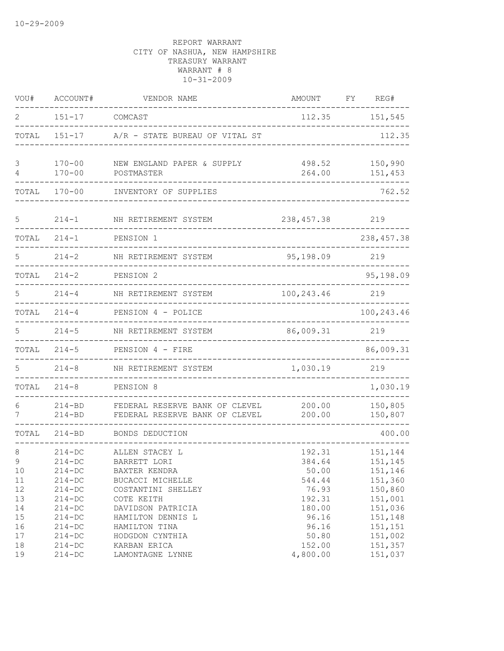| VOU#                                                   | ACCOUNT#                                                                                                                           | VENDOR NAME                                                                                                                                                                           | <b>AMOUNT</b>                                                                               | FΥ | REG#                                                                                                       |
|--------------------------------------------------------|------------------------------------------------------------------------------------------------------------------------------------|---------------------------------------------------------------------------------------------------------------------------------------------------------------------------------------|---------------------------------------------------------------------------------------------|----|------------------------------------------------------------------------------------------------------------|
| 2                                                      | $151 - 17$                                                                                                                         | COMCAST                                                                                                                                                                               | 112.35                                                                                      |    | 151,545                                                                                                    |
| TOTAL                                                  | $151 - 17$                                                                                                                         | A/R - STATE BUREAU OF VITAL ST                                                                                                                                                        |                                                                                             |    | 112.35                                                                                                     |
| 3<br>4                                                 | $170 - 00$<br>$170 - 00$                                                                                                           | NEW ENGLAND PAPER & SUPPLY<br>POSTMASTER                                                                                                                                              | 498.52<br>264.00                                                                            |    | 150,990<br>151,453                                                                                         |
| TOTAL                                                  | $170 - 00$                                                                                                                         | INVENTORY OF SUPPLIES                                                                                                                                                                 |                                                                                             |    | 762.52                                                                                                     |
| 5                                                      | $214 - 1$                                                                                                                          | NH RETIREMENT SYSTEM                                                                                                                                                                  | 238, 457.38                                                                                 |    | 219                                                                                                        |
| TOTAL                                                  | $214 - 1$                                                                                                                          | PENSION 1                                                                                                                                                                             |                                                                                             |    | 238, 457.38                                                                                                |
|                                                        | $214 - 2$                                                                                                                          | NH RETIREMENT SYSTEM                                                                                                                                                                  | 95,198.09                                                                                   |    | 219                                                                                                        |
| TOTAL                                                  | $214 - 2$                                                                                                                          | PENSION <sub>2</sub>                                                                                                                                                                  |                                                                                             |    | 95,198.09                                                                                                  |
| 5                                                      | $214 - 4$                                                                                                                          | NH RETIREMENT SYSTEM                                                                                                                                                                  | 100,243.46                                                                                  |    | 219                                                                                                        |
| TOTAL                                                  | $214 - 4$                                                                                                                          | PENSION 4 - POLICE                                                                                                                                                                    |                                                                                             |    | 100,243.46                                                                                                 |
| 5                                                      | $214 - 5$                                                                                                                          | NH RETIREMENT SYSTEM                                                                                                                                                                  | 86,009.31                                                                                   |    | 219                                                                                                        |
| TOTAL                                                  | $214 - 5$                                                                                                                          | PENSION 4 - FIRE                                                                                                                                                                      |                                                                                             |    | 86,009.31                                                                                                  |
| 5                                                      | $214 - 8$                                                                                                                          | NH RETIREMENT SYSTEM                                                                                                                                                                  | 1,030.19                                                                                    |    | 219                                                                                                        |
| TOTAL                                                  | $214 - 8$                                                                                                                          | PENSION 8                                                                                                                                                                             |                                                                                             |    | 1,030.19                                                                                                   |
| 6<br>7                                                 | $214 - BD$<br>$214 - BD$                                                                                                           | FEDERAL RESERVE BANK OF CLEVEL<br>FEDERAL RESERVE BANK OF CLEVEL                                                                                                                      | 200.00<br>200.00                                                                            |    | 150,805<br>150,807                                                                                         |
| TOTAL                                                  | $214 - BD$                                                                                                                         | BONDS DEDUCTION                                                                                                                                                                       |                                                                                             |    | 400.00                                                                                                     |
| 8<br>9<br>10<br>11<br>12<br>13<br>14<br>15<br>16<br>17 | $214-DC$<br>$214 - DC$<br>$214 - DC$<br>$214-DC$<br>$214-DC$<br>$214 - DC$<br>$214 - DC$<br>$214 - DC$<br>$214 - DC$<br>$214 - DC$ | ALLEN STACEY L<br>BARRETT LORI<br>BAXTER KENDRA<br>BUCACCI MICHELLE<br>COSTANTINI SHELLEY<br>COTE KEITH<br>DAVIDSON PATRICIA<br>HAMILTON DENNIS L<br>HAMILTON TINA<br>HODGDON CYNTHIA | 192.31<br>384.64<br>50.00<br>544.44<br>76.93<br>192.31<br>180.00<br>96.16<br>96.16<br>50.80 |    | 151,144<br>151,145<br>151,146<br>151,360<br>150,860<br>151,001<br>151,036<br>151,148<br>151,151<br>151,002 |
| 18<br>19                                               | $214 - DC$<br>$214 - DC$                                                                                                           | KARBAN ERICA<br>LAMONTAGNE LYNNE                                                                                                                                                      | 152.00<br>4,800.00                                                                          |    | 151,357<br>151,037                                                                                         |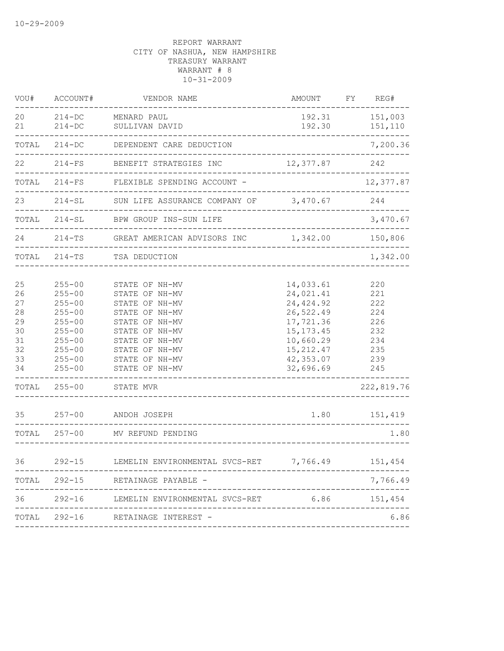| VOU#                                                                    | ACCOUNT#                                                                                                                                                             | VENDOR NAME                                                                                                                                                                                                   | <b>AMOUNT</b>                                                                                                                              | FΥ | REG#                                                                                        |
|-------------------------------------------------------------------------|----------------------------------------------------------------------------------------------------------------------------------------------------------------------|---------------------------------------------------------------------------------------------------------------------------------------------------------------------------------------------------------------|--------------------------------------------------------------------------------------------------------------------------------------------|----|---------------------------------------------------------------------------------------------|
| 20<br>21                                                                | $214 - DC$<br>$214-DC$                                                                                                                                               | MENARD PAUL<br>SULLIVAN DAVID                                                                                                                                                                                 | 192.31<br>192.30                                                                                                                           |    | 151,003<br>151,110                                                                          |
| TOTAL                                                                   | $214 - DC$                                                                                                                                                           | DEPENDENT CARE DEDUCTION                                                                                                                                                                                      |                                                                                                                                            |    | 7,200.36                                                                                    |
| 22                                                                      | $214-FS$                                                                                                                                                             | BENEFIT STRATEGIES INC                                                                                                                                                                                        | 12,377.87                                                                                                                                  |    | 242                                                                                         |
| TOTAL                                                                   | $214-FS$                                                                                                                                                             | FLEXIBLE SPENDING ACCOUNT -                                                                                                                                                                                   |                                                                                                                                            |    | 12,377.87                                                                                   |
| 23                                                                      | $214 - SL$                                                                                                                                                           | SUN LIFE ASSURANCE COMPANY OF                                                                                                                                                                                 | 3,470.67                                                                                                                                   |    | 244                                                                                         |
| TOTAL                                                                   | $214 - SL$                                                                                                                                                           | BPW GROUP INS-SUN LIFE                                                                                                                                                                                        |                                                                                                                                            |    | 3,470.67                                                                                    |
| 24                                                                      | $214 - TS$                                                                                                                                                           | GREAT AMERICAN ADVISORS INC 1,342.00                                                                                                                                                                          |                                                                                                                                            |    | 150,806                                                                                     |
| TOTAL                                                                   | $214 - TS$                                                                                                                                                           | TSA DEDUCTION<br>_________________                                                                                                                                                                            |                                                                                                                                            |    | 1,342.00                                                                                    |
| 25<br>26<br>27<br>28<br>29<br>30<br>31<br>32<br>33<br>34<br>TOTAL<br>35 | $255 - 00$<br>$255 - 00$<br>$255 - 00$<br>$255 - 00$<br>$255 - 00$<br>$255 - 00$<br>$255 - 00$<br>$255 - 00$<br>$255 - 00$<br>$255 - 00$<br>$255 - 00$<br>$257 - 00$ | STATE OF NH-MV<br>STATE OF NH-MV<br>STATE OF NH-MV<br>STATE OF NH-MV<br>STATE OF NH-MV<br>STATE OF NH-MV<br>STATE OF NH-MV<br>STATE OF NH-MV<br>STATE OF NH-MV<br>STATE OF NH-MV<br>STATE MVR<br>ANDOH JOSEPH | 14,033.61<br>24,021.41<br>24, 424.92<br>26,522.49<br>17,721.36<br>15, 173. 45<br>10,660.29<br>15, 212.47<br>42,353.07<br>32,696.69<br>1.80 |    | 220<br>221<br>222<br>224<br>226<br>232<br>234<br>235<br>239<br>245<br>222,819.76<br>151,419 |
| TOTAL                                                                   | $257 - 00$                                                                                                                                                           | MV REFUND PENDING                                                                                                                                                                                             |                                                                                                                                            |    | 1.80                                                                                        |
| 36                                                                      | $292 - 15$                                                                                                                                                           | LEMELIN ENVIRONMENTAL SVCS-RET                                                                                                                                                                                | 7,766.49                                                                                                                                   |    | 151,454                                                                                     |
|                                                                         |                                                                                                                                                                      | TOTAL 292-15 RETAINAGE PAYABLE -                                                                                                                                                                              |                                                                                                                                            |    | 7,766.49                                                                                    |
| 36                                                                      | $292 - 16$                                                                                                                                                           | LEMELIN ENVIRONMENTAL SVCS-RET                                                                                                                                                                                | 6.86                                                                                                                                       |    | 151,454                                                                                     |
|                                                                         | TOTAL 292-16                                                                                                                                                         | RETAINAGE INTEREST -                                                                                                                                                                                          |                                                                                                                                            |    | 6.86                                                                                        |
|                                                                         |                                                                                                                                                                      |                                                                                                                                                                                                               |                                                                                                                                            |    |                                                                                             |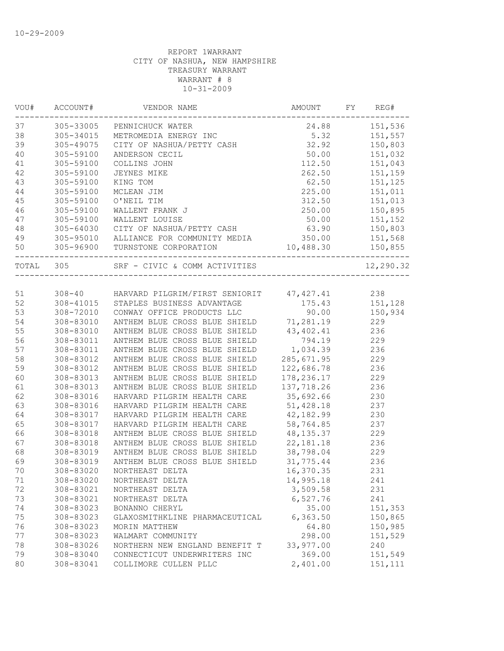| VOU#      | ACCOUNT#  | VENDOR NAME                                                           | AMOUNT     | FY | REG#              |
|-----------|-----------|-----------------------------------------------------------------------|------------|----|-------------------|
| 37        |           | 305-33005 PENNICHUCK WATER                                            |            |    | 24.88 151,536     |
| 38        | 305-34015 | ENDERGY INC 5.32<br>CITY OF NASHUA/PETTY CASH 32.92<br>ANDERSON CECTT |            |    | 151,557           |
| 39        | 305-49075 |                                                                       |            |    | 150,803           |
| 40        | 305-59100 | ANDERSON CECIL                                                        | 50.00      |    | 151,032           |
| 41        | 305-59100 | COLLINS JOHN                                                          | 112.50     |    | 151,043           |
| 42        | 305-59100 | JEYNES MIKE                                                           | 262.50     |    | 151,159           |
| 43        | 305-59100 | KING TOM                                                              | 62.50      |    | 151,125           |
| 44        | 305-59100 | MCLEAN JIM                                                            | 225.00     |    | 151,011           |
| 45        | 305-59100 | O'NEIL TIM                                                            | 312.50     |    | 151,013           |
| 46        | 305-59100 | WALLENT FRANK J                                                       | 250.00     |    | 150,895           |
| 47        | 305-59100 | WALLENT LOUISE                                                        | 50.00      |    | 151,152           |
| 48        | 305-64030 | CITY OF NASHUA/PETTY CASH                                             | 63.90      |    | 150,803           |
| 49        |           | 305-95010 ALLIANCE FOR COMMUNITY MEDIA                                | 350.00     |    | 151,568           |
| 50        |           |                                                                       |            |    |                   |
| TOTAL 305 |           | SRF - CIVIC & COMM ACTIVITIES                                         |            |    | 12,290.32         |
|           |           |                                                                       |            |    |                   |
| 51        |           | 308-40 HARVARD PILGRIM/FIRST SENIORIT 47,427.41                       |            |    | 238               |
| 52        |           | 308-41015 STAPLES BUSINESS ADVANTAGE                                  |            |    | 175.43    151,128 |
| 53        | 308-72010 | CONWAY OFFICE PRODUCTS LLC                                            | 90.00      |    | 150,934           |
| 54        | 308-83010 | ANTHEM BLUE CROSS BLUE SHIELD                                         | 71,281.19  |    | 229               |
| 55        | 308-83010 | ANTHEM BLUE CROSS BLUE SHIELD                                         | 43, 402.41 |    | 236               |
| 56        | 308-83011 | ANTHEM BLUE CROSS BLUE SHIELD                                         | 794.19     |    | 229               |
| 57        | 308-83011 | ANTHEM BLUE CROSS BLUE SHIELD                                         | 1,034.39   |    | 236               |
| 58        | 308-83012 | ANTHEM BLUE CROSS BLUE SHIELD                                         | 285,671.95 |    | 229               |
| 59        | 308-83012 | ANTHEM BLUE CROSS BLUE SHIELD                                         | 122,686.78 |    | 236               |
| 60        | 308-83013 | ANTHEM BLUE CROSS BLUE SHIELD                                         | 178,236.17 |    | 229               |
| 61        | 308-83013 | ANTHEM BLUE CROSS BLUE SHIELD                                         | 137,718.26 |    | 236               |
| 62        | 308-83016 | HARVARD PILGRIM HEALTH CARE                                           | 35,692.66  |    | 230               |
| 63        | 308-83016 | HARVARD PILGRIM HEALTH CARE                                           | 51,428.18  |    | 237               |
| 64        | 308-83017 | HARVARD PILGRIM HEALTH CARE                                           | 42,182.99  |    | 230               |
| 65        | 308-83017 | HARVARD PILGRIM HEALTH CARE                                           | 58,764.85  |    | 237               |
| 66        | 308-83018 | ANTHEM BLUE CROSS BLUE SHIELD                                         | 48, 135.37 |    | 229               |
| 67        | 308-83018 | ANTHEM BLUE CROSS BLUE SHIELD                                         | 22,181.18  |    | 236               |
| 68        | 308-83019 | ANTHEM BLUE CROSS BLUE SHIELD                                         | 38,798.04  |    | 229               |
| 69        | 308-83019 | ANTHEM BLUE CROSS BLUE SHIELD 31,775.44                               |            |    | 236               |
| 70        | 308-83020 | NORTHEAST DELTA                                                       | 16,370.35  |    | 231               |
| 71        | 308-83020 | NORTHEAST DELTA                                                       | 14,995.18  |    | 241               |
| 72        | 308-83021 | NORTHEAST DELTA                                                       | 3,509.58   |    | 231               |
| 73        | 308-83021 | NORTHEAST DELTA                                                       | 6,527.76   |    | 241               |
| 74        | 308-83023 | BONANNO CHERYL                                                        | 35.00      |    | 151,353           |
| 75        | 308-83023 | GLAXOSMITHKLINE PHARMACEUTICAL                                        | 6, 363.50  |    | 150,865           |
| 76        | 308-83023 | MORIN MATTHEW                                                         | 64.80      |    | 150,985           |
| 77        | 308-83023 | WALMART COMMUNITY                                                     | 298.00     |    | 151,529           |
| 78        | 308-83026 | NORTHERN NEW ENGLAND BENEFIT T                                        | 33,977.00  |    | 240               |
| 79        | 308-83040 | CONNECTICUT UNDERWRITERS INC                                          | 369.00     |    | 151,549           |
| 80        | 308-83041 | COLLIMORE CULLEN PLLC                                                 | 2,401.00   |    | 151, 111          |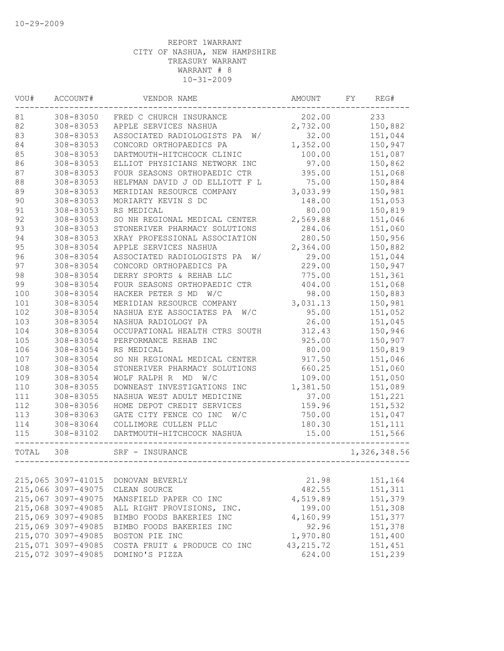| VOU#  | ACCOUNT#           | VENDOR NAME                      | AMOUNT     | FΥ | REG#         |
|-------|--------------------|----------------------------------|------------|----|--------------|
| 81    | 308-83050          | FRED C CHURCH INSURANCE          | 202.00     |    | 233          |
| 82    | 308-83053          | APPLE SERVICES NASHUA            | 2,732.00   |    | 150,882      |
| 83    | 308-83053          | ASSOCIATED RADIOLOGISTS PA<br>W/ | 32.00      |    | 151,044      |
| 84    | 308-83053          | CONCORD ORTHOPAEDICS PA          | 1,352.00   |    | 150,947      |
| 85    | 308-83053          | DARTMOUTH-HITCHCOCK CLINIC       | 100.00     |    | 151,087      |
| 86    | 308-83053          | ELLIOT PHYSICIANS NETWORK INC    | 97.00      |    | 150,862      |
| 87    | 308-83053          | FOUR SEASONS ORTHOPAEDIC CTR     | 395.00     |    | 151,068      |
| 88    | 308-83053          | HELFMAN DAVID J OD ELLIOTT F L   | 75.00      |    | 150,884      |
| 89    | 308-83053          | MERIDIAN RESOURCE COMPANY        | 3,033.99   |    | 150,981      |
| 90    | 308-83053          | MORIARTY KEVIN S DC              | 148.00     |    | 151,053      |
| 91    | 308-83053          | RS MEDICAL                       | 80.00      |    | 150,819      |
| 92    | 308-83053          | SO NH REGIONAL MEDICAL CENTER    | 2,569.88   |    | 151,046      |
| 93    | 308-83053          | STONERIVER PHARMACY SOLUTIONS    | 284.06     |    | 151,060      |
| 94    | 308-83053          | XRAY PROFESSIONAL ASSOCIATION    | 280.50     |    | 150,956      |
| 95    | 308-83054          | APPLE SERVICES NASHUA            | 2,364.00   |    | 150,882      |
| 96    | 308-83054          | ASSOCIATED RADIOLOGISTS PA<br>W/ | 29.00      |    | 151,044      |
| 97    | 308-83054          | CONCORD ORTHOPAEDICS PA          | 229.00     |    | 150,947      |
| 98    | 308-83054          | DERRY SPORTS & REHAB LLC         | 775.00     |    | 151,361      |
| 99    | 308-83054          | FOUR SEASONS ORTHOPAEDIC CTR     | 404.00     |    | 151,068      |
| 100   | 308-83054          | HACKER PETER S MD<br>W/C         | 98.00      |    | 150,883      |
| 101   | 308-83054          | MERIDIAN RESOURCE COMPANY        | 3,031.13   |    | 150,981      |
| 102   | 308-83054          | NASHUA EYE ASSOCIATES PA<br>W/C  | 95.00      |    | 151,052      |
| 103   | 308-83054          | NASHUA RADIOLOGY PA              | 26.00      |    | 151,045      |
| 104   | 308-83054          | OCCUPATIONAL HEALTH CTRS SOUTH   | 312.43     |    | 150,946      |
| 105   | 308-83054          | PERFORMANCE REHAB INC            | 925.00     |    | 150,907      |
| 106   | 308-83054          | RS MEDICAL                       | 80.00      |    | 150,819      |
| 107   | 308-83054          | SO NH REGIONAL MEDICAL CENTER    | 917.50     |    | 151,046      |
| 108   | 308-83054          | STONERIVER PHARMACY SOLUTIONS    | 660.25     |    | 151,060      |
| 109   | 308-83054          | WOLF RALPH R MD<br>W/C           | 109.00     |    | 151,050      |
| 110   | 308-83055          | DOWNEAST INVESTIGATIONS INC      | 1,381.50   |    | 151,089      |
| 111   | 308-83055          | NASHUA WEST ADULT MEDICINE       | 37.00      |    | 151,221      |
| 112   | 308-83056          | HOME DEPOT CREDIT SERVICES       | 159.96     |    | 151,532      |
| 113   | 308-83063          | GATE CITY FENCE CO INC<br>W/C    | 750.00     |    | 151,047      |
| 114   | 308-83064          | COLLIMORE CULLEN PLLC            | 180.30     |    | 151,111      |
| 115   | 308-83102          | DARTMOUTH-HITCHCOCK NASHUA       | 15.00      |    | 151,566      |
|       |                    |                                  |            |    |              |
| TOTAL | 308                | SRF - INSURANCE                  |            |    | 1,326,348.56 |
|       |                    |                                  |            |    |              |
|       | 215,065 3097-41015 | DONOVAN BEVERLY                  | 21.98      |    | 151,164      |
|       | 215,066 3097-49075 | CLEAN SOURCE                     | 482.55     |    | 151,311      |
|       | 215,067 3097-49075 | MANSFIELD PAPER CO INC           | 4,519.89   |    | 151,379      |
|       | 215,068 3097-49085 | ALL RIGHT PROVISIONS, INC.       | 199.00     |    | 151,308      |
|       | 215,069 3097-49085 | BIMBO FOODS BAKERIES INC         | 4,160.99   |    | 151,377      |
|       | 215,069 3097-49085 | BIMBO FOODS BAKERIES INC         | 92.96      |    | 151,378      |
|       | 215,070 3097-49085 | BOSTON PIE INC                   | 1,970.80   |    | 151,400      |
|       | 215,071 3097-49085 | COSTA FRUIT & PRODUCE CO INC     | 43, 215.72 |    | 151,451      |
|       | 215,072 3097-49085 | DOMINO'S PIZZA                   | 624.00     |    | 151,239      |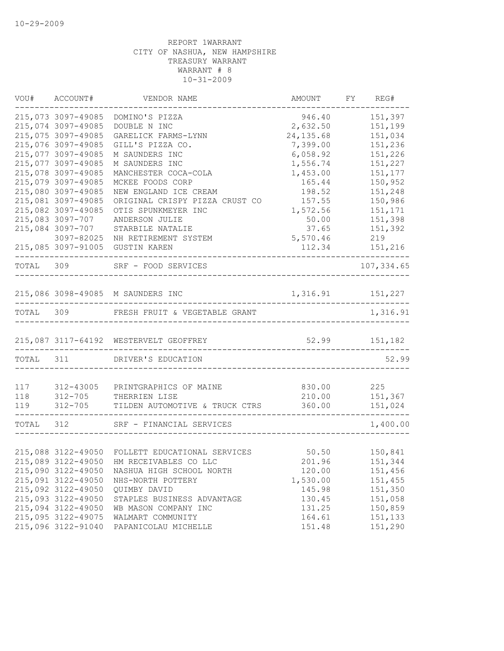|           | VOU# ACCOUNT#      | VENDOR NAME                                     | AMOUNT             | FY REG#        |
|-----------|--------------------|-------------------------------------------------|--------------------|----------------|
|           | 215,073 3097-49085 | DOMINO'S PIZZA                                  | 946.40             | 151,397        |
|           | 215,074 3097-49085 | DOUBLE N INC                                    | 2,632.50           | 151,199        |
|           | 215,075 3097-49085 | GARELICK FARMS-LYNN                             | 24, 135.68         | 151,034        |
|           | 215,076 3097-49085 | GILL'S PIZZA CO.                                | 7,399.00           | 151,236        |
|           | 215,077 3097-49085 | M SAUNDERS INC                                  | 6,058.92           | 151,226        |
|           | 215,077 3097-49085 | M SAUNDERS INC                                  | 1,556.74           | 151,227        |
|           | 215,078 3097-49085 | MANCHESTER COCA-COLA                            | 1,453.00           | 151,177        |
|           | 215,079 3097-49085 | MCKEE FOODS CORP                                | 165.44             | 150,952        |
|           | 215,080 3097-49085 | NEW ENGLAND ICE CREAM                           | 198.52             | 151,248        |
|           | 215,081 3097-49085 | ORIGINAL CRISPY PIZZA CRUST CO                  | 157.55             | 150,986        |
|           | 215,082 3097-49085 | OTIS SPUNKMEYER INC                             | 1,572.56           | 151,171        |
|           | 215,083 3097-707   | ANDERSON JULIE                                  | 50.00              | 151,398        |
|           | 215,084 3097-707   | STARBILE NATALIE                                | 37.65              | 151,392        |
|           | 3097-82025         | NH RETIREMENT SYSTEM                            | 5,570.46           | 219            |
|           | 215,085 3097-91005 | GUSTIN KAREN<br>_______________                 | 112.34             | 151,216        |
| TOTAL 309 |                    | SRF - FOOD SERVICES<br>------------------       |                    | 107,334.65     |
|           |                    |                                                 |                    |                |
|           |                    | 215,086 3098-49085 M SAUNDERS INC<br>. <u>.</u> | 1, 316.91 151, 227 |                |
|           |                    | TOTAL 309 FRESH FRUIT & VEGETABLE GRANT         |                    | 1,316.91       |
|           |                    | 215,087 3117-64192 WESTERVELT GEOFFREY          | $52.99$ $151,182$  |                |
|           |                    | TOTAL 311 DRIVER'S EDUCATION                    |                    | 52.99          |
|           |                    |                                                 |                    |                |
| 117       |                    | 312-43005 PRINTGRAPHICS OF MAINE                | 830.00             | 225            |
| 118       |                    | 312-705 THERRIEN LISE                           |                    | 210.00 151,367 |
| 119       |                    | 312-705 TILDEN AUTOMOTIVE & TRUCK CTRS          | 360.00             | 151,024        |
| TOTAL 312 |                    | SRF - FINANCIAL SERVICES                        |                    | 1,400.00       |
|           |                    |                                                 |                    |                |
|           | 215,088 3122-49050 | FOLLETT EDUCATIONAL SERVICES                    |                    | 50.50 150,841  |
|           |                    | 215,089 3122-49050 HM RECEIVABLES CO LLC        |                    | 201.96 151,344 |
|           | 215,090 3122-49050 | NASHUA HIGH SCHOOL NORTH                        | 120.00             | 151,456        |
|           | 215,091 3122-49050 | NHS-NORTH POTTERY                               | 1,530.00           | 151,455        |
|           | 215,092 3122-49050 | QUIMBY DAVID                                    | 145.98             | 151,350        |
|           | 215,093 3122-49050 | STAPLES BUSINESS ADVANTAGE                      | 130.45             | 151,058        |
|           | 215,094 3122-49050 | WB MASON COMPANY INC                            | 131.25             | 150,859        |
|           | 215,095 3122-49075 | WALMART COMMUNITY                               | 164.61             | 151,133        |
|           | 215,096 3122-91040 | PAPANICOLAU MICHELLE                            | 151.48             | 151,290        |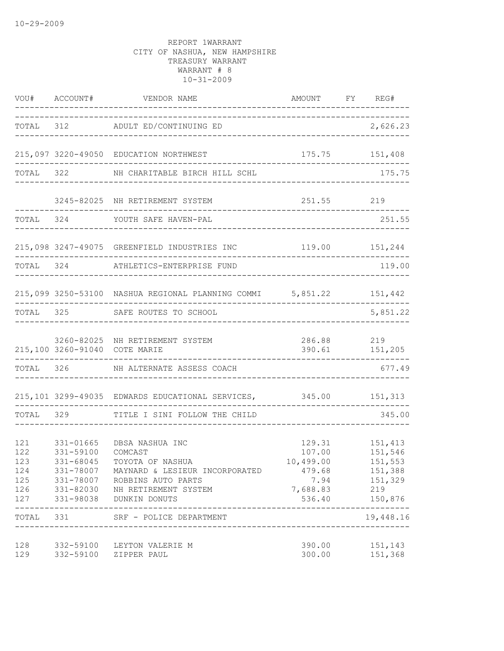|                                               |                                                  | $\verb VOU#   \verb  ACCOUNT#   \verb   VENDOR   \verb NAME $<br>---------------------                                                                                                                 | AMOUNT FY REG#                                                      |                                                                                     |
|-----------------------------------------------|--------------------------------------------------|--------------------------------------------------------------------------------------------------------------------------------------------------------------------------------------------------------|---------------------------------------------------------------------|-------------------------------------------------------------------------------------|
|                                               |                                                  | TOTAL 312 ADULT ED/CONTINUING ED                                                                                                                                                                       | 2,626.23                                                            |                                                                                     |
|                                               |                                                  | 215,097 3220-49050 EDUCATION NORTHWEST<br>. _ _ _ _ _ _ _ _ _ _ _ _ _ _ _ _ _                                                                                                                          | 175.75 151,408                                                      |                                                                                     |
|                                               |                                                  | TOTAL 322 NH CHARITABLE BIRCH HILL SCHL                                                                                                                                                                |                                                                     | 175.75                                                                              |
|                                               |                                                  | 3245-82025 NH RETIREMENT SYSTEM                                                                                                                                                                        | 251.55 219                                                          |                                                                                     |
|                                               |                                                  | TOTAL 324 YOUTH SAFE HAVEN-PAL                                                                                                                                                                         |                                                                     | 251.55                                                                              |
|                                               |                                                  | 215,098 3247-49075 GREENFIELD INDUSTRIES INC 119.00 151,244                                                                                                                                            |                                                                     |                                                                                     |
| TOTAL 324                                     |                                                  | ATHLETICS-ENTERPRISE FUND                                                                                                                                                                              |                                                                     | 119.00                                                                              |
|                                               |                                                  | 215,099 3250-53100 NASHUA REGIONAL PLANNING COMMI 5,851.22 151,442<br>-------------------------------------                                                                                            |                                                                     | _______________                                                                     |
|                                               |                                                  | TOTAL 325 SAFE ROUTES TO SCHOOL                                                                                                                                                                        |                                                                     | 5,851.22                                                                            |
|                                               | 215,100 3260-91040 COTE MARIE                    | 3260-82025 NH RETIREMENT SYSTEM                                                                                                                                                                        | 286.88 219                                                          | 390.61 151,205                                                                      |
|                                               |                                                  | ________________________________<br>TOTAL 326 NH ALTERNATE ASSESS COACH                                                                                                                                | --------------------------------------                              | 677.49                                                                              |
|                                               |                                                  | 215,101 3299-49035 EDWARDS EDUCATIONAL SERVICES, 345.00 151,313                                                                                                                                        |                                                                     |                                                                                     |
|                                               |                                                  | TOTAL 329 TITLE I SINI FOLLOW THE CHILD                                                                                                                                                                |                                                                     | 345.00                                                                              |
| 121<br>122<br>123<br>124<br>125<br>126<br>127 | 331-01665<br>331-59100<br>331-68045<br>331-78007 | DBSA NASHUA INC<br>COMCAST<br>TOYOTA OF NASHUA<br>MAYNARD & LESIEUR INCORPORATED<br>331-78007 ROBBINS AUTO PARTS<br>331-82030 NH RETIREMENT SYSTEM<br>331-98038 DUNKIN DONUTS<br>_____________________ | 107.00<br>10,499.00 151,553<br>479.68<br>7.94<br>7,688.83<br>536.40 | 129.31 151,413<br>151,546<br>151,388<br>151,329<br>219<br>150,876<br>-------------- |
| TOTAL 331                                     |                                                  | SRF - POLICE DEPARTMENT<br>--------------------------                                                                                                                                                  |                                                                     | 19,448.16                                                                           |
| 128<br>129                                    |                                                  | 332-59100 LEYTON VALERIE M<br>332-59100 ZIPPER PAUL                                                                                                                                                    | 390.00<br>300.00                                                    | 151,143<br>151,368                                                                  |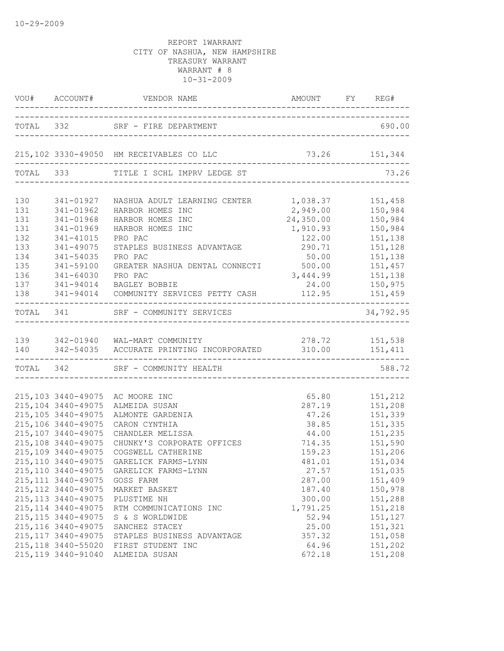|                          |                                                                   | VOU# ACCOUNT# VENDOR NAME                                                                                          | AMOUNT FY REG#                  |                               |
|--------------------------|-------------------------------------------------------------------|--------------------------------------------------------------------------------------------------------------------|---------------------------------|-------------------------------|
|                          |                                                                   | TOTAL 332 SRF - FIRE DEPARTMENT                                                                                    |                                 | 690.00                        |
|                          |                                                                   | 215,102 3330-49050 HM RECEIVABLES CO LLC 73.26 151,344                                                             |                                 |                               |
|                          |                                                                   | TOTAL 333 TITLE I SCHL IMPRV LEDGE ST                                                                              |                                 | 73.26                         |
| 130<br>131               | 341-01927<br>341-01962                                            | NASHUA ADULT LEARNING CENTER 1,038.37<br>HARBOR HOMES INC                                                          | 2,949.00                        | 151,458<br>150,984            |
| 131<br>131<br>132        | 341-01968<br>341-01969<br>341-41015                               | HARBOR HOMES INC<br>HARBOR HOMES INC<br>PRO PAC                                                                    | 24,350.00<br>1,910.93<br>122.00 | 150,984<br>150,984<br>151,138 |
| 133<br>134               | 341-49075<br>341-54035                                            | STAPLES BUSINESS ADVANTAGE<br>PRO PAC<br>GREATER NASHUA DENTAL CONNECTI 500.00 151,457                             | 290.71<br>50.00 151,138         | 151,128                       |
| 135<br>136<br>137<br>138 | 341-59100<br>$341 - 64030$<br>341-94014                           | PRO PAC<br>341-94014 BAGLEY BOBBIE 24.00 150,975<br>341-94014 COMMUNITY SERVICES PETTY CASH 112.95 151,459         | 3,444.99                        | 151,138                       |
|                          |                                                                   | TOTAL 341 SRF - COMMUNITY SERVICES                                                                                 |                                 | 34,792.95                     |
|                          |                                                                   |                                                                                                                    |                                 |                               |
|                          |                                                                   | 139 342-01940 WAL-MART COMMUNITY 139 278.72 151,538<br>140 342-54035 ACCURATE PRINTING INCORPORATED 310.00 151,411 |                                 |                               |
|                          |                                                                   | TOTAL 342 SRF - COMMUNITY HEALTH                                                                                   |                                 | 588.72                        |
|                          |                                                                   | 215,103 3440-49075 AC MOORE INC                                                                                    | 65.80 151,212                   |                               |
|                          | 215, 104 3440-49075<br>215,105 3440-49075                         | ALMEIDA SUSAN<br>ALMONTE GARDENIA                                                                                  | 47.26 151,339                   | 287.19 151,208                |
|                          | 215,106 3440-49075<br>215,107 3440-49075<br>215,108 3440-49075    | CARON CYNTHIA<br>CHANDLER MELISSA<br>CHUNKY'S CORPORATE OFFICES                                                    | 38.85 151,335<br>44.00 151,235  | 714.35 151,590                |
|                          | 215,109 3440-49075                                                | COGSWELL CATHERINE<br>215,110 3440-49075 GARELICK FARMS-LYNN<br>215,110 3440-49075 GARELICK FARMS-LYNN             | 159.23<br>481.01<br>27.57       | 151,206<br>151,034<br>151,035 |
|                          | 215, 111 3440-49075<br>215, 112 3440-49075<br>215, 113 3440-49075 | GOSS FARM<br>MARKET BASKET<br>PLUSTIME NH                                                                          | 287.00<br>187.40<br>300.00      | 151,409<br>150,978<br>151,288 |
|                          | 215, 114 3440-49075<br>215, 115 3440-49075<br>215, 116 3440-49075 | RTM COMMUNICATIONS INC<br>S & S WORLDWIDE<br>SANCHEZ STACEY                                                        | 1,791.25<br>52.94<br>25.00      | 151,218<br>151,127<br>151,321 |
|                          | 215, 117 3440-49075<br>215, 118 3440-55020<br>215, 119 3440-91040 | STAPLES BUSINESS ADVANTAGE<br>FIRST STUDENT INC<br>ALMEIDA SUSAN                                                   | 357.32<br>64.96<br>672.18       | 151,058<br>151,202<br>151,208 |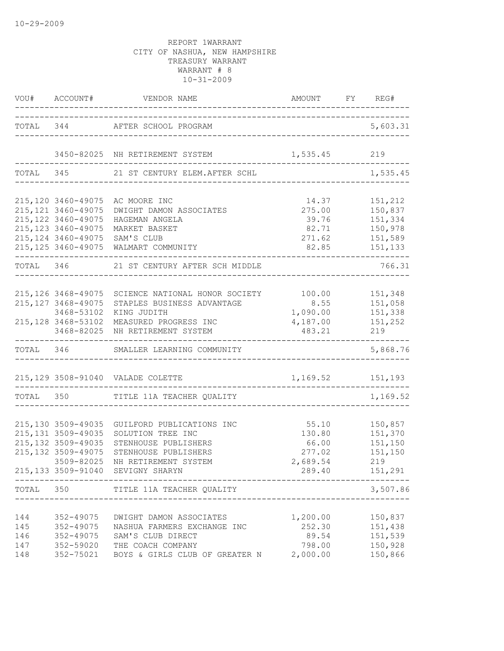|                                 |                                                                                          | VOU# ACCOUNT# VENDOR NAME AMOUNT FY                                                                                                                                       | AMOUNT FY REG#                                             |                                                            |
|---------------------------------|------------------------------------------------------------------------------------------|---------------------------------------------------------------------------------------------------------------------------------------------------------------------------|------------------------------------------------------------|------------------------------------------------------------|
|                                 |                                                                                          | TOTAL 344 AFTER SCHOOL PROGRAM<br>--------------------------------                                                                                                        |                                                            | 5,603.31                                                   |
|                                 |                                                                                          | 3450-82025 NH RETIREMENT SYSTEM 1,535.45 219<br>__________________                                                                                                        |                                                            |                                                            |
|                                 |                                                                                          | TOTAL 345 21 ST CENTURY ELEM.AFTER SCHL                                                                                                                                   |                                                            | 1,535.45                                                   |
|                                 | 215, 121 3460-49075<br>215, 122 3460-49075<br>215, 123 3460-49075<br>215, 124 3460-49075 | 215,120 3460-49075 AC MOORE INC<br>DWIGHT DAMON ASSOCIATES<br>HAGEMAN ANGELA<br>MARKET BASKET<br>SAM'S CLUB<br>215,125 3460-49075 WALMART COMMUNITY                       | 14.37<br>275.00<br>39.76<br>82.71 150,978<br>82.85 151,133 | 151,212<br>150,837<br>151,334<br>271.62 151,589            |
|                                 | TOTAL 346                                                                                | 21 ST CENTURY AFTER SCH MIDDLE                                                                                                                                            |                                                            | 766.31                                                     |
|                                 | 215, 126 3468-49075<br>215, 127 3468-49075<br>3468-53102                                 | SCIENCE NATIONAL HONOR SOCIETY 100.00 151,348<br>STAPLES BUSINESS ADVANTAGE<br>KING JUDITH<br>215,128 3468-53102 MEASURED PROGRESS INC<br>3468-82025 NH RETIREMENT SYSTEM | 8.55<br>1,090.00<br>4,187.00<br>483.21                     | 151,058<br>151,338<br>151,252<br>219                       |
|                                 |                                                                                          | TOTAL 346 SMALLER LEARNING COMMUNITY                                                                                                                                      |                                                            | 5,868.76                                                   |
|                                 |                                                                                          | 215,129 3508-91040 VALADE COLETTE<br>TOTAL 350 TITLE 11A TEACHER QUALITY                                                                                                  | 1,169.52 151,193                                           | 1,169.52                                                   |
|                                 | 215,130 3509-49035<br>215, 131 3509-49035<br>215, 132 3509-49035<br>215, 132 3509-49075  | GUILFORD PUBLICATIONS INC<br>SOLUTION TREE INC<br>STENHOUSE PUBLISHERS<br>STENHOUSE PUBLISHERS<br>3509-82025 NH RETIREMENT SYSTEM<br>215,133 3509-91040 SEVIGNY SHARYN    | 55.10<br>130.80<br>66.00<br>277.02<br>2,689.54<br>289.40   | 150,857<br>151,370<br>151,150<br>151,150<br>219<br>151,291 |
| TOTAL                           | 350                                                                                      | TITLE 11A TEACHER QUALITY                                                                                                                                                 | -----------------------------                              | 3,507.86                                                   |
| 144<br>145<br>146<br>147<br>148 | 352-49075<br>352-49075<br>352-49075<br>352-59020<br>352-75021                            | DWIGHT DAMON ASSOCIATES<br>NASHUA FARMERS EXCHANGE INC<br>SAM'S CLUB DIRECT<br>THE COACH COMPANY<br>BOYS & GIRLS CLUB OF GREATER N                                        | 1,200.00<br>252.30<br>89.54<br>798.00<br>2,000.00          | 150,837<br>151,438<br>151,539<br>150,928<br>150,866        |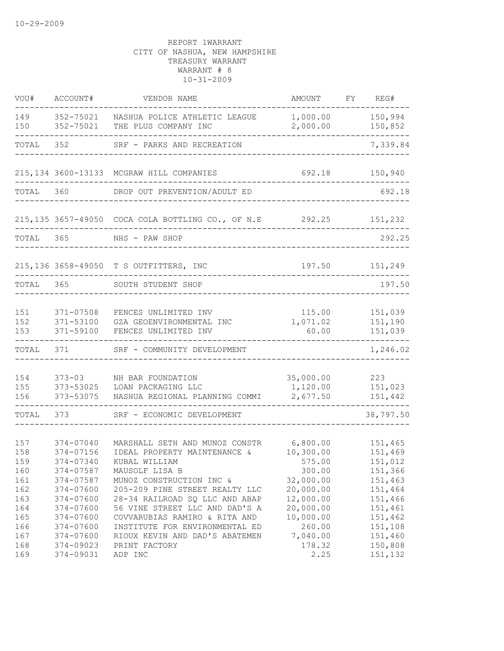| VOU#                                                               | ACCOUNT#                                                                                                                       | VENDOR NAME                                                                                                                                                                                                                                                                                            | AMOUNT                                                                                                               | FY REG#                                                                                                    |
|--------------------------------------------------------------------|--------------------------------------------------------------------------------------------------------------------------------|--------------------------------------------------------------------------------------------------------------------------------------------------------------------------------------------------------------------------------------------------------------------------------------------------------|----------------------------------------------------------------------------------------------------------------------|------------------------------------------------------------------------------------------------------------|
| 149<br>150                                                         | 352-75021<br>352-75021                                                                                                         | NASHUA POLICE ATHLETIC LEAGUE<br>THE PLUS COMPANY INC                                                                                                                                                                                                                                                  | 1,000.00<br>2,000.00                                                                                                 | 150,994<br>150,852                                                                                         |
| TOTAL                                                              | 352                                                                                                                            | SRF - PARKS AND RECREATION                                                                                                                                                                                                                                                                             |                                                                                                                      | 7,339.84                                                                                                   |
|                                                                    |                                                                                                                                | 215,134 3600-13133 MCGRAW HILL COMPANIES                                                                                                                                                                                                                                                               | 692.18                                                                                                               | 150,940                                                                                                    |
| TOTAL                                                              | 360                                                                                                                            | DROP OUT PREVENTION/ADULT ED                                                                                                                                                                                                                                                                           |                                                                                                                      | 692.18                                                                                                     |
|                                                                    |                                                                                                                                | 215,135 3657-49050 COCA COLA BOTTLING CO., OF N.E 292.25                                                                                                                                                                                                                                               |                                                                                                                      | 151,232                                                                                                    |
| TOTAL                                                              | 365                                                                                                                            | NHS - PAW SHOP                                                                                                                                                                                                                                                                                         |                                                                                                                      | 292.25                                                                                                     |
|                                                                    |                                                                                                                                | 215,136 3658-49050 T S OUTFITTERS, INC                                                                                                                                                                                                                                                                 | 197.50                                                                                                               | 151,249                                                                                                    |
| TOTAL                                                              | 365                                                                                                                            | SOUTH STUDENT SHOP                                                                                                                                                                                                                                                                                     |                                                                                                                      | 197.50                                                                                                     |
| 151<br>152<br>153                                                  | 371-07508<br>371-53100<br>371-59100                                                                                            | FENCES UNLIMITED INV<br>GZA GEOENVIRONMENTAL INC<br>FENCES UNLIMITED INV                                                                                                                                                                                                                               | 115.00<br>1,071.02<br>60.00                                                                                          | 151,039<br>151,190<br>151,039                                                                              |
| TOTAL                                                              | 371                                                                                                                            | SRF - COMMUNITY DEVELOPMENT                                                                                                                                                                                                                                                                            |                                                                                                                      | 1,246.02                                                                                                   |
| 154<br>155<br>156                                                  | $373 - 03$<br>373-53075                                                                                                        | NH BAR FOUNDATION<br>373-53025 LOAN PACKAGING LLC<br>NASHUA REGIONAL PLANNING COMMI                                                                                                                                                                                                                    | 35,000.00<br>1,120.00<br>2,677.50                                                                                    | 223<br>151,023<br>151,442                                                                                  |
| TOTAL                                                              | 373                                                                                                                            | SRF - ECONOMIC DEVELOPMENT                                                                                                                                                                                                                                                                             |                                                                                                                      | 38,797.50                                                                                                  |
| 157<br>158<br>159<br>160<br>161<br>162<br>163<br>164<br>165<br>166 | 374-07040<br>374-07156<br>374-07340<br>374-07587<br>374-07587<br>374-07600<br>374-07600<br>374-07600<br>374-07600<br>374-07600 | MARSHALL SETH AND MUNOZ CONSTR<br>IDEAL PROPERTY MAINTENANCE &<br>KUBAL WILLIAM<br>MAUSOLF LISA B<br>MUNOZ CONSTRUCTION INC &<br>205-209 PINE STREET REALTY LLC<br>28-34 RAILROAD SQ LLC AND ABAP<br>56 VINE STREET LLC AND DAD'S A<br>COVVARUBIAS RAMIRO & RITA AND<br>INSTITUTE FOR ENVIRONMENTAL ED | 6,800.00<br>10,300.00<br>575.00<br>300.00<br>32,000.00<br>20,000.00<br>12,000.00<br>20,000.00<br>10,000.00<br>260.00 | 151,465<br>151,469<br>151,012<br>151,366<br>151,463<br>151,464<br>151,466<br>151,461<br>151,462<br>151,108 |
| 167<br>168<br>169                                                  | 374-07600<br>374-09023<br>374-09031                                                                                            | RIOUX KEVIN AND DAD'S ABATEMEN<br>PRINT FACTORY<br>ADP INC                                                                                                                                                                                                                                             | 7,040.00<br>178.32<br>2.25                                                                                           | 151,460<br>150,808<br>151,132                                                                              |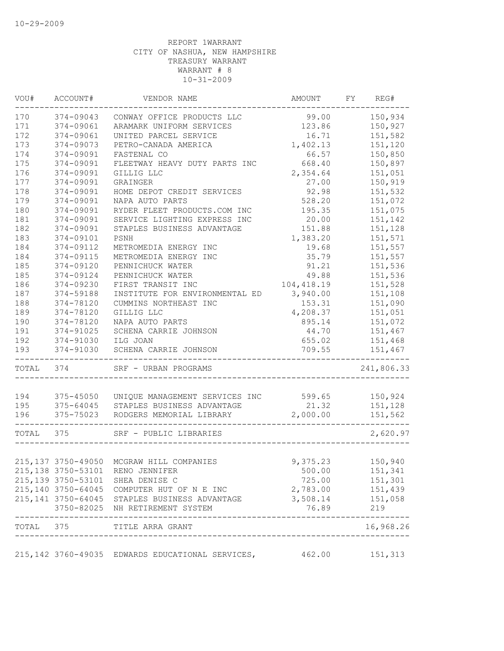| VOU#       | ACCOUNT#           | VENDOR NAME                                                     | AMOUNT     | FY | REG#               |
|------------|--------------------|-----------------------------------------------------------------|------------|----|--------------------|
| 170        | 374-09043          | CONWAY OFFICE PRODUCTS LLC                                      | 99.00      |    | 150,934            |
| 171        | 374-09061          | ARAMARK UNIFORM SERVICES                                        | 123.86     |    | 150,927            |
| 172        | 374-09061          | UNITED PARCEL SERVICE                                           | 16.71      |    | 151,582            |
| 173        | 374-09073          | PETRO-CANADA AMERICA                                            | 1,402.13   |    | 151,120            |
| 174        | 374-09091          | FASTENAL CO                                                     | 66.57      |    | 150,850            |
| 175        | 374-09091          | FLEETWAY HEAVY DUTY PARTS INC                                   | 668.40     |    | 150,897            |
| 176        | 374-09091          | GILLIG LLC                                                      | 2,354.64   |    | 151,051            |
| 177        | 374-09091          | <b>GRAINGER</b>                                                 | 27.00      |    | 150,919            |
| 178        | 374-09091          | HOME DEPOT CREDIT SERVICES                                      | 92.98      |    | 151,532            |
| 179        | 374-09091          | NAPA AUTO PARTS                                                 | 528.20     |    | 151,072            |
| 180        | 374-09091          | RYDER FLEET PRODUCTS.COM INC                                    | 195.35     |    | 151,075            |
| 181        | 374-09091          | SERVICE LIGHTING EXPRESS INC                                    | 20.00      |    | 151,142            |
| 182        | 374-09091          | STAPLES BUSINESS ADVANTAGE                                      | 151.88     |    | 151,128            |
| 183        | 374-09101          | PSNH                                                            | 1,383.20   |    | 151,571            |
| 184        | 374-09112          | METROMEDIA ENERGY INC                                           | 19.68      |    | 151,557            |
| 184        | 374-09115          | METROMEDIA ENERGY INC                                           | 35.79      |    | 151,557            |
| 185        | 374-09120          | PENNICHUCK WATER                                                | 91.21      |    | 151,536            |
| 185        | 374-09124          | PENNICHUCK WATER                                                | 49.88      |    | 151,536            |
| 186        | 374-09230          | FIRST TRANSIT INC                                               | 104,418.19 |    | 151,528            |
| 187        | 374-59188          | INSTITUTE FOR ENVIRONMENTAL ED                                  | 3,940.00   |    | 151,108            |
| 188        | 374-78120          | CUMMINS NORTHEAST INC                                           | 153.31     |    | 151,090            |
| 189        | 374-78120          | GILLIG LLC                                                      | 4,208.37   |    | 151,051            |
| 190        | 374-78120          | NAPA AUTO PARTS                                                 | 895.14     |    | 151,072            |
| 191        | 374-91025          | SCHENA CARRIE JOHNSON                                           | 44.70      |    |                    |
|            |                    |                                                                 |            |    | 151,467            |
| 192<br>193 | 374-91030          | ILG JOAN                                                        | 655.02     |    | 151,468            |
|            | 374-91030          | SCHENA CARRIE JOHNSON                                           | 709.55     |    | 151,467            |
| TOTAL      | 374                | SRF - URBAN PROGRAMS                                            |            |    | 241,806.33         |
| 194        | 375-45050          | UNIQUE MANAGEMENT SERVICES INC                                  | 599.65     |    | 150,924            |
| 195        | 375-64045          | STAPLES BUSINESS ADVANTAGE                                      | 21.32      |    | 151,128            |
| 196        | 375-75023          | RODGERS MEMORIAL LIBRARY                                        | 2,000.00   |    | 151,562            |
|            |                    | --------------                                                  |            |    |                    |
| TOTAL 375  |                    | SRF - PUBLIC LIBRARIES                                          |            |    | 2,620.97           |
|            |                    |                                                                 |            |    |                    |
|            |                    | 215,137 3750-49050 MCGRAW HILL COMPANIES                        | 9,375.23   |    | 150,940            |
|            |                    | 215,138 3750-53101 RENO JENNIFER                                | 500.00     |    | 151,341            |
|            | 215,139 3750-53101 | SHEA DENISE C                                                   | 725.00     |    | 151,301            |
|            |                    | 215,140 3750-64045 COMPUTER HUT OF N E INC                      | 2,783.00   |    |                    |
|            |                    | 215, 141 3750-64045 STAPLES BUSINESS ADVANTAGE 3, 508.14        |            |    | 151,439<br>151,058 |
|            | ------------       | 3750-82025 NH RETIREMENT SYSTEM                                 | 76.89      |    | 219                |
|            |                    | TOTAL 375 TITLE ARRA GRANT                                      |            |    | 16,968.26          |
|            |                    |                                                                 |            |    |                    |
|            |                    | 215,142 3760-49035 EDWARDS EDUCATIONAL SERVICES, 462.00 151,313 |            |    |                    |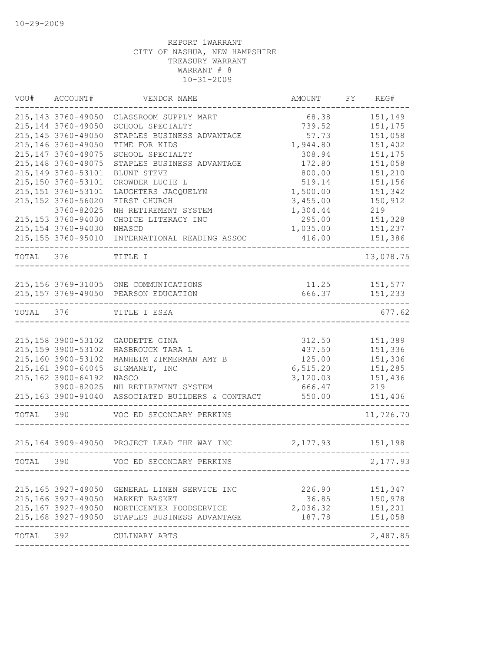| VOU#      | ACCOUNT#            | VENDOR NAME                                        | AMOUNT   | FY | REG#                |
|-----------|---------------------|----------------------------------------------------|----------|----|---------------------|
|           | 215, 143 3760-49050 | CLASSROOM SUPPLY MART                              | 68.38    |    | 151,149             |
|           | 215, 144 3760-49050 | SCHOOL SPECIALTY                                   | 739.52   |    | 151,175             |
|           | 215, 145 3760-49050 | STAPLES BUSINESS ADVANTAGE                         | 57.73    |    | 151,058             |
|           | 215, 146 3760-49050 | TIME FOR KIDS                                      | 1,944.80 |    | 151,402             |
|           | 215, 147 3760-49075 | SCHOOL SPECIALTY                                   | 308.94   |    | 151,175             |
|           | 215, 148 3760-49075 | STAPLES BUSINESS ADVANTAGE                         | 172.80   |    | 151,058             |
|           | 215, 149 3760-53101 | BLUNT STEVE                                        | 800.00   |    | 151,210             |
|           | 215,150 3760-53101  | CROWDER LUCIE L                                    | 519.14   |    | 151,156             |
|           | 215, 151 3760-53101 | LAUGHTERS JACQUELYN                                | 1,500.00 |    | 151,342             |
|           | 215, 152 3760-56020 | FIRST CHURCH                                       | 3,455.00 |    | 150,912             |
|           | 3760-82025          | NH RETIREMENT SYSTEM                               | 1,304.44 |    | 219                 |
|           | 215, 153 3760-94030 | CHOICE LITERACY INC                                | 295.00   |    | 151,328             |
|           | 215, 154 3760-94030 | NHASCD                                             | 1,035.00 |    | 151,237             |
|           | 215, 155 3760-95010 | INTERNATIONAL READING ASSOC                        | 416.00   |    | 151,386             |
| TOTAL     | 376                 | TITLE I                                            |          |    | 13,078.75           |
|           |                     |                                                    |          |    |                     |
|           |                     | 215,156 3769-31005 ONE COMMUNICATIONS              | 11.25    |    | 151,577             |
|           |                     | 215,157 3769-49050 PEARSON EDUCATION               | 666.37   |    | 151,233             |
| TOTAL 376 |                     | ----------------------------------<br>TITLE I ESEA |          |    | 677.62              |
|           |                     |                                                    |          |    |                     |
|           | 215, 158 3900-53102 | GAUDETTE GINA                                      | 312.50   |    | 151,389             |
|           | 215, 159 3900-53102 | HASBROUCK TARA L                                   | 437.50   |    | 151,336             |
|           | 215,160 3900-53102  | MANHEIM ZIMMERMAN AMY B                            | 125.00   |    | 151,306             |
|           | 215,161 3900-64045  | SIGMANET, INC                                      | 6,515.20 |    | 151,285             |
|           | 215, 162 3900-64192 | NASCO                                              | 3,120.03 |    | 151,436             |
|           | 3900-82025          | NH RETIREMENT SYSTEM                               | 666.47   |    | 219                 |
|           | 215, 163 3900-91040 | ASSOCIATED BUILDERS & CONTRACT                     | 550.00   |    | 151,406             |
| TOTAL     | 390                 | VOC ED SECONDARY PERKINS                           |          |    | 11,726.70           |
|           |                     | 215,164 3909-49050 PROJECT LEAD THE WAY INC        | 2,177.93 |    | 151,198             |
| TOTAL 390 |                     | VOC ED SECONDARY PERKINS                           |          |    | 2,177.93            |
|           |                     |                                                    |          |    |                     |
|           | 215, 165 3927-49050 | GENERAL LINEN SERVICE INC                          | 226.90   |    | 151,347             |
|           | 215,166 3927-49050  | MARKET BASKET                                      | 36.85    |    | 150,978             |
|           | 215,167 3927-49050  | NORTHCENTER FOODSERVICE                            | 2,036.32 |    | 151,201             |
|           |                     | 215,168 3927-49050 STAPLES BUSINESS ADVANTAGE      | 187.78   |    | 151,058             |
| TOTAL     | 392                 | CULINARY ARTS                                      |          |    | -------<br>2,487.85 |
|           |                     |                                                    |          |    |                     |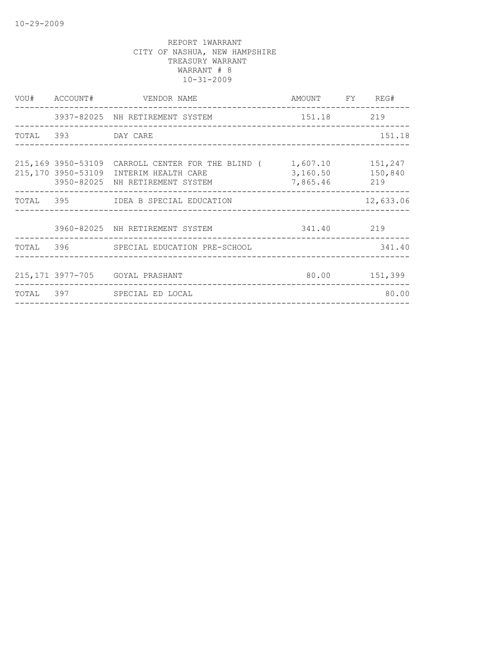|                    | VOU# ACCOUNT# VENDOR NAME                                                                                                      | AMOUNT FY REG#                               | _________________ |
|--------------------|--------------------------------------------------------------------------------------------------------------------------------|----------------------------------------------|-------------------|
|                    | 3937-82025 NH RETIREMENT SYSTEM<br>151.18 219                                                                                  |                                              |                   |
| TOTAL 393 DAY CARE |                                                                                                                                |                                              | 151.18            |
|                    | 215,169 3950-53109 CARROLL CENTER FOR THE BLIND (<br>215,170 3950-53109 INTERIM HEALTH CARE<br>3950-82025 NH RETIREMENT SYSTEM | 1,607.10 151,247<br>3,160.50<br>7,865.46 219 | 150,840           |
|                    | TOTAL 395 IDEA B SPECIAL EDUCATION                                                                                             |                                              | 12,633.06         |
|                    | 3960-82025 NH RETIREMENT SYSTEM 341.40 219                                                                                     |                                              |                   |
|                    | TOTAL 396 SPECIAL EDUCATION PRE-SCHOOL                                                                                         |                                              | 341.40            |
|                    | 215,171 3977-705 GOYAL PRASHANT                                                                                                |                                              | 80.00 151,399     |
|                    | TOTAL 397 SPECIAL ED LOCAL                                                                                                     |                                              | 80.00             |
|                    |                                                                                                                                |                                              |                   |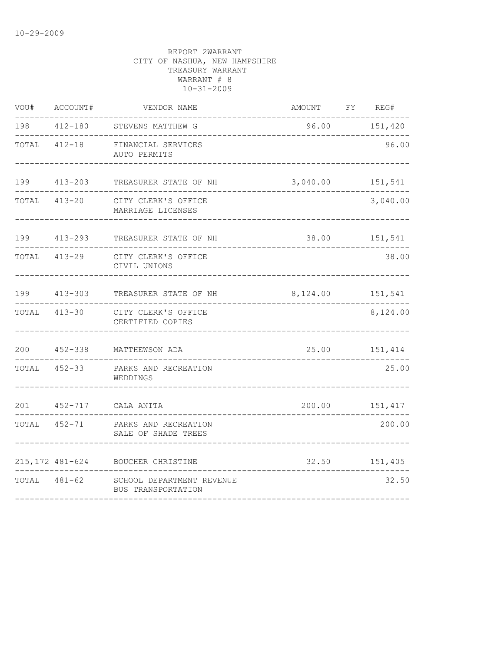| VOU#         | ACCOUNT#     | VENDOR NAME                                        | AMOUNT FY REG#     |               |
|--------------|--------------|----------------------------------------------------|--------------------|---------------|
| 198          |              | 412-180 STEVENS MATTHEW G                          |                    | 96.00 151,420 |
| TOTAL        | $412 - 18$   | FINANCIAL SERVICES<br>AUTO PERMITS                 |                    | 96.00         |
|              | 199 413-203  | TREASURER STATE OF NH                              | 3,040.00 151,541   | -------       |
| TOTAL        |              | 413-20 CITY CLERK'S OFFICE<br>MARRIAGE LICENSES    |                    | 3,040.00      |
|              | 199 413-293  | TREASURER STATE OF NH                              |                    | 38.00 151,541 |
| TOTAL 413-29 |              | CITY CLERK'S OFFICE<br>CIVIL UNIONS                |                    | 38.00         |
| 199          | $413 - 303$  | TREASURER STATE OF NH                              | 8, 124.00 151, 541 |               |
|              | TOTAL 413-30 | CITY CLERK'S OFFICE<br>CERTIFIED COPIES            |                    | 8,124.00      |
| 200          |              | 452-338 MATTHEWSON ADA                             |                    | 25.00 151,414 |
| TOTAL        | $452 - 33$   | PARKS AND RECREATION<br>WEDDINGS                   |                    | 25.00         |
| 201          |              | 452-717 CALA ANITA                                 | 200.00   151,417   |               |
| TOTAL        |              | 452-71 PARKS AND RECREATION<br>SALE OF SHADE TREES |                    | 200.00        |
|              |              | 215, 172 481-624 BOUCHER CHRISTINE                 | 32.50              | 151,405       |
| TOTAL 481-62 |              | SCHOOL DEPARTMENT REVENUE<br>BUS TRANSPORTATION    |                    | 32.50         |
|              |              |                                                    |                    |               |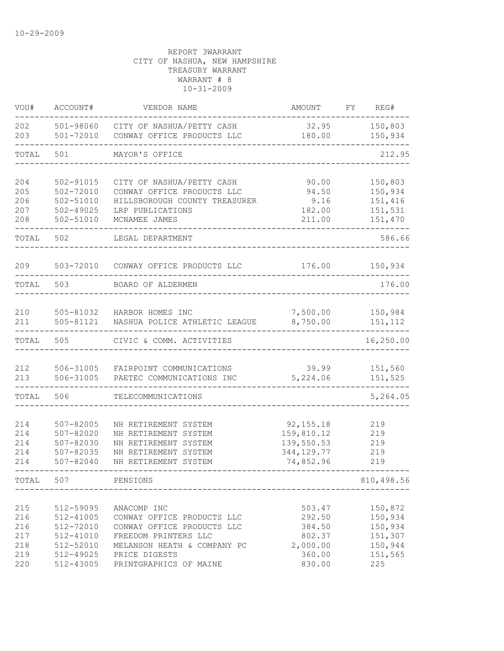| VOU#                                          | ACCOUNT#                                                                                | VENDOR NAME                                                                                                                                                               | AMOUNT                                                               | FY | REG#                                                                  |
|-----------------------------------------------|-----------------------------------------------------------------------------------------|---------------------------------------------------------------------------------------------------------------------------------------------------------------------------|----------------------------------------------------------------------|----|-----------------------------------------------------------------------|
| 202<br>203                                    | $501 - 72010$                                                                           | 501-98060 CITY OF NASHUA/PETTY CASH<br>CONWAY OFFICE PRODUCTS LLC                                                                                                         | 32.95<br>180.00                                                      |    | 150,803<br>150,934                                                    |
| TOTAL                                         | 501                                                                                     | MAYOR'S OFFICE                                                                                                                                                            |                                                                      |    | 212.95                                                                |
| 204<br>205<br>206<br>207<br>208               | 502-91015<br>502-72010<br>502-51010<br>$502 - 49025$<br>$502 - 51010$                   | CITY OF NASHUA/PETTY CASH<br>CONWAY OFFICE PRODUCTS LLC<br>HILLSBOROUGH COUNTY TREASURER<br>LRP PUBLICATIONS<br>MCNAMEE JAMES                                             | 90.00<br>94.50<br>9.16<br>182.00<br>211.00                           |    | 150,803<br>150,934<br>151,416<br>151,531<br>151,470                   |
| TOTAL                                         | 502                                                                                     | LEGAL DEPARTMENT                                                                                                                                                          |                                                                      |    | 586.66                                                                |
| 209                                           | 503-72010                                                                               | CONWAY OFFICE PRODUCTS LLC                                                                                                                                                | 176.00                                                               |    | 150,934                                                               |
| TOTAL                                         | 503                                                                                     | BOARD OF ALDERMEN                                                                                                                                                         |                                                                      |    | 176.00                                                                |
| 210<br>211                                    | 505-81032<br>505-81121                                                                  | HARBOR HOMES INC<br>NASHUA POLICE ATHLETIC LEAGUE                                                                                                                         | 7,500.00<br>8,750.00                                                 |    | 150,984<br>151,112                                                    |
| TOTAL                                         | 505                                                                                     | CIVIC & COMM. ACTIVITIES                                                                                                                                                  |                                                                      |    | 16,250.00                                                             |
| 212<br>213                                    | 506-31005                                                                               | 506-31005 FAIRPOINT COMMUNICATIONS<br>PAETEC COMMUNICATIONS INC                                                                                                           | 39.99<br>5,224.06                                                    |    | 151,560<br>151,525                                                    |
| TOTAL                                         | 506                                                                                     | TELECOMMUNICATIONS                                                                                                                                                        |                                                                      |    | 5,264.05                                                              |
| 214<br>214<br>214<br>214<br>214               | $507 - 82005$<br>$507 - 82020$<br>507-82030<br>507-82035<br>$507 - 82040$               | NH RETIREMENT SYSTEM<br>NH RETIREMENT SYSTEM<br>NH RETIREMENT SYSTEM<br>NH RETIREMENT SYSTEM<br>NH RETIREMENT SYSTEM                                                      | 92, 155. 18<br>159,810.12<br>139,550.53<br>344,129.77<br>74,852.96   |    | 219<br>219<br>219<br>219<br>219                                       |
| TOTAL                                         | 507                                                                                     | PENSIONS                                                                                                                                                                  |                                                                      |    | 810,498.56                                                            |
| 215<br>216<br>216<br>217<br>218<br>219<br>220 | 512-59095<br>512-41005<br>512-72010<br>512-41010<br>512-52010<br>512-49025<br>512-43005 | ANACOMP INC<br>CONWAY OFFICE PRODUCTS LLC<br>CONWAY OFFICE PRODUCTS LLC<br>FREEDOM PRINTERS LLC<br>MELANSON HEATH & COMPANY PC<br>PRICE DIGESTS<br>PRINTGRAPHICS OF MAINE | 503.47<br>292.50<br>384.50<br>802.37<br>2,000.00<br>360.00<br>830.00 |    | 150,872<br>150,934<br>150,934<br>151,307<br>150,944<br>151,565<br>225 |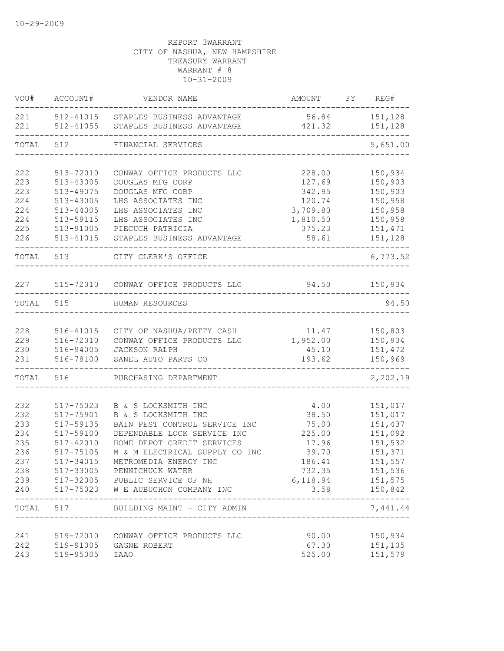| VOU#       | ACCOUNT#               | VENDOR NAME                                                                  | AMOUNT                  | FY REG#            |
|------------|------------------------|------------------------------------------------------------------------------|-------------------------|--------------------|
| 221<br>221 |                        | 512-41015 STAPLES BUSINESS ADVANTAGE<br>512-41055 STAPLES BUSINESS ADVANTAGE | 56.84 151,128<br>421.32 | 151,128            |
| TOTAL      | 512                    | FINANCIAL SERVICES                                                           |                         | 5,651.00           |
|            |                        | __________________________________                                           |                         |                    |
| 222        | 513-72010              | CONWAY OFFICE PRODUCTS LLC                                                   | 228.00                  | 150,934            |
| 223        | 513-43005              | DOUGLAS MFG CORP                                                             | 127.69                  | 150,903            |
| 223        | 513-49075              | DOUGLAS MFG CORP                                                             | 342.95                  | 150,903            |
| 224        | 513-43005              | LHS ASSOCIATES INC                                                           | 120.74                  | 150,958            |
| 224        | 513-44005              | LHS ASSOCIATES INC                                                           | 3,709.80                | 150,958            |
| 224        | 513-59115              | LHS ASSOCIATES INC                                                           | 1,810.50                | 150,958            |
| 225        | 513-91005              | PIECUCH PATRICIA                                                             | 375.23                  | 151,471            |
| 226        | 513-41015              | STAPLES BUSINESS ADVANTAGE                                                   | 58.61                   | 151,128            |
| TOTAL      | 513                    | CITY CLERK'S OFFICE                                                          |                         | 6,773.52           |
| 227        |                        | 515-72010 CONWAY OFFICE PRODUCTS LLC                                         | 94.50 150,934           |                    |
| TOTAL      | 515                    | HUMAN RESOURCES                                                              |                         | 94.50              |
|            |                        |                                                                              |                         |                    |
| 228        | 516-41015              | CITY OF NASHUA/PETTY CASH                                                    | 11.47                   | 150,803            |
| 229        | 516-72010              | CONWAY OFFICE PRODUCTS LLC                                                   | 1,952.00                | 150,934            |
| 230        | 516-94005              | <b>JACKSON RALPH</b>                                                         | 45.10                   | 151,472            |
| 231        | 516-78100              | SANEL AUTO PARTS CO                                                          | 193.62                  | 150,969            |
| TOTAL      | 516                    | PURCHASING DEPARTMENT                                                        |                         | 2,202.19           |
| 232        |                        | B & S LOCKSMITH INC                                                          | 4.00                    |                    |
| 232        | 517-75023<br>517-75901 | B & S LOCKSMITH INC                                                          | 38.50                   | 151,017<br>151,017 |
| 233        | 517-59135              | BAIN PEST CONTROL SERVICE INC                                                | 75.00                   | 151,437            |
| 234        | 517-59100              | DEPENDABLE LOCK SERVICE INC                                                  | 225.00                  | 151,092            |
| 235        | $517 - 42010$          | HOME DEPOT CREDIT SERVICES                                                   | 17.96                   | 151,532            |
| 236        | 517-75105              | M & M ELECTRICAL SUPPLY CO INC                                               | 39.70                   | 151,371            |
|            |                        | METROMEDIA ENERGY INC                                                        |                         |                    |
| 237        | 517-34015              |                                                                              | 186.41                  | 151,557            |
| 238        |                        | 517-33005 PENNICHUCK WATER                                                   | 732.35                  | 151,536            |
| 239<br>240 |                        | 517-32005 PUBLIC SERVICE OF NH<br>517-75023 W E AUBUCHON COMPANY INC         | 6,118.94<br>3.58        | 151,575<br>150,842 |
|            |                        |                                                                              |                         | $- - - - -$        |
|            | TOTAL 517              | BUILDING MAINT - CITY ADMIN                                                  |                         | 7,441.44           |
| 241        |                        | 519-72010 CONWAY OFFICE PRODUCTS LLC                                         | 90.00                   | 150,934            |
| 242        |                        | 519-91005 GAGNE ROBERT                                                       | 67.30                   | 151,105            |
| 243        | 519-95005              | <b>IAAO</b>                                                                  | 525.00                  | 151,579            |
|            |                        |                                                                              |                         |                    |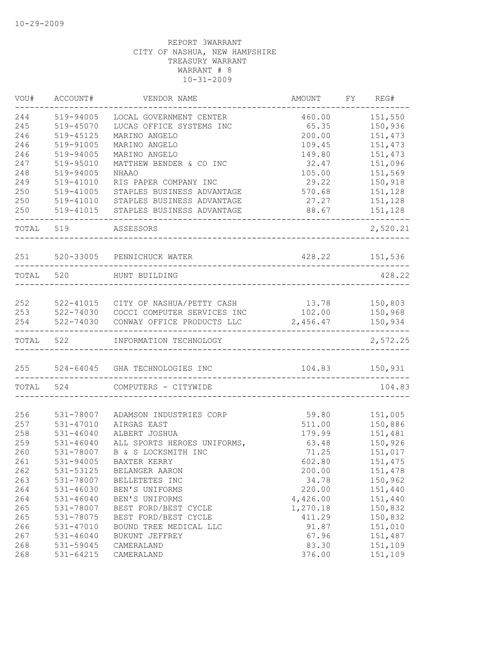| VOU#      | ACCOUNT#      | VENDOR NAME                 | <b>AMOUNT</b> | FY REG#        |
|-----------|---------------|-----------------------------|---------------|----------------|
| 244       | 519-94005     | LOCAL GOVERNMENT CENTER     | 460.00        | 151,550        |
| 245       | 519-45070     | LUCAS OFFICE SYSTEMS INC    | 65.35         | 150,936        |
| 246       | 519-45125     | MARINO ANGELO               | 200.00        | 151,473        |
| 246       | 519-91005     | MARINO ANGELO               | 109.45        | 151,473        |
| 246       | 519-94005     | MARINO ANGELO               | 149.80        | 151,473        |
| 247       | 519-95010     | MATTHEW BENDER & CO INC     | 32.47         | 151,096        |
| 248       | 519-94005     | <b>NHAAO</b>                | 105.00        | 151,569        |
| 249       | 519-41010     | RIS PAPER COMPANY INC       | 29.22         | 150,918        |
| 250       | 519-41005     | STAPLES BUSINESS ADVANTAGE  | 570.68        | 151,128        |
| 250       | 519-41010     | STAPLES BUSINESS ADVANTAGE  | 27.27         | 151,128        |
| 250       | 519-41015     | STAPLES BUSINESS ADVANTAGE  | 88.67         | 151,128        |
| TOTAL     | 519           | ASSESSORS                   |               | 2,520.21       |
| 251       | 520-33005     | PENNICHUCK WATER            |               | 428.22 151,536 |
| TOTAL 520 |               | HUNT BUILDING               |               | 428.22         |
|           |               |                             |               |                |
| 252       | 522-41015     | CITY OF NASHUA/PETTY CASH   | 13.78 150,803 |                |
| 253       | 522-74030     | COCCI COMPUTER SERVICES INC | 102.00        | 150,968        |
| 254       | 522-74030     | CONWAY OFFICE PRODUCTS LLC  | 2,456.47      | 150,934        |
| TOTAL     | 522           | INFORMATION TECHNOLOGY      |               | 2,572.25       |
| 255       | 524-64045     | GHA TECHNOLOGIES INC        | 104.83        | 150,931        |
| TOTAL     | 524           | COMPUTERS - CITYWIDE        |               | 104.83         |
|           |               |                             |               |                |
| 256       | 531-78007     | ADAMSON INDUSTRIES CORP     | 59.80         | 151,005        |
| 257       | 531-47010     | AIRGAS EAST                 | 511.00        | 150,886        |
| 258       | $531 - 46040$ | ALBERT JOSHUA               | 179.99        | 151,481        |
| 259       | $531 - 46040$ | ALL SPORTS HEROES UNIFORMS, | 63.48         | 150,926        |
| 260       | 531-78007     | B & S LOCKSMITH INC         | 71.25         | 151,017        |
| 261       | 531-94005     | BAXTER KERRY                | 602.80        | 151,475        |
| 262       | 531-53125     | BELANGER AARON              | 200.00        | 151,478        |
| 263       | 531-78007     | BELLETETES INC              | 34.78         | 150,962        |
| 264       | 531-46030     | BEN'S UNIFORMS              | 220.00        | 151,440        |
| 264       | $531 - 46040$ | BEN'S UNIFORMS              | 4,426.00      | 151,440        |
| 265       | 531-78007     | BEST FORD/BEST CYCLE        | 1,270.18      | 150,832        |
| 265       | 531-78075     | BEST FORD/BEST CYCLE        | 411.29        | 150,832        |
| 266       | 531-47010     | BOUND TREE MEDICAL LLC      | 91.87         | 151,010        |
| 267       | 531-46040     | BUKUNT JEFFREY              | 67.96         | 151,487        |
| 268       | 531-59045     | CAMERALAND                  | 83.30         | 151,109        |
| 268       | 531-64215     | CAMERALAND                  | 376.00        | 151,109        |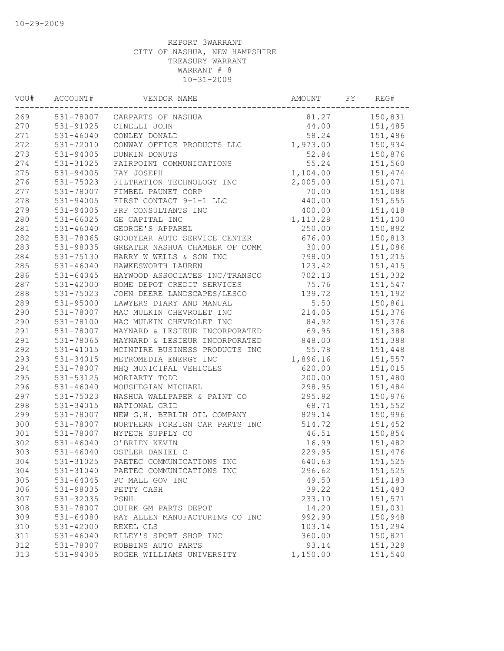| VOU# | ACCOUNT#      | VENDOR NAME                    | AMOUNT    | FY | REG#    |
|------|---------------|--------------------------------|-----------|----|---------|
| 269  |               | 531-78007 CARPARTS OF NASHUA   | 81.27     |    | 150,831 |
| 270  | 531-91025     | CINELLI JOHN                   | 44.00     |    | 151,485 |
| 271  | $531 - 46040$ | CONLEY DONALD                  | 58.24     |    | 151,486 |
| 272  | 531-72010     | CONWAY OFFICE PRODUCTS LLC     | 1,973.00  |    | 150,934 |
| 273  | 531-94005     | DUNKIN DONUTS                  | 52.84     |    | 150,876 |
| 274  | 531-31025     | FAIRPOINT COMMUNICATIONS       | 55.24     |    | 151,560 |
| 275  | 531-94005     | FAY JOSEPH                     | 1,104.00  |    | 151,474 |
| 276  | 531-75023     | FILTRATION TECHNOLOGY INC      | 2,005.00  |    | 151,071 |
| 277  | 531-78007     | FIMBEL PAUNET CORP             | 70.00     |    | 151,088 |
| 278  | 531-94005     | FIRST CONTACT 9-1-1 LLC        | 440.00    |    | 151,555 |
| 279  | 531-94005     | FRF CONSULTANTS INC            | 400.00    |    | 151,418 |
| 280  | 531-66025     | GE CAPITAL INC                 | 1, 113.28 |    | 151,100 |
| 281  | $531 - 46040$ | GEORGE'S APPAREL               | 250.00    |    | 150,892 |
| 282  | 531-78065     | GOODYEAR AUTO SERVICE CENTER   | 676.00    |    | 150,813 |
| 283  | 531-98035     | GREATER NASHUA CHAMBER OF COMM | 30.00     |    | 151,086 |
| 284  | 531-75130     | HARRY W WELLS & SON INC        | 798.00    |    | 151,215 |
| 285  | $531 - 46040$ | HAWKESWORTH LAUREN             | 123.42    |    | 151,415 |
| 286  | 531-64045     | HAYWOOD ASSOCIATES INC/TRANSCO | 702.13    |    | 151,332 |
| 287  | 531-42000     | HOME DEPOT CREDIT SERVICES     | 75.76     |    | 151,547 |
| 288  | 531-75023     | JOHN DEERE LANDSCAPES/LESCO    | 139.72    |    | 151,192 |
| 289  | 531-95000     | LAWYERS DIARY AND MANUAL       | 5.50      |    | 150,861 |
| 290  | 531-78007     | MAC MULKIN CHEVROLET INC       | 214.05    |    | 151,376 |
| 290  | 531-78100     | MAC MULKIN CHEVROLET INC       | 84.92     |    | 151,376 |
| 291  | 531-78007     | MAYNARD & LESIEUR INCORPORATED | 69.95     |    | 151,388 |
| 291  | 531-78065     | MAYNARD & LESIEUR INCORPORATED | 848.00    |    | 151,388 |
| 292  | 531-41015     | MCINTIRE BUSINESS PRODUCTS INC | 55.78     |    | 151,448 |
| 293  | 531-34015     | METROMEDIA ENERGY INC          | 1,896.16  |    | 151,557 |
| 294  | 531-78007     | MHQ MUNICIPAL VEHICLES         | 620.00    |    | 151,015 |
| 295  | 531-53125     | MORIARTY TODD                  | 200.00    |    | 151,480 |
| 296  | $531 - 46040$ | MOUSHEGIAN MICHAEL             | 298.95    |    | 151,484 |
| 297  | 531-75023     | NASHUA WALLPAPER & PAINT CO    | 295.92    |    | 150,976 |
| 298  | 531-34015     | NATIONAL GRID                  | 68.71     |    | 151,552 |
| 299  | 531-78007     | NEW G.H. BERLIN OIL COMPANY    | 829.14    |    | 150,996 |
| 300  | 531-78007     | NORTHERN FOREIGN CAR PARTS INC | 514.72    |    | 151,452 |
| 301  | 531-78007     | NYTECH SUPPLY CO               | 46.51     |    | 150,854 |
| 302  | 531-46040     | O'BRIEN KEVIN                  | 16.99     |    | 151,482 |
| 303  | 531-46040     | OSTLER DANIEL C                | 229.95    |    | 151,476 |
| 304  | 531-31025     | PAETEC COMMUNICATIONS INC      | 640.63    |    | 151,525 |
| 304  | 531-31040     | PAETEC COMMUNICATIONS INC      | 296.62    |    | 151,525 |
| 305  | 531-64045     | PC MALL GOV INC                | 49.50     |    | 151,183 |
| 306  | 531-98035     | PETTY CASH                     | 39.22     |    | 151,483 |
| 307  | 531-32035     | PSNH                           | 233.10    |    | 151,571 |
| 308  | 531-78007     | QUIRK GM PARTS DEPOT           | 14.20     |    | 151,031 |
| 309  | 531-64080     | RAY ALLEN MANUFACTURING CO INC | 992.90    |    | 150,948 |
| 310  | 531-42000     | REXEL CLS                      | 103.14    |    | 151,294 |
| 311  | $531 - 46040$ | RILEY'S SPORT SHOP INC         | 360.00    |    | 150,821 |
| 312  | 531-78007     | ROBBINS AUTO PARTS             | 93.14     |    | 151,329 |
| 313  | 531-94005     | ROGER WILLIAMS UNIVERSITY      | 1,150.00  |    | 151,540 |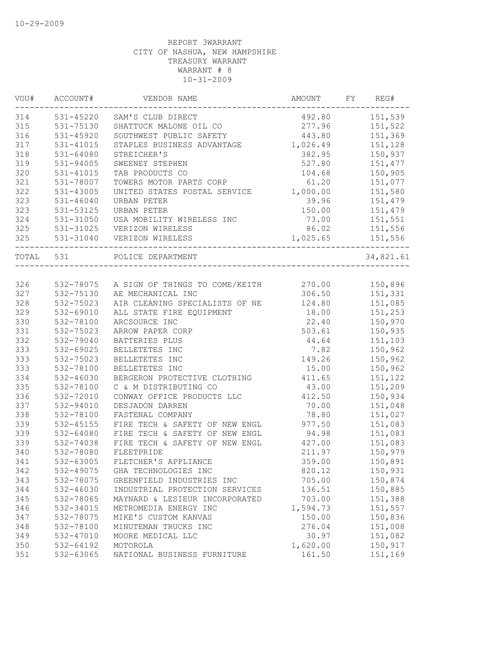| VOU#      | ACCOUNT#      | VENDOR NAME                              | <b>AMOUNT</b> | FY | REG#      |
|-----------|---------------|------------------------------------------|---------------|----|-----------|
| 314       | 531-45220     | SAM'S CLUB DIRECT                        | 492.80        |    | 151,539   |
| 315       | 531-75130     | SHATTUCK MALONE OIL CO                   | 277.96        |    | 151,522   |
| 316       | 531-45920     | SOUTHWEST PUBLIC SAFETY                  | 443.80        |    | 151,369   |
| 317       | 531-41015     | STAPLES BUSINESS ADVANTAGE               | 1,026.49      |    | 151,128   |
| 318       | $531 - 64080$ | STREICHER'S                              | 382.95        |    | 150,937   |
| 319       | 531-94005     | SWEENEY STEPHEN                          | 527.80        |    | 151,477   |
| 320       | 531-41015     | TAB PRODUCTS CO                          | 104.68        |    | 150,905   |
| 321       | 531-78007     | TOWERS MOTOR PARTS CORP                  | 61.20         |    | 151,077   |
| 322       | $531 - 43005$ | UNITED STATES POSTAL SERVICE             | 1,000.00      |    | 151,580   |
| 323       | 531-46040     | URBAN PETER                              | 39.96         |    | 151,479   |
| 323       | 531-53125     | URBAN PETER                              | 150.00        |    | 151,479   |
| 324       | 531-31050     | USA MOBILITY WIRELESS INC                | 73.00         |    | 151,551   |
| 325       | 531-31025     | VERIZON WIRELESS                         | 86.02         |    | 151,556   |
| 325       |               | 531-31040 VERIZON WIRELESS               | 1,025.65      |    | 151,556   |
| TOTAL 531 |               | POLICE DEPARTMENT                        |               |    | 34,821.61 |
|           |               |                                          |               |    |           |
| 326       |               | 532-78075 A SIGN OF THINGS TO COME/KEITH | 270.00        |    | 150,896   |
| 327       | 532-75130     | AE MECHANICAL INC                        | 306.50        |    | 151,331   |
| 328       | 532-75023     | AIR CLEANING SPECIALISTS OF NE           | 124.80        |    | 151,085   |
| 329       | 532-69010     | ALL STATE FIRE EQUIPMENT                 | 18.00         |    | 151,253   |
| 330       | 532-78100     | ARCSOURCE INC                            | 22.40         |    | 150,970   |
| 331       | 532-75023     | ARROW PAPER CORP                         | 503.61        |    | 150,935   |
| 332       | 532-79040     | BATTERIES PLUS                           | 44.64         |    | 151,103   |
| 333       | 532-69025     | BELLETETES INC                           | 7.82          |    | 150,962   |
| 333       | 532-75023     | BELLETETES INC                           | 149.26        |    | 150,962   |
| 333       | 532-78100     | BELLETETES INC                           | 15.00         |    | 150,962   |
| 334       | 532-46030     | BERGERON PROTECTIVE CLOTHING             | 411.65        |    | 151,122   |
| 335       | 532-78100     | C & M DISTRIBUTING CO                    | 43.00         |    | 151,209   |
| 336       | 532-72010     | CONWAY OFFICE PRODUCTS LLC               | 412.50        |    | 150,934   |
| 337       | 532-94010     | DESJADON DARREN                          | 70.00         |    | 151,048   |
| 338       | 532-78100     | FASTENAL COMPANY                         | 78.80         |    | 151,027   |
| 339       | 532-45155     | FIRE TECH & SAFETY OF NEW ENGL           | 977.50        |    | 151,083   |
| 339       | 532-64080     | FIRE TECH & SAFETY OF NEW ENGL           | 94.98         |    | 151,083   |
| 339       | 532-74038     | FIRE TECH & SAFETY OF NEW ENGL           | 427.00        |    | 151,083   |
| 340       | 532-78080     | FLEETPRIDE                               | 211.97        |    | 150,979   |
| 341       | $532 - 63005$ | FLETCHER'S APPLIANCE                     | 359.00        |    | 150,891   |
| 342       | 532-49075     | GHA TECHNOLOGIES INC                     | 820.12        |    | 150,931   |
| 343       | 532-78075     | GREENFIELD INDUSTRIES INC                | 705.00        |    | 150,874   |
| 344       | 532-46030     | INDUSTRIAL PROTECTION SERVICES           | 136.51        |    | 150,885   |
|           |               |                                          | 703.00        |    |           |
| 345       | 532-78065     | MAYNARD & LESIEUR INCORPORATED           |               |    | 151,388   |
| 346       | 532-34015     | METROMEDIA ENERGY INC                    | 1,594.73      |    | 151,557   |
| 347       | 532-78075     | MIKE'S CUSTOM KANVAS                     | 150.00        |    | 150,836   |
| 348       | 532-78100     | MINUTEMAN TRUCKS INC                     | 276.04        |    | 151,008   |
| 349       | 532-47010     | MOORE MEDICAL LLC                        | 30.97         |    | 151,082   |
| 350       | 532-64192     | MOTOROLA                                 | 1,620.00      |    | 150,917   |
| 351       | 532-63065     | NATIONAL BUSINESS FURNITURE              | 161.50        |    | 151,169   |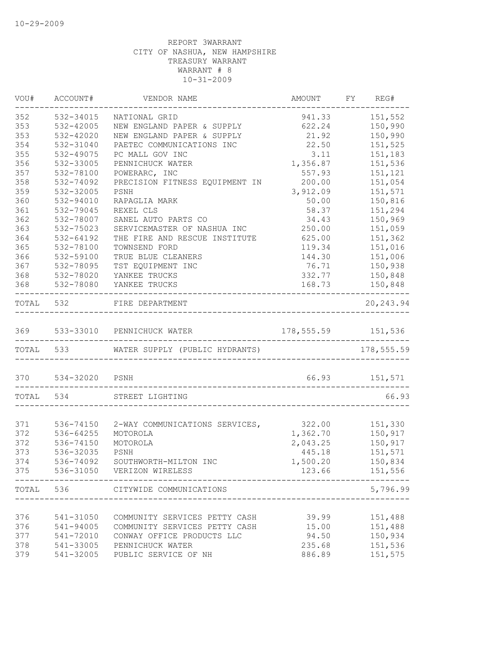| VOU#      | ACCOUNT#      | VENDOR NAME                         | AMOUNT                | FY REG#                  |
|-----------|---------------|-------------------------------------|-----------------------|--------------------------|
| 352       | 532-34015     | NATIONAL GRID                       | 941.33                | 151,552                  |
| 353       | $532 - 42005$ | NEW ENGLAND PAPER & SUPPLY          | 622.24                | 150,990                  |
| 353       | 532-42020     | NEW ENGLAND PAPER & SUPPLY          | 21.92                 | 150,990                  |
| 354       | 532-31040     | PAETEC COMMUNICATIONS INC           | 22.50                 | 151,525                  |
| 355       | 532-49075     | PC MALL GOV INC                     | 3.11                  | 151,183                  |
| 356       | 532-33005     | PENNICHUCK WATER                    | 1,356.87              | 151,536                  |
| 357       | 532-78100     | POWERARC, INC                       | 557.93                | 151,121                  |
| 358       | 532-74092     | PRECISION FITNESS EQUIPMENT IN      | 200.00                | 151,054                  |
| 359       | 532-32005     | PSNH                                | 3,912.09              | 151,571                  |
| 360       | 532-94010     | RAPAGLIA MARK                       | 50.00                 | 150,816                  |
| 361       | 532-79045     | REXEL CLS                           | 58.37                 | 151,294                  |
| 362       | 532-78007     | SANEL AUTO PARTS CO                 | 34.43                 | 150,969                  |
| 363       | 532-75023     | SERVICEMASTER OF NASHUA INC         | 250.00                | 151,059                  |
| 364       | 532-64192     | THE FIRE AND RESCUE INSTITUTE       | 625.00                | 151,362                  |
| 365       | 532-78100     | TOWNSEND FORD                       | 119.34                | 151,016                  |
| 366       | 532-59100     | TRUE BLUE CLEANERS                  | 144.30                | 151,006                  |
| 367       | 532-78095     | TST EQUIPMENT INC                   | 76.71                 | 150,938                  |
| 368       | 532-78020     | YANKEE TRUCKS                       | 332.77                | 150,848                  |
| 368       | 532-78080     | YANKEE TRUCKS                       | 168.73                | 150,848<br>$- - - - - -$ |
| TOTAL 532 |               | FIRE DEPARTMENT                     |                       | 20, 243.94               |
|           |               | 369 533-33010 PENNICHUCK WATER      | 178, 555. 59 151, 536 |                          |
|           | TOTAL 533     | WATER SUPPLY (PUBLIC HYDRANTS)      |                       | 178,555.59               |
|           |               |                                     |                       |                          |
|           | 370 534-32020 | PSNH<br>___________________________ | 66.93 151,571         |                          |
| TOTAL 534 |               | STREET LIGHTING                     |                       | 66.93                    |
|           |               |                                     |                       |                          |
| 371       | 536-74150     | 2-WAY COMMUNICATIONS SERVICES,      | 322.00                | 151,330                  |
| 372       | 536-64255     | MOTOROLA                            | 1,362.70              | 150,917                  |
| 372       | 536-74150     | MOTOROLA                            | 2,043.25              | 150,917                  |
| 373       | 536-32035     | PSNH                                | 445.18                | 151,571                  |
| 374       | 536-74092     | SOUTHWORTH-MILTON INC               | 1,500.20              | 150,834                  |
| 375       |               | 536-31050 VERIZON WIRELESS          | 123.66                | 151,556<br>_________     |
|           | TOTAL 536     | CITYWIDE COMMUNICATIONS             |                       | 5,796.99                 |
|           |               |                                     |                       |                          |
| 376       | 541-31050     | COMMUNITY SERVICES PETTY CASH       | 39.99                 | 151,488                  |
| 376       | 541-94005     | COMMUNITY SERVICES PETTY CASH       | 15.00                 | 151,488                  |
| 377       | 541-72010     | CONWAY OFFICE PRODUCTS LLC          | 94.50                 | 150,934                  |
| 378       |               | 541-33005 PENNICHUCK WATER          | 235.68                | 151,536                  |
| 379       | 541-32005     | PUBLIC SERVICE OF NH                | 886.89                | 151,575                  |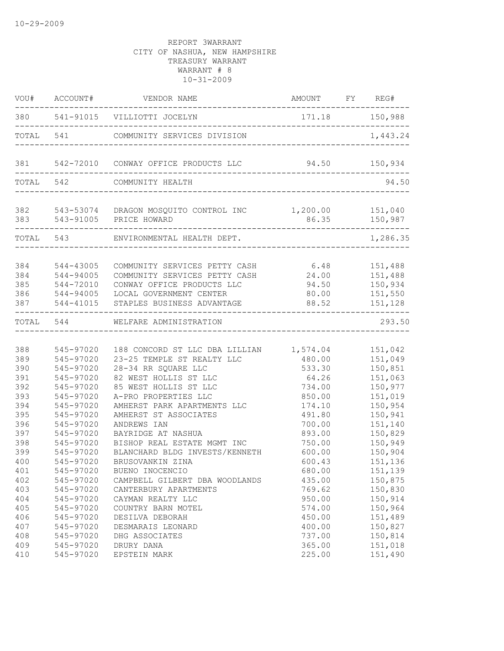| VOU#                            | ACCOUNT#                                                      | VENDOR NAME                                                                                                                                                | AMOUNT FY REG#                       |                                                     |
|---------------------------------|---------------------------------------------------------------|------------------------------------------------------------------------------------------------------------------------------------------------------------|--------------------------------------|-----------------------------------------------------|
|                                 |                                                               | 380 541-91015 VILLIOTTI JOCELYN                                                                                                                            |                                      |                                                     |
| TOTAL                           |                                                               | 541 COMMUNITY SERVICES DIVISION                                                                                                                            |                                      | 1,443.24                                            |
|                                 |                                                               | 381 542-72010 CONWAY OFFICE PRODUCTS LLC                                                                                                                   |                                      | 94.50 150,934                                       |
|                                 | TOTAL 542                                                     | COMMUNITY HEALTH                                                                                                                                           |                                      | 94.50                                               |
|                                 |                                                               | 382 543-53074 DRAGON MOSQUITO CONTROL INC 1,200.00 151,040<br>383 543-91005 PRICE HOWARD                                                                   | 86.35 150,987                        |                                                     |
| TOTAL 543                       |                                                               | ENVIRONMENTAL HEALTH DEPT.                                                                                                                                 |                                      | 1,286.35                                            |
| 384<br>384<br>385<br>386<br>387 | 544-43005<br>544-94005<br>544-72010<br>544-94005<br>544-41015 | COMMUNITY SERVICES PETTY CASH 6.48<br>COMMUNITY SERVICES PETTY CASH<br>CONWAY OFFICE PRODUCTS LLC<br>LOCAL GOVERNMENT CENTER<br>STAPLES BUSINESS ADVANTAGE | 24.00<br>94.50<br>80.00<br>88.52     | 151,488<br>151,488<br>150,934<br>151,550<br>151,128 |
| TOTAL                           |                                                               | WELFARE ADMINISTRATION                                                                                                                                     |                                      | 293.50                                              |
| 388<br>389<br>390               | 545-97020<br>545-97020<br>545-97020                           | 188 CONCORD ST LLC DBA LILLIAN<br>23-25 TEMPLE ST REALTY LLC<br>28-34 RR SQUARE LLC                                                                        | 1,574.04<br>480.00<br>533.30         | 151,042<br>151,049<br>150,851                       |
| 391<br>392<br>393<br>394        | 545-97020<br>545-97020<br>545-97020<br>545-97020              | 82 WEST HOLLIS ST LLC<br>85 WEST HOLLIS ST LLC<br>A-PRO PROPERTIES LLC<br>AMHERST PARK APARTMENTS LLC                                                      | 64.26<br>734.00<br>850.00<br>174.10  | 151,063<br>150,977<br>151,019<br>150,954            |
| 395<br>396<br>397               | 545-97020<br>545-97020<br>545-97020                           | AMHERST ST ASSOCIATES<br>ANDREWS IAN<br>BAYRIDGE AT NASHUA                                                                                                 | 491.80<br>700.00<br>893.00           | 150,941<br>151,140<br>150,829                       |
| 398<br>399<br>400               | 545-97020<br>545-97020<br>545-97020                           | BISHOP REAL ESTATE MGMT INC<br>BLANCHARD BLDG INVESTS/KENNETH<br>BRUSOVANKIN ZINA                                                                          | 750.00<br>600.00<br>600.43           | 150,949<br>150,904<br>151,136                       |
| 401<br>402<br>403<br>404        | 545-97020<br>545-97020<br>545-97020<br>545-97020              | BUENO INOCENCIO<br>CAMPBELL GILBERT DBA WOODLANDS<br>CANTERBURY APARTMENTS<br>CAYMAN REALTY LLC                                                            | 680.00<br>435.00<br>769.62<br>950.00 | 151,139<br>150,875<br>150,830<br>150,914            |
| 405<br>406<br>407               | 545-97020<br>545-97020<br>545-97020                           | COUNTRY BARN MOTEL<br>DESILVA DEBORAH<br>DESMARAIS LEONARD                                                                                                 | 574.00<br>450.00<br>400.00           | 150,964<br>151,489<br>150,827                       |
| 408<br>409<br>410               | 545-97020<br>545-97020<br>545-97020                           | DHG ASSOCIATES<br>DRURY DANA<br>EPSTEIN MARK                                                                                                               | 737.00<br>365.00<br>225.00           | 150,814<br>151,018<br>151,490                       |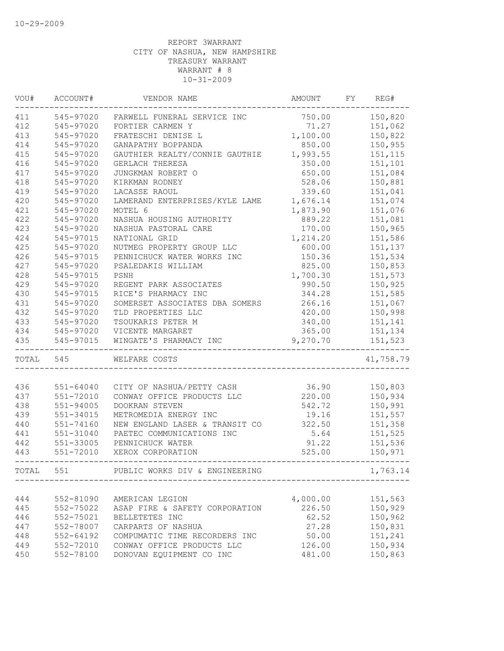| VOU#  | ACCOUNT#      | VENDOR NAME                    | <b>AMOUNT</b> | FY | REG#      |
|-------|---------------|--------------------------------|---------------|----|-----------|
| 411   | 545-97020     | FARWELL FUNERAL SERVICE INC    | 750.00        |    | 150,820   |
| 412   | 545-97020     | FORTIER CARMEN Y               | 71.27         |    | 151,062   |
| 413   | 545-97020     | FRATESCHI DENISE L             | 1,100.00      |    | 150,822   |
| 414   | 545-97020     | GANAPATHY BOPPANDA             | 850.00        |    | 150,955   |
| 415   | 545-97020     | GAUTHIER REALTY/CONNIE GAUTHIE | 1,993.55      |    | 151, 115  |
| 416   | 545-97020     | GERLACH THERESA                | 350.00        |    | 151,101   |
| 417   | 545-97020     | JUNGKMAN ROBERT O              | 650.00        |    | 151,084   |
| 418   | 545-97020     | KIRKMAN RODNEY                 | 528.06        |    | 150,881   |
| 419   | 545-97020     | LACASSE RAOUL                  | 339.60        |    | 151,041   |
| 420   | 545-97020     | LAMERAND ENTERPRISES/KYLE LAME | 1,676.14      |    | 151,074   |
| 421   | 545-97020     | MOTEL 6                        | 1,873.90      |    | 151,076   |
| 422   | 545-97020     | NASHUA HOUSING AUTHORITY       | 889.22        |    | 151,081   |
| 423   | 545-97020     | NASHUA PASTORAL CARE           | 170.00        |    | 150,965   |
| 424   | 545-97015     | NATIONAL GRID                  | 1,214.20      |    | 151,586   |
| 425   | 545-97020     | NUTMEG PROPERTY GROUP LLC      | 600.00        |    | 151,137   |
| 426   | 545-97015     | PENNICHUCK WATER WORKS INC     | 150.36        |    | 151,534   |
| 427   | 545-97020     | PSALEDAKIS WILLIAM             | 825.00        |    | 150,853   |
| 428   | 545-97015     | PSNH                           | 1,700.30      |    | 151,573   |
| 429   | 545-97020     | REGENT PARK ASSOCIATES         | 990.50        |    | 150,925   |
| 430   | 545-97015     | RICE'S PHARMACY INC            | 344.28        |    | 151,585   |
| 431   | 545-97020     | SOMERSET ASSOCIATES DBA SOMERS | 266.16        |    | 151,067   |
| 432   | 545-97020     | TLD PROPERTIES LLC             | 420.00        |    | 150,998   |
| 433   | 545-97020     | TSOUKARIS PETER M              | 340.00        |    | 151,141   |
| 434   | 545-97020     | VICENTE MARGARET               | 365.00        |    | 151,134   |
| 435   | 545-97015     | WINGATE'S PHARMACY INC         | 9,270.70      |    | 151,523   |
| TOTAL | 545           | WELFARE COSTS                  |               |    | 41,758.79 |
|       |               |                                |               |    |           |
| 436   | $551 - 64040$ | CITY OF NASHUA/PETTY CASH      | 36.90         |    | 150,803   |
| 437   | 551-72010     | CONWAY OFFICE PRODUCTS LLC     | 220.00        |    | 150,934   |
| 438   | 551-94005     | DOOKRAN STEVEN                 | 542.72        |    | 150,991   |
| 439   | $551 - 34015$ | METROMEDIA ENERGY INC          | 19.16         |    | 151,557   |
| 440   | 551-74160     | NEW ENGLAND LASER & TRANSIT CO | 322.50        |    | 151,358   |
| 441   | 551-31040     | PAETEC COMMUNICATIONS INC      | 5.64          |    | 151,525   |
| 442   | 551-33005     | PENNICHUCK WATER               | 91.22         |    | 151,536   |
| 443   | $551 - 72010$ | XEROX CORPORATION              | 525.00        |    | 150,971   |
| TOTAL | 551           | PUBLIC WORKS DIV & ENGINEERING |               |    | 1,763.14  |
|       |               |                                |               |    |           |
| 444   | 552-81090     | AMERICAN LEGION                | 4,000.00      |    | 151,563   |
| 445   | 552-75022     | ASAP FIRE & SAFETY CORPORATION | 226.50        |    | 150,929   |
| 446   | 552-75021     | BELLETETES INC                 | 62.52         |    | 150,962   |
| 447   | 552-78007     | CARPARTS OF NASHUA             | 27.28         |    | 150,831   |
| 448   | 552-64192     | COMPUMATIC TIME RECORDERS INC  | 50.00         |    | 151,241   |
| 449   | 552-72010     | CONWAY OFFICE PRODUCTS LLC     | 126.00        |    | 150,934   |
| 450   | 552-78100     | DONOVAN EQUIPMENT CO INC       | 481.00        |    | 150,863   |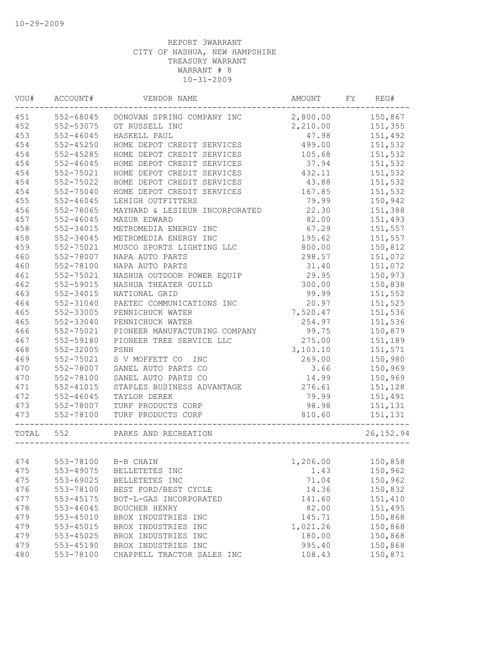| VOU#  | ACCOUNT#      | VENDOR NAME                    | AMOUNT   | FY REG#    |
|-------|---------------|--------------------------------|----------|------------|
| 451   | 552-68045     | DONOVAN SPRING COMPANY INC     | 2,800.00 | 150,867    |
| 452   | 552-53075     | GT RUSSELL INC                 | 2,210.00 | 151,355    |
| 453   | $552 - 46045$ | HASKELL PAUL                   | 47.98    | 151,492    |
| 454   | $552 - 45250$ | HOME DEPOT CREDIT SERVICES     | 499.00   | 151,532    |
| 454   | $552 - 45285$ | HOME DEPOT CREDIT SERVICES     | 105.68   | 151,532    |
| 454   | $552 - 46045$ | HOME DEPOT CREDIT SERVICES     | 37.94    | 151,532    |
| 454   | 552-75021     | HOME DEPOT CREDIT SERVICES     | 432.11   | 151,532    |
| 454   | 552-75022     | HOME DEPOT CREDIT SERVICES     | 43.88    | 151,532    |
| 454   | 552-75040     | HOME DEPOT CREDIT SERVICES     | 167.85   | 151,532    |
| 455   | $552 - 46045$ | LEHIGH OUTFITTERS              | 79.99    | 150,942    |
| 456   | 552-78065     | MAYNARD & LESIEUR INCORPORATED | 22.30    | 151,388    |
| 457   | $552 - 46045$ | MAZUR EDWARD                   | 82.00    | 151,493    |
| 458   | 552-34015     | METROMEDIA ENERGY INC          | 67.29    | 151,557    |
| 458   | 552-34045     | METROMEDIA ENERGY INC          | 195.62   | 151,557    |
| 459   | 552-75021     | MUSCO SPORTS LIGHTING LLC      | 800.00   | 150,812    |
| 460   | 552-78007     | NAPA AUTO PARTS                | 298.57   | 151,072    |
| 460   | 552-78100     | NAPA AUTO PARTS                | 31.40    | 151,072    |
| 461   | 552-75021     | NASHUA OUTDOOR POWER EQUIP     | 29.95    | 150,973    |
| 462   | 552-59015     | NASHUA THEATER GUILD           | 300.00   | 150,838    |
| 463   | 552-34015     | NATIONAL GRID                  | 99.99    | 151,552    |
| 464   | 552-31040     | PAETEC COMMUNICATIONS INC      | 20.97    | 151,525    |
| 465   | 552-33005     | PENNICHUCK WATER               | 7,520.47 | 151,536    |
| 465   | 552-33040     | PENNICHUCK WATER               | 254.97   | 151,536    |
| 466   | 552-75021     | PIONEER MANUFACTURING COMPANY  | 99.75    | 150,879    |
| 467   | 552-59180     | PIONEER TREE SERVICE LLC       | 275.00   | 151,189    |
| 468   | 552-32005     | PSNH                           | 3,103.10 | 151,571    |
| 469   | 552-75021     | S V MOFFETT CO<br>INC          | 269.00   | 150,980    |
| 470   | 552-78007     | SANEL AUTO PARTS CO            | 3.66     | 150,969    |
| 470   | 552-78100     | SANEL AUTO PARTS CO            | 14.99    | 150,969    |
| 471   | 552-41015     | STAPLES BUSINESS ADVANTAGE     | 276.61   | 151,128    |
| 472   | $552 - 46045$ | TAYLOR DEREK                   | 79.99    | 151,491    |
| 473   | 552-78007     | TURF PRODUCTS CORP             | 98.98    | 151,131    |
| 473   | 552-78100     | TURF PRODUCTS CORP             | 810.60   | 151,131    |
| TOTAL | 552           | PARKS AND RECREATION           |          | 26, 152.94 |
|       |               |                                |          |            |
| 474   |               | 553-78100 B-B CHAIN            | 1,206.00 | 150,858    |
| 475   | 553-49075     | BELLETETES INC                 | 1.43     | 150,962    |
| 475   | 553-69025     | BELLETETES INC                 | 71.04    | 150,962    |
| 476   | 553-78100     | BEST FORD/BEST CYCLE           | 14.36    | 150,832    |
| 477   | 553-45175     | BOT-L-GAS INCORPORATED         | 141.60   | 151,410    |
| 478   | 553-46045     | BOUCHER HENRY                  | 82.00    | 151,495    |
| 479   | $553 - 45010$ | BROX INDUSTRIES INC            | 145.71   | 150,868    |
| 479   | $553 - 45015$ | BROX INDUSTRIES INC            | 1,021.26 | 150,868    |
| 479   | 553-45025     | BROX INDUSTRIES INC            | 180.00   | 150,868    |
| 479   | 553-45190     | BROX INDUSTRIES INC            | 995.40   | 150,868    |
| 480   | 553-78100     | CHAPPELL TRACTOR SALES INC     | 108.43   | 150,871    |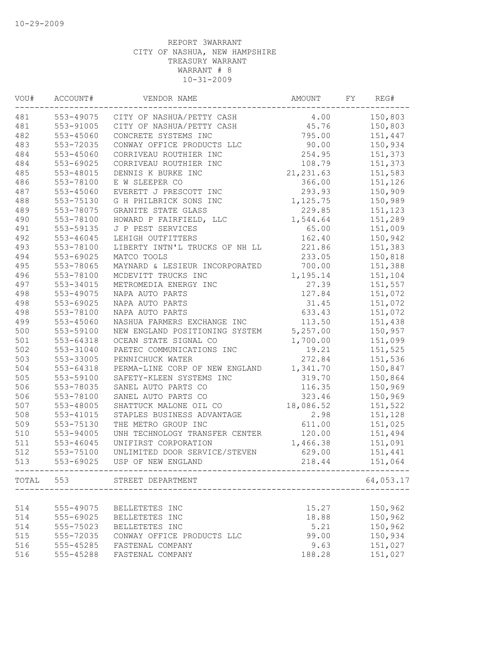| VOU#       | ACCOUNT#      | VENDOR NAME                                          | AMOUNT     | FY | REG#      |
|------------|---------------|------------------------------------------------------|------------|----|-----------|
| 481        |               | 553-49075 CITY OF NASHUA/PETTY CASH                  | 4.00       |    | 150,803   |
| 481        | 553-91005     | CITY OF NASHUA/PETTY CASH                            | 45.76      |    | 150,803   |
| 482        | 553-45060     | CONCRETE SYSTEMS INC                                 | 795.00     |    | 151,447   |
| 483        | 553-72035     | CONWAY OFFICE PRODUCTS LLC                           | 90.00      |    | 150,934   |
| 484        | 553-45060     | CORRIVEAU ROUTHIER INC                               | 254.95     |    | 151,373   |
| 484        | 553-69025     | CORRIVEAU ROUTHIER INC                               | 108.79     |    | 151,373   |
| 485        | 553-48015     | DENNIS K BURKE INC                                   | 21, 231.63 |    | 151,583   |
| 486        | 553-78100     | E W SLEEPER CO                                       | 366.00     |    | 151,126   |
| 487        | 553-45060     | EVERETT J PRESCOTT INC                               | 293.93     |    | 150,909   |
| 488        | 553-75130     | G H PHILBRICK SONS INC                               | 1,125.75   |    | 150,989   |
| 489        | 553-78075     | GRANITE STATE GLASS                                  | 229.85     |    | 151,123   |
| 490        | 553-78100     | HOWARD P FAIRFIELD, LLC                              | 1,544.64   |    | 151,289   |
| 491        | 553-59135     | J P PEST SERVICES                                    | 65.00      |    | 151,009   |
| 492        | $553 - 46045$ | LEHIGH OUTFITTERS                                    | 162.40     |    | 150,942   |
| 493        | 553-78100     | LIBERTY INTN'L TRUCKS OF NH LL                       | 221.86     |    | 151,383   |
| 494        | 553-69025     | MATCO TOOLS                                          | 233.05     |    | 150,818   |
| 495        | 553-78065     | MAYNARD & LESIEUR INCORPORATED                       | 700.00     |    | 151,388   |
| 496        | 553-78100     | MCDEVITT TRUCKS INC                                  | 1,195.14   |    | 151,104   |
| 497        | 553-34015     | METROMEDIA ENERGY INC                                | 27.39      |    | 151,557   |
| 498        | 553-49075     | NAPA AUTO PARTS                                      | 127.84     |    | 151,072   |
| 498        | 553-69025     | NAPA AUTO PARTS                                      | 31.45      |    | 151,072   |
| 498        | 553-78100     | NAPA AUTO PARTS                                      | 633.43     |    | 151,072   |
| 499        | 553-45060     | NASHUA FARMERS EXCHANGE INC                          | 113.50     |    | 151,438   |
| 500        | 553-59100     | NEW ENGLAND POSITIONING SYSTEM                       | 5,257.00   |    | 150,957   |
| 501        | 553-64318     | OCEAN STATE SIGNAL CO                                | 1,700.00   |    | 151,099   |
| 502        | 553-31040     | PAETEC COMMUNICATIONS INC                            | 19.21      |    | 151,525   |
| 503        | 553-33005     | PENNICHUCK WATER                                     | 272.84     |    | 151,536   |
| 504        | 553-64318     | PERMA-LINE CORP OF NEW ENGLAND                       | 1,341.70   |    | 150,847   |
| 505        | 553-59100     | SAFETY-KLEEN SYSTEMS INC                             | 319.70     |    | 150,864   |
| 506        | 553-78035     | SANEL AUTO PARTS CO                                  | 116.35     |    | 150,969   |
| 506        | 553-78100     | SANEL AUTO PARTS CO                                  | 323.46     |    |           |
|            |               |                                                      |            |    | 150,969   |
| 507<br>508 | 553-48005     | SHATTUCK MALONE OIL CO<br>STAPLES BUSINESS ADVANTAGE | 18,086.52  |    | 151,522   |
|            | $553 - 41015$ |                                                      | 2.98       |    | 151,128   |
| 509        | 553-75130     | THE METRO GROUP INC                                  | 611.00     |    | 151,025   |
| 510        | 553-94005     | UNH TECHNOLOGY TRANSFER CENTER                       | 120.00     |    | 151,494   |
| 511        | 553-46045     | UNIFIRST CORPORATION                                 | 1,466.38   |    | 151,091   |
| 512        | 553-75100     | UNLIMITED DOOR SERVICE/STEVEN                        | 629.00     |    | 151,441   |
| 513        | 553-69025     | USP OF NEW ENGLAND                                   | 218.44     |    | 151,064   |
|            |               | TOTAL 553 STREET DEPARTMENT                          |            |    | 64,053.17 |
|            |               |                                                      |            |    |           |
| 514        | 555-49075     | BELLETETES INC                                       | 15.27      |    | 150,962   |
| 514        | 555-69025     | BELLETETES INC                                       | 18.88      |    | 150,962   |
| 514        | 555-75023     | BELLETETES INC                                       | 5.21       |    | 150,962   |
| 515        | 555-72035     | CONWAY OFFICE PRODUCTS LLC                           | 99.00      |    | 150,934   |
| 516        | 555-45285     | FASTENAL COMPANY                                     | 9.63       |    | 151,027   |
| 516        | 555-45288     | FASTENAL COMPANY                                     | 188.28     |    | 151,027   |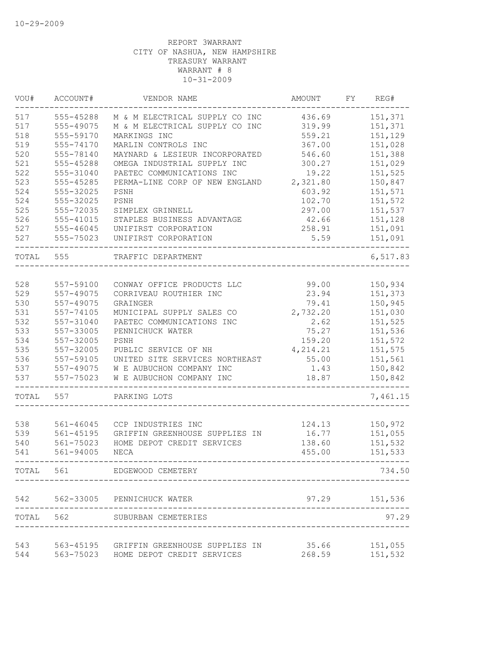| VOU#  | ACCOUNT#      | VENDOR NAME                              | AMOUNT    | FΥ | REG#          |
|-------|---------------|------------------------------------------|-----------|----|---------------|
| 517   | 555-45288     | M & M ELECTRICAL SUPPLY CO INC           | 436.69    |    | 151,371       |
| 517   | 555-49075     | M & M ELECTRICAL SUPPLY CO INC           | 319.99    |    | 151,371       |
| 518   | 555-59170     | MARKINGS INC                             | 559.21    |    | 151,129       |
| 519   | 555-74170     | MARLIN CONTROLS INC                      | 367.00    |    | 151,028       |
| 520   | 555-78140     | MAYNARD & LESIEUR INCORPORATED           | 546.60    |    | 151,388       |
| 521   | 555-45288     | OMEGA INDUSTRIAL SUPPLY INC              | 300.27    |    | 151,029       |
| 522   | 555-31040     | PAETEC COMMUNICATIONS INC                | 19.22     |    | 151,525       |
| 523   | 555-45285     | PERMA-LINE CORP OF NEW ENGLAND           | 2,321.80  |    | 150,847       |
| 524   | 555-32025     | PSNH                                     | 603.92    |    | 151,571       |
| 524   | 555-32025     | PSNH                                     | 102.70    |    | 151,572       |
| 525   | 555-72035     | SIMPLEX GRINNELL                         | 297.00    |    | 151,537       |
| 526   | 555-41015     | STAPLES BUSINESS ADVANTAGE               | 42.66     |    | 151,128       |
| 527   | $555 - 46045$ | UNIFIRST CORPORATION                     | 258.91    |    | 151,091       |
| 527   | 555-75023     | UNIFIRST CORPORATION                     | 5.59      |    | 151,091       |
| TOTAL | 555           | TRAFFIC DEPARTMENT                       |           |    | 6,517.83      |
|       |               |                                          |           |    |               |
| 528   | 557-59100     | CONWAY OFFICE PRODUCTS LLC               | 99.00     |    | 150,934       |
| 529   | 557-49075     | CORRIVEAU ROUTHIER INC                   | 23.94     |    | 151,373       |
| 530   | 557-49075     | GRAINGER                                 | 79.41     |    | 150,945       |
| 531   | 557-74105     | MUNICIPAL SUPPLY SALES CO                | 2,732.20  |    | 151,030       |
| 532   | 557-31040     | PAETEC COMMUNICATIONS INC                | 2.62      |    | 151,525       |
| 533   | 557-33005     | PENNICHUCK WATER                         | 75.27     |    | 151,536       |
| 534   | 557-32005     | PSNH                                     | 159.20    |    | 151,572       |
| 535   | 557-32005     | PUBLIC SERVICE OF NH                     | 4, 214.21 |    | 151,575       |
| 536   | 557-59105     | UNITED SITE SERVICES NORTHEAST           | 55.00     |    | 151,561       |
| 537   | 557-49075     | W E AUBUCHON COMPANY INC                 | 1.43      |    | 150,842       |
| 537   | 557-75023     | W E AUBUCHON COMPANY INC                 | 18.87     |    | 150,842       |
| TOTAL | 557           | PARKING LOTS                             |           |    | 7,461.15      |
|       |               |                                          |           |    |               |
| 538   | $561 - 46045$ | CCP INDUSTRIES INC                       | 124.13    |    | 150,972       |
| 539   | $561 - 45195$ | GRIFFIN GREENHOUSE SUPPLIES IN           | 16.77     |    | 151,055       |
| 540   | 561-75023     | HOME DEPOT CREDIT SERVICES               | 138.60    |    | 151,532       |
| 541   | 561-94005     | NECA                                     | 455.00    |    | 151,533       |
| TOTAL | 561           | EDGEWOOD CEMETERY                        |           |    | 734.50        |
| 542   | 562-33005     | PENNICHUCK WATER                         |           |    | 97.29 151,536 |
| TOTAL | 562           | SUBURBAN CEMETERIES                      |           |    | 97.29         |
| 543   |               | 563-45195 GRIFFIN GREENHOUSE SUPPLIES IN | 35.66     |    | 151,055       |
| 544   |               | 563-75023 HOME DEPOT CREDIT SERVICES     | 268.59    |    | 151,532       |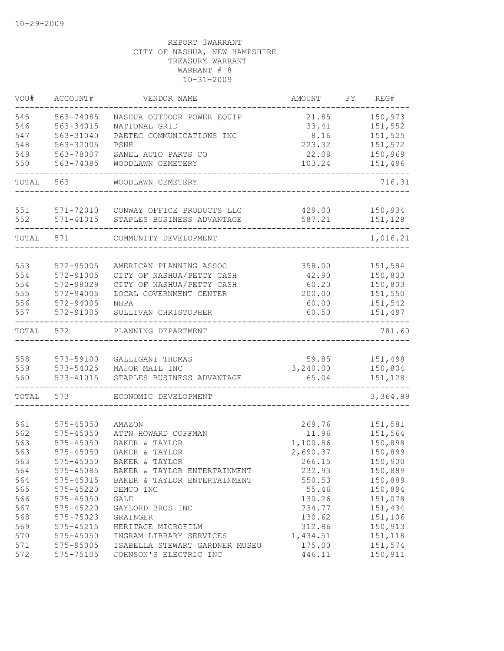| VOU#  | ACCOUNT#      | VENDOR NAME                    | AMOUNT   | FY | REG#     |
|-------|---------------|--------------------------------|----------|----|----------|
| 545   | 563-74085     | NASHUA OUTDOOR POWER EQUIP     | 21.85    |    | 150,973  |
| 546   | 563-34015     | NATIONAL GRID                  | 33.41    |    | 151,552  |
| 547   | 563-31040     | PAETEC COMMUNICATIONS INC      | 8.16     |    | 151,525  |
| 548   | 563-32005     | PSNH                           | 223.32   |    | 151,572  |
| 549   | 563-78007     | SANEL AUTO PARTS CO            | 22.08    |    | 150,969  |
| 550   | 563-74085     | WOODLAWN CEMETERY              | 103.24   |    | 151,496  |
| TOTAL | 563           | WOODLAWN CEMETERY              |          |    | 716.31   |
|       |               |                                |          |    |          |
| 551   | 571-72010     | CONWAY OFFICE PRODUCTS LLC     | 429.00   |    | 150,934  |
| 552   | $571 - 41015$ | STAPLES BUSINESS ADVANTAGE     | 587.21   |    | 151,128  |
| TOTAL | 571           | COMMUNITY DEVELOPMENT          |          |    | 1,016.21 |
|       |               |                                |          |    |          |
| 553   | 572-95005     | AMERICAN PLANNING ASSOC        | 358.00   |    | 151,584  |
| 554   | 572-91005     | CITY OF NASHUA/PETTY CASH      | 42.90    |    | 150,803  |
| 554   | 572-98029     | CITY OF NASHUA/PETTY CASH      | 60.20    |    | 150,803  |
| 555   | 572-94005     | LOCAL GOVERNMENT CENTER        | 200.00   |    | 151,550  |
| 556   | 572-94005     | NHPA                           | 60.00    |    | 151,542  |
| 557   | 572-91005     | SULLIVAN CHRISTOPHER           | 60.50    |    | 151,497  |
| TOTAL | 572           | PLANNING DEPARTMENT            |          |    | 781.60   |
| 558   | 573-59100     | GALLIGANI THOMAS               | 59.85    |    | 151,498  |
| 559   | 573-54025     | MAJOR MAIL INC                 | 3,240.00 |    | 150,804  |
| 560   | 573-41015     | STAPLES BUSINESS ADVANTAGE     | 65.04    |    | 151,128  |
| TOTAL | 573           | ECONOMIC DEVELOPMENT           |          |    | 3,364.89 |
|       |               |                                |          |    |          |
| 561   | 575-45050     | AMAZON                         | 269.76   |    | 151,581  |
| 562   | 575-45050     | ATTN HOWARD COFFMAN            | 11.96    |    | 151,564  |
| 563   | 575-45050     | BAKER & TAYLOR                 | 1,100.86 |    | 150,898  |
| 563   | 575-45050     | BAKER & TAYLOR                 | 2,690.37 |    | 150,899  |
| 563   | 575-45050     | BAKER & TAYLOR                 | 266.15   |    | 150,900  |
| 564   | 575-45085     | BAKER & TAYLOR ENTERTAINMENT   | 232.93   |    | 150,889  |
| 564   | 575-45315     | BAKER & TAYLOR ENTERTAINMENT   | 550.53   |    | 150,889  |
| 565   | 575-45220     | DEMCO INC                      | 55.46    |    | 150,894  |
| 566   | 575-45050     | GALE                           | 130.26   |    | 151,078  |
| 567   | $575 - 45220$ | GAYLORD BROS INC               | 734.77   |    | 151,434  |
| 568   | 575-75023     | GRAINGER                       | 130.62   |    | 151,106  |
| 569   | 575-45215     | HERITAGE MICROFILM             | 312.86   |    | 150,913  |
| 570   | 575-45050     | INGRAM LIBRARY SERVICES        | 1,434.51 |    | 151,118  |
| 571   | 575-95005     | ISABELLA STEWART GARDNER MUSEU | 175.00   |    | 151,574  |
| 572   | 575-75105     | JOHNSON'S ELECTRIC INC         | 446.11   |    | 150,911  |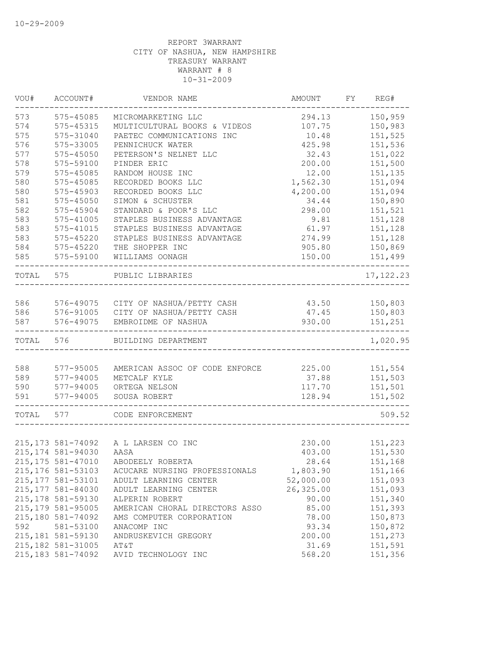| VOU#  | ACCOUNT#           | VENDOR NAME                         | AMOUNT        | FY REG#                    |
|-------|--------------------|-------------------------------------|---------------|----------------------------|
| 573   | 575-45085          | MICROMARKETING LLC                  | 294.13        | 150,959                    |
| 574   | $575 - 45315$      | MULTICULTURAL BOOKS & VIDEOS        | 107.75        | 150,983                    |
| 575   | 575-31040          | PAETEC COMMUNICATIONS INC           | 10.48         | 151,525                    |
| 576   | 575-33005          | PENNICHUCK WATER                    | 425.98        | 151,536                    |
| 577   | 575-45050          | PETERSON'S NELNET LLC               | 32.43         | 151,022                    |
| 578   | 575-59100          | PINDER ERIC                         | 200.00        | 151,500                    |
| 579   | 575-45085          | RANDOM HOUSE INC                    | 12.00         | 151,135                    |
| 580   | 575-45085          | RECORDED BOOKS LLC                  | 1,562.30      | 151,094                    |
| 580   | 575-45903          | RECORDED BOOKS LLC                  | 4,200.00      | 151,094                    |
| 581   | $575 - 45050$      | SIMON & SCHUSTER                    | 34.44         | 150,890                    |
| 582   | 575-45904          | STANDARD & POOR'S LLC               | 298.00        | 151,521                    |
| 583   | $575 - 41005$      | STAPLES BUSINESS ADVANTAGE          | 9.81          | 151,128                    |
| 583   | 575-41015          | STAPLES BUSINESS ADVANTAGE          | 61.97         | 151,128                    |
| 583   | 575-45220          | STAPLES BUSINESS ADVANTAGE          | 274.99        | 151,128                    |
| 584   | 575-45220          | THE SHOPPER INC                     | 905.80        | 150,869                    |
| 585   | 575-59100          | WILLIAMS OONAGH                     | 150.00        | 151,499                    |
| TOTAL | 575                | PUBLIC LIBRARIES                    |               | 17, 122.23                 |
|       |                    |                                     |               |                            |
| 586   |                    | 576-49075 CITY OF NASHUA/PETTY CASH | 43.50 150,803 |                            |
| 586   |                    | 576-91005 CITY OF NASHUA/PETTY CASH | 47.45         | 150,803                    |
| 587   | 576-49075          | EMBROIDME OF NASHUA                 | 930.00        | 151,251<br>. _ _ _ _ _ _ . |
| TOTAL | 576                | BUILDING DEPARTMENT                 |               | 1,020.95                   |
|       |                    |                                     |               |                            |
| 588   | 577-95005          | AMERICAN ASSOC OF CODE ENFORCE      | 225.00        | 151,554                    |
| 589   | 577-94005          | METCALF KYLE                        | 37.88         | 151,503                    |
| 590   | 577-94005          | ORTEGA NELSON                       | 117.70        | 151,501                    |
| 591   | 577-94005          | SOUSA ROBERT                        | 128.94        | 151,502                    |
| TOTAL | 577                | CODE ENFORCEMENT                    |               | 509.52                     |
|       |                    |                                     |               |                            |
|       | 215, 173 581-74092 | A L LARSEN CO INC                   | 230.00        | 151,223                    |
|       | 215, 174 581-94030 | AASA                                | 403.00        | 151,530                    |
|       | 215, 175 581-47010 | ABODEELY ROBERTA                    | 28.64         | 151,168                    |
|       | 215, 176 581-53103 | ACUCARE NURSING PROFESSIONALS       | 1,803.90      | 151,166                    |
|       | 215, 177 581-53101 | ADULT LEARNING CENTER               | 52,000.00     | 151,093                    |
|       | 215, 177 581-84030 | ADULT LEARNING CENTER               | 26,325.00     | 151,093                    |
|       | 215, 178 581-59130 | ALPERIN ROBERT                      | 90.00         | 151,340                    |
|       | 215, 179 581-95005 | AMERICAN CHORAL DIRECTORS ASSO      | 85.00         | 151,393                    |
|       | 215,180 581-74092  | AMS COMPUTER CORPORATION            | 78.00         | 150,873                    |
| 592   | 581-53100          | ANACOMP INC                         | 93.34         | 150,872                    |
|       | 215, 181 581-59130 | ANDRUSKEVICH GREGORY                | 200.00        | 151,273                    |
|       | 215, 182 581-31005 | AT&T                                | 31.69         | 151,591                    |
|       | 215, 183 581-74092 | AVID TECHNOLOGY INC                 | 568.20        | 151,356                    |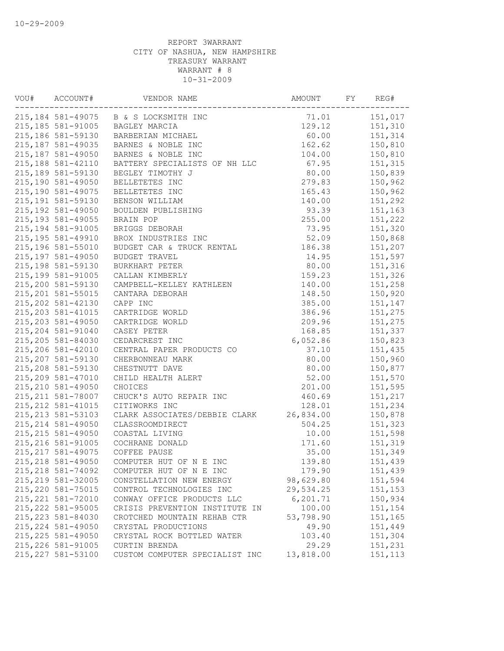| VOU# | ACCOUNT#                                 | VENDOR NAME                                            | AMOUNT          | FY | REG#               |
|------|------------------------------------------|--------------------------------------------------------|-----------------|----|--------------------|
|      |                                          | 215,184 581-49075 B & S LOCKSMITH INC                  | 71.01           |    | 151,017            |
|      | 215, 185 581-91005                       | BAGLEY MARCIA                                          | 129.12          |    | 151,310            |
|      | 215,186 581-59130                        | BARBERIAN MICHAEL                                      | 60.00           |    | 151,314            |
|      | 215, 187 581-49035                       | BARNES & NOBLE INC                                     | 162.62          |    | 150,810            |
|      | 215, 187 581-49050                       | BARNES & NOBLE INC                                     | 104.00          |    | 150,810            |
|      | 215, 188 581-42110                       | BATTERY SPECIALISTS OF NH LLC                          | 67.95           |    | 151,315            |
|      | 215, 189 581-59130                       | BEGLEY TIMOTHY J                                       | 80.00           |    | 150,839            |
|      | 215,190 581-49050                        | BELLETETES INC                                         | 279.83          |    | 150,962            |
|      | 215,190 581-49075                        | BELLETETES INC                                         | 165.43          |    | 150,962            |
|      | 215, 191 581-59130                       | BELLETETES INC<br>BENSON WILLIAM<br>BOULDEN PUBLISHING | 140.00          |    | 151,292            |
|      | 215, 192 581-49050                       |                                                        | 93.39           |    | 151,163            |
|      | 215, 193 581-49055                       | BRAIN POP                                              | 255.00          |    | 151,222            |
|      | 215, 194 581-91005                       | BRIGGS DEBORAH                                         | 73.95           |    | 151,320            |
|      | 215, 195 581-49910                       | BROX INDUSTRIES INC                                    | 52.09           |    | 150,868            |
|      | 215, 196 581-55010                       | BUDGET CAR & TRUCK RENTAL                              | 186.38          |    | 151,207            |
|      | 215, 197 581-49050                       | BUDGET TRAVEL                                          | 14.95           |    | 151,597            |
|      | 215, 198 581-59130                       | BURKHART PETER                                         | 80.00           |    | 151,316            |
|      | 215,199 581-91005                        | CALLAN KIMBERLY                                        | 159.23          |    | 151,326            |
|      | 215,200 581-59130                        | CAMPBELL-KELLEY KATHLEEN                               | 140.00          |    | 151,258            |
|      | 215, 201 581-55015                       | CANTARA DEBORAH                                        | 148.50          |    | 150,920            |
|      | 215, 202 581-42130                       | CAPP INC                                               | 385.00          |    | 151,147            |
|      | 215, 203 581-41015                       | CARTRIDGE WORLD                                        | 386.96          |    | 151,275            |
|      | 215, 203 581-49050                       | CARTRIDGE WORLD                                        | 209.96          |    | 151,275            |
|      | 215,204 581-91040                        | CASEY PETER                                            | 168.85          |    | 151,337            |
|      | 215,205 581-84030                        | CEDARCREST INC                                         | 6,052.86        |    | 150,823            |
|      | 215,206 581-42010                        | CENTRAL PAPER PRODUCTS CO                              | 37.10           |    | 151,435            |
|      | 215,207 581-59130                        | CHERBONNEAU MARK                                       | 80.00           |    | 150,960            |
|      | 215,208 581-59130                        | CHESTNUTT DAVE                                         | 80.00           |    | 150,877            |
|      | 215,209 581-47010                        | CHILD HEALTH ALERT                                     | 52.00           |    | 151,570            |
|      | 215, 210 581-49050                       | CHOICES                                                | 201.00          |    | 151,595            |
|      | 215, 211 581-78007                       | CHUCK'S AUTO REPAIR INC                                | 460.69          |    | 151,217            |
|      | 215, 212 581-41015                       | CITIWORKS INC                                          | 128.01          |    | 151,234            |
|      | 215, 213 581-53103                       | CLARK ASSOCIATES/DEBBIE CLARK 26,834.00                |                 |    | 150,878            |
|      | 215, 214 581-49050                       | CLASSROOMDIRECT                                        | 504.25          |    | 151,323            |
|      | 215, 215 581-49050                       | COASTAL LIVING                                         | 10.00           |    | 151,598            |
|      | 215, 216 581-91005                       | COCHRANE DONALD                                        | 171.60          |    | 151,319            |
|      | 215, 217 581-49075                       | COFFEE PAUSE                                           | 35.00           |    | 151,349            |
|      | 215, 218 581-49050                       | COMPUTER HUT OF N E INC                                | 139.80          |    | 151,439            |
|      | 215, 218 581-74092                       | COMPUTER HUT OF N E INC                                | 179.90          |    | 151,439            |
|      | 215, 219 581-32005                       | CONSTELLATION NEW ENERGY                               | 98,629.80       |    | 151,594            |
|      | 215, 220 581-75015                       | CONTROL TECHNOLOGIES INC                               | 29,534.25       |    | 151,153            |
|      | 215, 221 581-72010                       | CONWAY OFFICE PRODUCTS LLC                             | 6, 201.71       |    | 150,934            |
|      | 215, 222 581-95005                       | CRISIS PREVENTION INSTITUTE IN                         | 100.00          |    | 151,154            |
|      |                                          |                                                        |                 |    |                    |
|      | 215, 223 581-84030                       | CROTCHED MOUNTAIN REHAB CTR<br>CRYSTAL PRODUCTIONS     | 53,798.90       |    | 151,165<br>151,449 |
|      | 215, 224 581-49050<br>215, 225 581-49050 |                                                        | 49.90<br>103.40 |    |                    |
|      |                                          | CRYSTAL ROCK BOTTLED WATER                             |                 |    | 151,304            |
|      | 215, 226 581-91005                       | CURTIN BRENDA                                          | 29.29           |    | 151,231            |
|      | 215, 227 581-53100                       | CUSTOM COMPUTER SPECIALIST INC                         | 13,818.00       |    | 151,113            |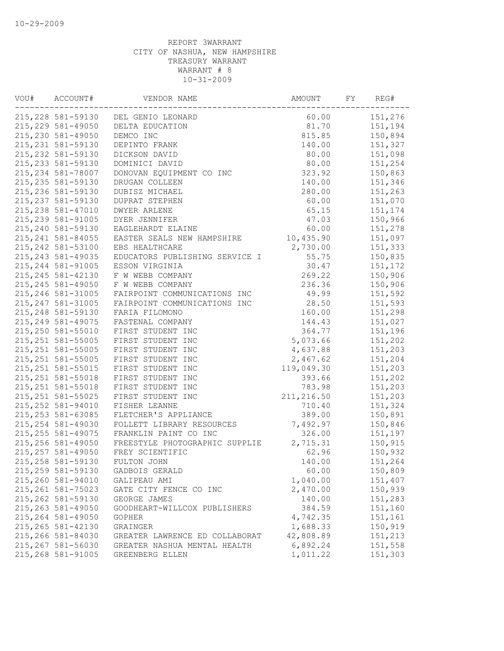| WOU# | ACCOUNT#           | VENDOR NAME                          | AMOUNT      | FY | REG#    |
|------|--------------------|--------------------------------------|-------------|----|---------|
|      |                    | 215, 228 581-59130 DEL GENIO LEONARD | 60.00       |    | 151,276 |
|      | 215, 229 581-49050 | DELTA EDUCATION                      | 81.70       |    | 151,194 |
|      | 215,230 581-49050  | DEMCO INC                            | 815.85      |    | 150,894 |
|      | 215, 231 581-59130 | DEPINTO FRANK                        | 140.00      |    | 151,327 |
|      | 215, 232 581-59130 | DICKSON DAVID                        | 80.00       |    | 151,098 |
|      | 215, 233 581-59130 | DOMINICI DAVID                       | 80.00       |    | 151,254 |
|      | 215, 234 581-78007 | DONOVAN EQUIPMENT CO INC             | 323.92      |    | 150,863 |
|      | 215, 235 581-59130 | DRUGAN COLLEEN                       | 140.00      |    | 151,346 |
|      | 215,236 581-59130  | DUBISZ MICHAEL                       | 280.00      |    | 151,263 |
|      | 215, 237 581-59130 | DUPRAT STEPHEN                       | 60.00       |    | 151,070 |
|      | 215,238 581-47010  | <b>DWYER ARLENE</b>                  | 65.15       |    | 151,174 |
|      | 215,239 581-91005  | DYER JENNIFER                        | 47.03       |    | 150,966 |
|      | 215,240 581-59130  | EAGLEHARDT ELAINE                    | 60.00       |    | 151,278 |
|      | 215, 241 581-84055 | EASTER SEALS NEW HAMPSHIRE           | 10,435.90   |    | 151,097 |
|      | 215, 242 581-53100 | EBS HEALTHCARE                       | 2,730.00    |    | 151,333 |
|      | 215, 243 581-49035 | EDUCATORS PUBLISHING SERVICE I       | 55.75       |    | 150,835 |
|      | 215, 244 581-91005 | ESSON VIRGINIA                       | 30.47       |    | 151,172 |
|      | 215, 245 581-42130 | F W WEBB COMPANY                     | 269.22      |    | 150,906 |
|      | 215, 245 581-49050 | F W WEBB COMPANY                     | 236.36      |    | 150,906 |
|      | 215, 246 581-31005 | FAIRPOINT COMMUNICATIONS INC         | 49.99       |    | 151,592 |
|      | 215, 247 581-31005 | FAIRPOINT COMMUNICATIONS INC         | 28.50       |    | 151,593 |
|      | 215,248 581-59130  | FARIA FILOMONO                       | 160.00      |    | 151,298 |
|      | 215, 249 581-49075 | FASTENAL COMPANY                     | 144.43      |    | 151,027 |
|      | 215,250 581-55010  | FIRST STUDENT INC                    | 364.77      |    | 151,196 |
|      | 215, 251 581-55005 | FIRST STUDENT INC                    | 5,073.66    |    | 151,202 |
|      | 215, 251 581-55005 | FIRST STUDENT INC                    | 4,637.88    |    | 151,203 |
|      | 215, 251 581-55005 | FIRST STUDENT INC                    | 2,467.62    |    | 151,204 |
|      | 215, 251 581-55015 | FIRST STUDENT INC                    | 119,049.30  |    | 151,203 |
|      | 215, 251 581-55018 | FIRST STUDENT INC                    | 393.66      |    | 151,202 |
|      | 215, 251 581-55018 | FIRST STUDENT INC                    | 783.98      |    | 151,203 |
|      | 215, 251 581-55025 | FIRST STUDENT INC                    | 211, 216.50 |    | 151,203 |
|      | 215, 252 581-94010 | FISHER LEANNE                        | 710.40      |    | 151,324 |
|      | 215, 253 581-63085 | FLETCHER'S APPLIANCE                 | 389.00      |    | 150,891 |
|      | 215,254 581-49030  | FOLLETT LIBRARY RESOURCES            | 7,492.97    |    | 150,846 |
|      | 215, 255 581-49075 | FRANKLIN PAINT CO INC                | 326.00      |    | 151,197 |
|      | 215,256 581-49050  | FREESTYLE PHOTOGRAPHIC SUPPLIE       | 2,715.31    |    | 150,915 |
|      | 215, 257 581-49050 | FREY SCIENTIFIC                      | 62.96       |    | 150,932 |
|      | 215,258 581-59130  | FULTON JOHN                          | 140.00      |    | 151,264 |
|      | 215,259 581-59130  | GADBOIS GERALD                       | 60.00       |    | 150,809 |
|      | 215,260 581-94010  | GALIPEAU AMI                         | 1,040.00    |    | 151,407 |
|      | 215, 261 581-75023 | GATE CITY FENCE CO INC               | 2,470.00    |    | 150,939 |
|      | 215, 262 581-59130 | GEORGE JAMES                         | 140.00      |    | 151,283 |
|      | 215, 263 581-49050 | GOODHEART-WILLCOX PUBLISHERS         | 384.59      |    | 151,160 |
|      | 215, 264 581-49050 | GOPHER                               | 4,742.35    |    | 151,161 |
|      | 215, 265 581-42130 | GRAINGER                             | 1,688.33    |    | 150,919 |
|      | 215,266 581-84030  | GREATER LAWRENCE ED COLLABORAT       | 42,808.89   |    | 151,213 |
|      | 215,267 581-56030  | GREATER NASHUA MENTAL HEALTH         | 6,892.24    |    | 151,558 |
|      | 215,268 581-91005  | GREENBERG ELLEN                      | 1,011.22    |    | 151,303 |
|      |                    |                                      |             |    |         |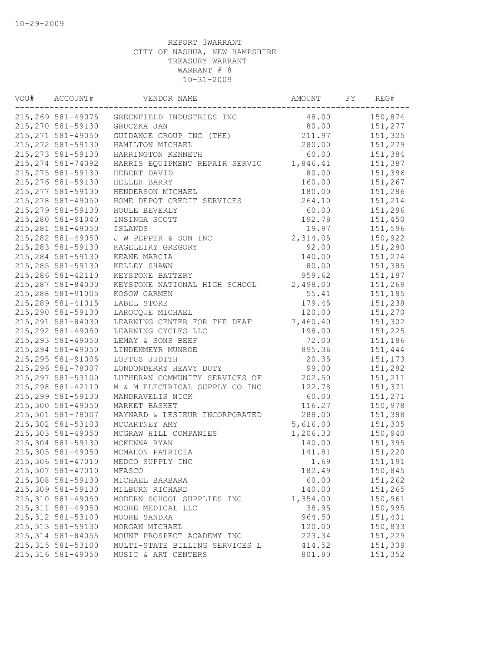| VOU# | ACCOUNT#           | VENDOR NAME                                 | AMOUNT   | FY | REG#    |
|------|--------------------|---------------------------------------------|----------|----|---------|
|      |                    | 215,269 581-49075 GREENFIELD INDUSTRIES INC | 48.00    |    | 150,874 |
|      | 215,270 581-59130  | GRUCZKA JAN                                 | 80.00    |    | 151,277 |
|      | 215, 271 581-49050 | GUIDANCE GROUP INC (THE)                    | 211.97   |    | 151,325 |
|      | 215, 272 581-59130 | HAMILTON MICHAEL                            | 280.00   |    | 151,279 |
|      | 215, 273 581-59130 | HARRINGTON KENNETH                          | 60.00    |    | 151,384 |
|      | 215, 274 581-74092 | HARRIS EQUIPMENT REPAIR SERVIC              | 1,846.41 |    | 151,387 |
|      | 215, 275 581-59130 | HEBERT DAVID                                | 80.00    |    | 151,396 |
|      | 215, 276 581-59130 | HELLER BARRY                                | 160.00   |    | 151,267 |
|      | 215, 277 581-59130 | HENDERSON MICHAEL                           | 180.00   |    | 151,286 |
|      | 215, 278 581-49050 | HOME DEPOT CREDIT SERVICES                  | 264.10   |    | 151,214 |
|      | 215, 279 581-59130 | HOULE BEVERLY                               | 60.00    |    | 151,296 |
|      | 215,280 581-91040  | INSINGA SCOTT                               | 192.78   |    | 151,450 |
|      | 215, 281 581-49050 | ISLANDS                                     | 19.97    |    | 151,596 |
|      | 215, 282 581-49050 | J W PEPPER & SON INC                        | 2,314.05 |    | 150,922 |
|      | 215, 283 581-59130 | KAGELEIRY GREGORY                           | 92.00    |    | 151,280 |
|      | 215, 284 581-59130 | KEANE MARCIA                                | 140.00   |    | 151,274 |
|      | 215, 285 581-59130 | KELLEY SHAWN                                | 80.00    |    | 151,385 |
|      | 215, 286 581-42110 | KEYSTONE BATTERY                            | 959.62   |    | 151,187 |
|      | 215,287 581-84030  | KEYSTONE NATIONAL HIGH SCHOOL               | 2,498.00 |    | 151,269 |
|      | 215,288 581-91005  | KOSOW CARMEN                                | 55.41    |    | 151,185 |
|      | 215,289 581-41015  | LABEL STORE                                 | 179.45   |    | 151,238 |
|      | 215,290 581-59130  | LAROCQUE MICHAEL                            | 120.00   |    | 151,270 |
|      | 215, 291 581-84030 | LEARNING CENTER FOR THE DEAF                | 7,460.40 |    | 151,302 |
|      | 215, 292 581-49050 | LEARNING CYCLES LLC                         | 198.00   |    | 151,225 |
|      | 215, 293 581-49050 | LEMAY & SONS BEEF                           | 72.00    |    | 151,186 |
|      | 215, 294 581-49050 | LINDENMEYR MUNROE                           | 895.36   |    | 151,444 |
|      | 215, 295 581-91005 | LOFTUS JUDITH                               | 20.35    |    | 151,173 |
|      | 215,296 581-78007  | LONDONDERRY HEAVY DUTY                      | 99.00    |    | 151,282 |
|      | 215, 297 581-53100 | LUTHERAN COMMUNITY SERVICES OF              | 202.50   |    | 151,211 |
|      | 215, 298 581-42110 | M & M ELECTRICAL SUPPLY CO INC              | 122.78   |    | 151,371 |
|      | 215, 299 581-59130 | MANDRAVELIS NICK                            | 60.00    |    | 151,271 |
|      | 215,300 581-49050  | MARKET BASKET                               | 116.27   |    | 150,978 |
|      | 215,301 581-78007  | MAYNARD & LESIEUR INCORPORATED              | 288.00   |    | 151,388 |
|      | 215,302 581-53103  | MCCARTNEY AMY                               | 5,616.00 |    | 151,305 |
|      | 215,303 581-49050  | MCGRAW HILL COMPANIES                       | 1,206.33 |    | 150,940 |
|      | 215,304 581-59130  | MCKENNA RYAN                                | 140.00   |    | 151,395 |
|      | 215,305 581-49050  | MCMAHON PATRICIA                            | 141.81   |    | 151,220 |
|      | 215,306 581-47010  | MEDCO SUPPLY INC                            | 1.69     |    | 151,191 |
|      | 215,307 581-47010  | MFASCO                                      | 182.49   |    | 150,845 |
|      | 215,308 581-59130  | MICHAEL BARBARA                             | 60.00    |    | 151,262 |
|      | 215,309 581-59130  | MILBURN RICHARD                             | 140.00   |    | 151,265 |
|      | 215,310 581-49050  | MODERN SCHOOL SUPPLIES INC                  | 1,354.00 |    | 150,961 |
|      | 215, 311 581-49050 | MOORE MEDICAL LLC                           | 38.95    |    | 150,995 |
|      | 215, 312 581-53100 | MOORE SANDRA                                | 964.50   |    | 151,401 |
|      | 215, 313 581-59130 | MORGAN MICHAEL                              | 120.00   |    | 150,833 |
|      | 215, 314 581-84055 | MOUNT PROSPECT ACADEMY INC                  | 223.34   |    | 151,229 |
|      | 215, 315 581-53100 | MULTI-STATE BILLING SERVICES L              | 414.52   |    | 151,309 |
|      | 215, 316 581-49050 | MUSIC & ART CENTERS                         | 801.90   |    | 151,352 |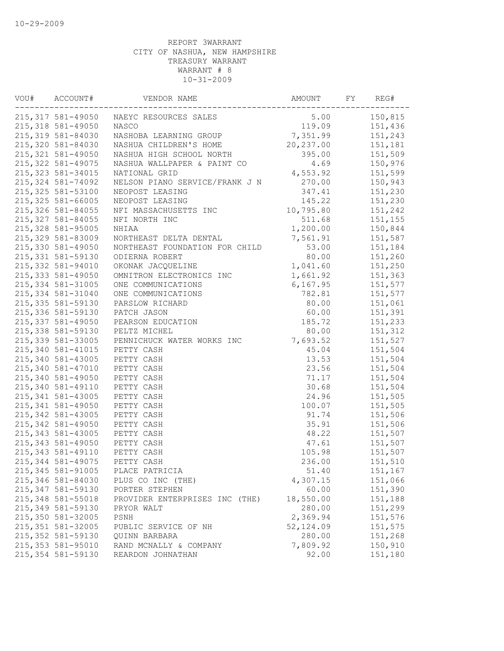| VOU# | ACCOUNT#                                | VENDOR NAME                             | AMOUNT                 | FY | REG#    |
|------|-----------------------------------------|-----------------------------------------|------------------------|----|---------|
|      |                                         | 215,317 581-49050 NAEYC RESOURCES SALES | 5.00                   |    | 150,815 |
|      | 215,318 581-49050                       | <b>NASCO</b>                            | 119.09                 |    | 151,436 |
|      | 215, 319 581-84030                      | NASHOBA LEARNING GROUP                  | 7,351.99               |    | 151,243 |
|      | 215,320 581-84030                       | NASHUA CHILDREN'S HOME                  | 20,237.00              |    | 151,181 |
|      | 215, 321 581-49050                      | NASHUA HIGH SCHOOL NORTH                | 395.00                 |    | 151,509 |
|      | 215, 322 581-49075                      | NASHUA WALLPAPER & PAINT CO             | 4.69                   |    | 150,976 |
|      | 215, 323 581-34015                      | NATIONAL GRID                           | 4,553.92               |    | 151,599 |
|      | 215, 324 581-74092                      | NELSON PIANO SERVICE/FRANK J N          | 270.00                 |    | 150,943 |
|      | 215, 325 581-53100                      | NEOPOST LEASING                         | 347.41                 |    | 151,230 |
|      | 215, 325 581-66005                      | NEOPOST LEASING                         | 145.22                 |    | 151,230 |
|      | 215, 326 581-84055                      | NFI MASSACHUSETTS INC                   | 10,795.80              |    | 151,242 |
|      | 215, 327 581-84055                      | NFI NORTH INC                           | 511.68                 |    | 151,155 |
|      | 215, 328 581-95005                      | NHIAA                                   | 1,200.00               |    | 150,844 |
|      | 215,329 581-83009                       | NORTHEAST DELTA DENTAL                  | 7,561.91               |    | 151,587 |
|      | 215,330 581-49050                       | NORTHEAST FOUNDATION FOR CHILD          | 53.00                  |    | 151,184 |
|      | 215, 331 581-59130                      | ODIERNA ROBERT                          | 80.00                  |    | 151,260 |
|      | 215, 332 581-94010                      | OKONAK JACQUELINE                       | 1,041.60               |    | 151,250 |
|      | 215, 333 581-49050                      | OMNITRON ELECTRONICS INC                | 1,661.92               |    | 151,363 |
|      | 215, 334 581-31005                      | ONE COMMUNICATIONS                      | 6,167.95               |    | 151,577 |
|      | 215, 334 581-31040                      | ONE COMMUNICATIONS                      | 782.81                 |    | 151,577 |
|      | 215, 335 581-59130                      | PARSLOW RICHARD                         | 80.00                  |    | 151,061 |
|      | 215,336 581-59130                       | PATCH JASON                             | 60.00                  |    | 151,391 |
|      | 215, 337 581-49050                      | PEARSON EDUCATION                       | 185.72                 |    | 151,233 |
|      | 215,338 581-59130                       | PELTZ MICHEL                            | 80.00                  |    | 151,312 |
|      | 215, 339 581-33005                      | PENNICHUCK WATER WORKS INC              | 7,693.52               |    | 151,527 |
|      | 215, 340 581-41015                      | PETTY CASH                              | 45.04                  |    | 151,504 |
|      | 215,340 581-43005                       | PETTY CASH                              | 13.53                  |    | 151,504 |
|      | 215,340 581-47010                       | PETTY CASH                              | 23.56                  |    | 151,504 |
|      | 215,340 581-49050                       | PETTY CASH                              | 71.17                  |    | 151,504 |
|      | 215,340 581-49110                       | PETTY CASH                              | 30.68                  |    | 151,504 |
|      | 215, 341 581-43005                      | PETTY CASH                              | 24.96                  |    | 151,505 |
|      | 215, 341 581-49050                      | PETTY CASH                              | 100.07                 |    | 151,505 |
|      | 215, 342 581-43005                      | PETTY CASH                              | 91.74                  |    | 151,506 |
|      | 215, 342 581-49050                      | PETTY CASH                              | 35.91                  |    | 151,506 |
|      | 215, 343 581-43005                      | PETTY CASH                              | 48.22                  |    | 151,507 |
|      | 215, 343 581-49050                      | PETTY CASH                              | 47.61                  |    | 151,507 |
|      | 215, 343 581-49110                      | PETTY CASH                              | 105.98                 |    | 151,507 |
|      | 215, 344 581-49075                      | PETTY CASH                              | 236.00                 |    | 151,510 |
|      | 215, 345 581-91005                      | PLACE PATRICIA                          | 51.40                  |    | 151,167 |
|      | 215, 346 581-84030                      | PLUS CO INC (THE)                       | 4,307.15               |    | 151,066 |
|      | 215, 347 581-59130                      | PORTER STEPHEN                          | 60.00                  |    | 151,390 |
|      | 215, 348 581-55018                      |                                         | 18,550.00              |    | 151,188 |
|      | 215, 349 581-59130                      | PROVIDER ENTERPRISES INC (THE)          | 280.00                 |    | 151,299 |
|      |                                         | PRYOR WALT                              |                        |    |         |
|      | 215,350 581-32005<br>215, 351 581-32005 | PSNH                                    | 2,369.94<br>52, 124.09 |    | 151,576 |
|      | 215, 352 581-59130                      | PUBLIC SERVICE OF NH                    |                        |    | 151,575 |
|      | 215, 353 581-95010                      | QUINN BARBARA                           | 280.00                 |    | 151,268 |
|      |                                         | RAND MCNALLY & COMPANY                  | 7,809.92               |    | 150,910 |
|      | 215, 354 581-59130                      | REARDON JOHNATHAN                       | 92.00                  |    | 151,180 |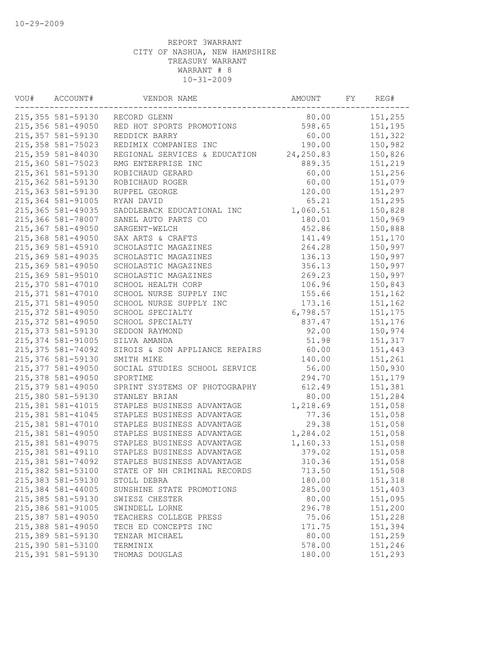| VOU# | ACCOUNT#           | VENDOR NAME                             | AMOUNT   | FY | REG#    |
|------|--------------------|-----------------------------------------|----------|----|---------|
|      |                    | 215,355 581-59130 RECORD GLENN          | 80.00    |    | 151,255 |
|      | 215,356 581-49050  | RED HOT SPORTS PROMOTIONS               | 598.65   |    | 151,195 |
|      | 215, 357 581-59130 | REDDICK BARRY                           | 60.00    |    | 151,322 |
|      | 215, 358 581-75023 | REDIMIX COMPANIES INC                   | 190.00   |    | 150,982 |
|      | 215,359 581-84030  | REGIONAL SERVICES & EDUCATION 24,250.83 |          |    | 150,826 |
|      | 215,360 581-75023  | RMG ENTERPRISE INC                      | 889.35   |    | 151,219 |
|      | 215, 361 581-59130 | ROBICHAUD GERARD                        | 60.00    |    | 151,256 |
|      | 215,362 581-59130  | ROBICHAUD ROGER                         | 60.00    |    | 151,079 |
|      | 215, 363 581-59130 | RUPPEL GEORGE                           | 120.00   |    | 151,297 |
|      | 215,364 581-91005  | RYAN DAVID                              | 65.21    |    | 151,295 |
|      | 215, 365 581-49035 | SADDLEBACK EDUCATIONAL INC              | 1,060.51 |    | 150,828 |
|      | 215,366 581-78007  | SANEL AUTO PARTS CO                     | 180.01   |    | 150,969 |
|      | 215,367 581-49050  | SARGENT-WELCH                           | 452.86   |    | 150,888 |
|      | 215,368 581-49050  | SAX ARTS & CRAFTS                       | 141.49   |    | 151,170 |
|      | 215,369 581-45910  | SCHOLASTIC MAGAZINES                    | 264.28   |    | 150,997 |
|      | 215,369 581-49035  | SCHOLASTIC MAGAZINES                    | 136.13   |    | 150,997 |
|      | 215,369 581-49050  | SCHOLASTIC MAGAZINES                    | 356.13   |    | 150,997 |
|      | 215,369 581-95010  | SCHOLASTIC MAGAZINES                    | 269.23   |    | 150,997 |
|      | 215,370 581-47010  | SCHOOL HEALTH CORP                      | 106.96   |    | 150,843 |
|      | 215, 371 581-47010 | SCHOOL NURSE SUPPLY INC                 | 155.66   |    | 151,162 |
|      | 215, 371 581-49050 | SCHOOL NURSE SUPPLY INC                 | 173.16   |    | 151,162 |
|      | 215, 372 581-49050 | SCHOOL SPECIALTY                        | 6,798.57 |    | 151,175 |
|      | 215, 372 581-49050 | SCHOOL SPECIALTY                        | 837.47   |    | 151,176 |
|      | 215, 373 581-59130 | SEDDON RAYMOND                          | 92.00    |    | 150,974 |
|      | 215, 374 581-91005 | SILVA AMANDA                            | 51.98    |    | 151,317 |
|      | 215, 375 581-74092 | SIROIS & SON APPLIANCE REPAIRS          | 60.00    |    | 151,443 |
|      | 215,376 581-59130  | SMITH MIKE                              | 140.00   |    | 151,261 |
|      | 215, 377 581-49050 | SOCIAL STUDIES SCHOOL SERVICE           | 56.00    |    | 150,930 |
|      | 215,378 581-49050  | SPORTIME                                | 294.70   |    | 151,179 |
|      | 215,379 581-49050  | SPRINT SYSTEMS OF PHOTOGRAPHY           | 612.49   |    | 151,381 |
|      | 215,380 581-59130  | STANLEY BRIAN                           | 80.00    |    | 151,284 |
|      | 215, 381 581-41015 | STAPLES BUSINESS ADVANTAGE              | 1,218.69 |    | 151,058 |
|      | 215,381 581-41045  | STAPLES BUSINESS ADVANTAGE              | 77.36    |    | 151,058 |
|      | 215,381 581-47010  | STAPLES BUSINESS ADVANTAGE              | 29.38    |    | 151,058 |
|      | 215,381 581-49050  | STAPLES BUSINESS ADVANTAGE              | 1,284.02 |    | 151,058 |
|      | 215,381 581-49075  | STAPLES BUSINESS ADVANTAGE              | 1,160.33 |    | 151,058 |
|      | 215,381 581-49110  | STAPLES BUSINESS ADVANTAGE              | 379.02   |    | 151,058 |
|      | 215,381 581-74092  | STAPLES BUSINESS ADVANTAGE              | 310.36   |    | 151,058 |
|      | 215,382 581-53100  | STATE OF NH CRIMINAL RECORDS            | 713.50   |    | 151,508 |
|      | 215,383 581-59130  | STOLL DEBRA                             | 180.00   |    | 151,318 |
|      | 215,384 581-44005  | SUNSHINE STATE PROMOTIONS               | 285.00   |    | 151,403 |
|      | 215,385 581-59130  | SWIESZ CHESTER                          | 80.00    |    | 151,095 |
|      | 215,386 581-91005  | SWINDELL LORNE                          | 296.78   |    | 151,200 |
|      | 215,387 581-49050  | TEACHERS COLLEGE PRESS                  | 75.06    |    | 151,228 |
|      | 215,388 581-49050  | TECH ED CONCEPTS INC                    | 171.75   |    | 151,394 |
|      | 215,389 581-59130  | TENZAR MICHAEL                          | 80.00    |    | 151,259 |
|      | 215,390 581-53100  | TERMINIX                                | 578.00   |    | 151,246 |
|      | 215,391 581-59130  | THOMAS DOUGLAS                          | 180.00   |    | 151,293 |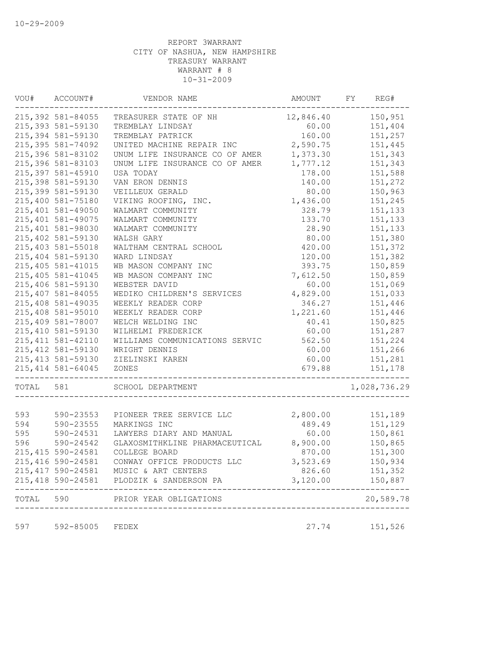| VOU#  | ACCOUNT#           | VENDOR NAME                              | AMOUNT    | FY | REG#             |
|-------|--------------------|------------------------------------------|-----------|----|------------------|
|       | 215,392 581-84055  | TREASURER STATE OF NH                    | 12,846.40 |    | 150,951          |
|       | 215, 393 581-59130 | TREMBLAY LINDSAY                         | 60.00     |    | 151,404          |
|       | 215,394 581-59130  | TREMBLAY PATRICK                         | 160.00    |    | 151,257          |
|       | 215, 395 581-74092 | UNITED MACHINE REPAIR INC                | 2,590.75  |    | 151,445          |
|       | 215,396 581-83102  | UNUM LIFE INSURANCE CO OF AMER           | 1,373.30  |    | 151,343          |
|       | 215,396 581-83103  | UNUM LIFE INSURANCE CO OF AMER           | 1,777.12  |    | 151,343          |
|       | 215,397 581-45910  | USA TODAY                                | 178.00    |    | 151,588          |
|       | 215,398 581-59130  | VAN ERON DENNIS                          | 140.00    |    | 151,272          |
|       | 215,399 581-59130  | VEILLEUX GERALD                          | 80.00     |    | 150,963          |
|       | 215,400 581-75180  | VIKING ROOFING, INC.                     | 1,436.00  |    | 151,245          |
|       | 215,401 581-49050  | WALMART COMMUNITY                        | 328.79    |    | 151,133          |
|       | 215, 401 581-49075 | WALMART COMMUNITY                        | 133.70    |    | 151,133          |
|       | 215,401 581-98030  | WALMART COMMUNITY                        | 28.90     |    | 151,133          |
|       | 215,402 581-59130  | WALSH GARY                               | 80.00     |    | 151,380          |
|       | 215,403 581-55018  | WALTHAM CENTRAL SCHOOL                   | 420.00    |    | 151,372          |
|       | 215,404 581-59130  | WARD LINDSAY                             | 120.00    |    | 151,382          |
|       | 215, 405 581-41015 | WB MASON COMPANY INC                     | 393.75    |    | 150,859          |
|       | 215, 405 581-41045 | WB MASON COMPANY INC                     | 7,612.50  |    | 150,859          |
|       | 215,406 581-59130  | WEBSTER DAVID                            | 60.00     |    | 151,069          |
|       | 215,407 581-84055  | WEDIKO CHILDREN'S SERVICES               | 4,829.00  |    | 151,033          |
|       | 215,408 581-49035  | WEEKLY READER CORP                       | 346.27    |    | 151,446          |
|       | 215,408 581-95010  | WEEKLY READER CORP                       | 1,221.60  |    | 151,446          |
|       | 215,409 581-78007  | WELCH WELDING INC                        | 40.41     |    | 150,825          |
|       | 215,410 581-59130  | WILHELMI FREDERICK                       | 60.00     |    | 151,287          |
|       | 215, 411 581-42110 | WILLIAMS COMMUNICATIONS SERVIC           | 562.50    |    | 151,224          |
|       | 215, 412 581-59130 | WRIGHT DENNIS                            | 60.00     |    | 151,266          |
|       | 215, 413 581-59130 | ZIELINSKI KAREN                          | 60.00     |    | 151,281          |
|       | 215, 414 581-64045 | ZONES                                    | 679.88    |    | 151,178          |
| TOTAL | 581                | SCHOOL DEPARTMENT                        |           |    | 1,028,736.29     |
|       |                    |                                          |           |    |                  |
| 593   | 590-23553          | PIONEER TREE SERVICE LLC                 | 2,800.00  |    | 151,189          |
| 594   | 590-23555          | MARKINGS INC                             | 489.49    |    | 151,129          |
| 595   | 590-24531          | LAWYERS DIARY AND MANUAL                 | 60.00     |    | 150,861          |
| 596   | 590-24542          | GLAXOSMITHKLINE PHARMACEUTICAL           | 8,900.00  |    | 150,865          |
|       | 215, 415 590-24581 | COLLEGE BOARD                            | 870.00    |    | 151,300          |
|       | 215, 416 590-24581 | CONWAY OFFICE PRODUCTS LLC               | 3,523.69  |    | 150,934          |
|       | 215, 417 590-24581 | MUSIC & ART CENTERS                      | 826.60    |    | 151,352          |
|       |                    | 215,418 590-24581 PLODZIK & SANDERSON PA | 3,120.00  |    | 150,887<br>----- |
| TOTAL | 590                | PRIOR YEAR OBLIGATIONS                   |           |    | 20,589.78        |
| 597   | 592-85005          | FEDEX                                    | 27.74     |    | 151,526          |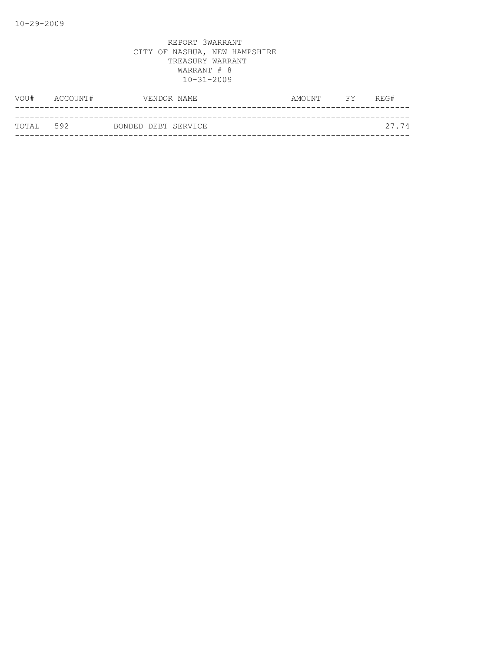| VOU#       | ACCOUNT# |  | VENDOR NAME         | AMOUNT | FY REG# |       |
|------------|----------|--|---------------------|--------|---------|-------|
|            |          |  |                     |        |         |       |
| ТОТАТ. 592 |          |  | BONDED DEBT SERVICE |        |         | 27.74 |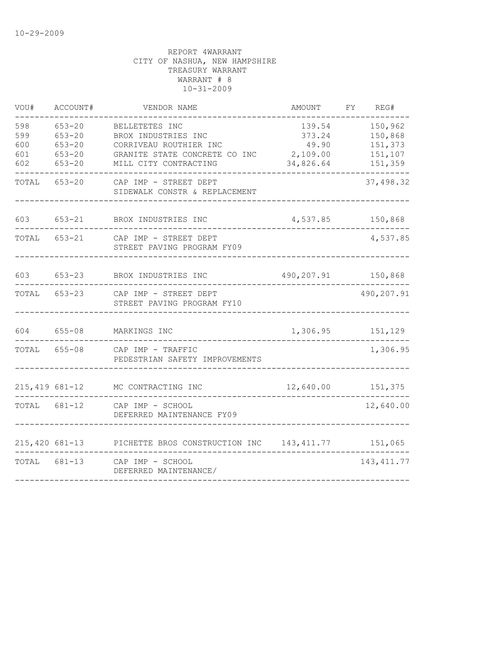| VOU#                     | ACCOUNT#                                             | VENDOR NAME                                                                                      | <b>AMOUNT</b>                         | FΥ | REG#                                     |
|--------------------------|------------------------------------------------------|--------------------------------------------------------------------------------------------------|---------------------------------------|----|------------------------------------------|
| 598<br>599<br>600<br>601 | $653 - 20$<br>$653 - 20$<br>$653 - 20$<br>$653 - 20$ | BELLETETES INC<br>BROX INDUSTRIES INC<br>CORRIVEAU ROUTHIER INC<br>GRANITE STATE CONCRETE CO INC | 139.54<br>373.24<br>49.90<br>2,109.00 |    | 150,962<br>150,868<br>151,373<br>151,107 |
| 602                      | $653 - 20$                                           | MILL CITY CONTRACTING                                                                            | 34,826.64                             |    | 151,359                                  |
| TOTAL                    | 653-20                                               | CAP IMP - STREET DEPT<br>SIDEWALK CONSTR & REPLACEMENT                                           |                                       |    | 37,498.32                                |
| 603                      | $653 - 21$                                           | BROX INDUSTRIES INC                                                                              | 4,537.85                              |    | 150,868                                  |
| TOTAL                    | $653 - 21$                                           | CAP IMP - STREET DEPT<br>STREET PAVING PROGRAM FY09                                              |                                       |    | 4,537.85                                 |
| 603                      | $653 - 23$                                           | BROX INDUSTRIES INC                                                                              | 490,207.91                            |    | 150,868                                  |
| TOTAL                    | $653 - 23$                                           | CAP IMP - STREET DEPT<br>STREET PAVING PROGRAM FY10                                              |                                       |    | 490,207.91                               |
| 604                      | $655 - 08$                                           | MARKINGS INC                                                                                     | 1,306.95                              |    | 151,129                                  |
| TOTAL                    | $655 - 08$                                           | CAP IMP - TRAFFIC<br>PEDESTRIAN SAFETY IMPROVEMENTS                                              |                                       |    | 1,306.95                                 |
| 215, 419 681-12          |                                                      | MC CONTRACTING INC                                                                               | 12,640.00                             |    | 151,375                                  |
| TOTAL                    | $681 - 12$                                           | CAP IMP - SCHOOL<br>DEFERRED MAINTENANCE FY09                                                    |                                       |    | 12,640.00                                |
| $215,420$ 681-13         |                                                      | PICHETTE BROS CONSTRUCTION INC                                                                   | 143, 411.77                           |    | 151,065                                  |
| TOTAL                    | 681-13                                               | CAP IMP - SCHOOL<br>DEFERRED MAINTENANCE/                                                        |                                       |    | 143, 411.77                              |
|                          |                                                      |                                                                                                  |                                       |    |                                          |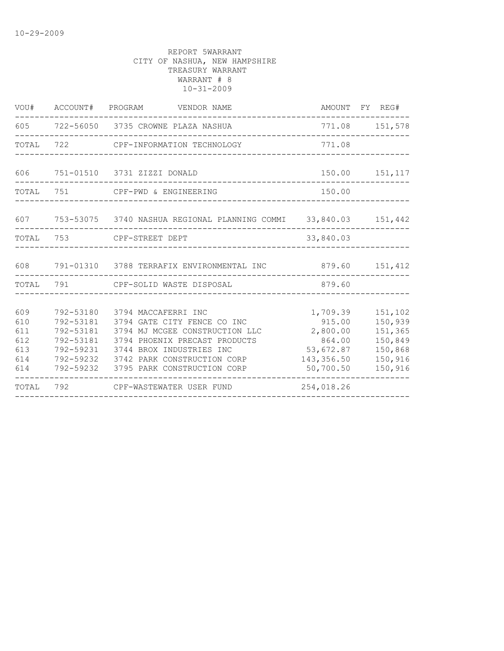|                                               |                                                                                         | VOU# ACCOUNT# PROGRAM VENDOR NAME                                                                                                                                                                               |                                                                                  | AMOUNT FY REG#                                                            |
|-----------------------------------------------|-----------------------------------------------------------------------------------------|-----------------------------------------------------------------------------------------------------------------------------------------------------------------------------------------------------------------|----------------------------------------------------------------------------------|---------------------------------------------------------------------------|
|                                               |                                                                                         | 605 722-56050 3735 CROWNE PLAZA NASHUA                                                                                                                                                                          |                                                                                  | 771.08 151,578                                                            |
| TOTAL                                         |                                                                                         | 722 CPF-INFORMATION TECHNOLOGY                                                                                                                                                                                  | 771.08                                                                           |                                                                           |
|                                               |                                                                                         | 606 751-01510 3731 ZIZZI DONALD                                                                                                                                                                                 |                                                                                  | 150.00 151, 117                                                           |
| TOTAL                                         |                                                                                         | 751 CPF-PWD & ENGINEERING                                                                                                                                                                                       | 150.00                                                                           |                                                                           |
|                                               |                                                                                         | 607  753-53075  3740 NASHUA REGIONAL PLANNING COMMI  33,840.03  151,442                                                                                                                                         |                                                                                  |                                                                           |
| TOTAL                                         |                                                                                         | 753 CPF-STREET DEPT                                                                                                                                                                                             | 33,840.03                                                                        |                                                                           |
|                                               |                                                                                         | 608 791-01310 3788 TERRAFIX ENVIRONMENTAL INC 879.60 151,412                                                                                                                                                    |                                                                                  |                                                                           |
| TOTAL                                         |                                                                                         | 791 CPF-SOLID WASTE DISPOSAL                                                                                                                                                                                    | 879.60                                                                           |                                                                           |
| 609<br>610<br>611<br>612<br>613<br>614<br>614 | 792-53180<br>792-53181<br>792-53181<br>792-53181<br>792-59231<br>792-59232<br>792-59232 | 3794 MACCAFERRI INC<br>3794 GATE CITY FENCE CO INC<br>3794 MJ MCGEE CONSTRUCTION LLC<br>3794 PHOENIX PRECAST PRODUCTS<br>3744 BROX INDUSTRIES INC<br>3742 PARK CONSTRUCTION CORP<br>3795 PARK CONSTRUCTION CORP | 1,709.39<br>915.00<br>2,800.00<br>864.00<br>53,672.87<br>143,356.50<br>50,700.50 | 151,102<br>150,939<br>151,365<br>150,849<br>150,868<br>150,916<br>150,916 |
| TOTAL                                         |                                                                                         | 792 CPF-WASTEWATER USER FUND                                                                                                                                                                                    | 254,018.26                                                                       |                                                                           |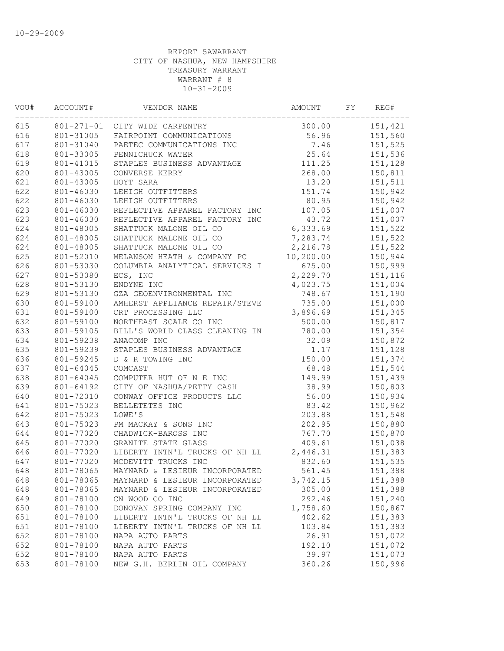| VOU# | ACCOUNT#  | VENDOR NAME                    | AMOUNT     | FY | REG#    |
|------|-----------|--------------------------------|------------|----|---------|
| 615  |           | 801-271-01 CITY WIDE CARPENTRY | 300.00     |    | 151,421 |
| 616  | 801-31005 | FAIRPOINT COMMUNICATIONS       | 56.96      |    | 151,560 |
| 617  | 801-31040 | PAETEC COMMUNICATIONS INC      | 7.46       |    | 151,525 |
| 618  | 801-33005 | PENNICHUCK WATER               | 25.64      |    | 151,536 |
| 619  | 801-41015 | STAPLES BUSINESS ADVANTAGE     | 111.25     |    | 151,128 |
| 620  | 801-43005 | CONVERSE KERRY                 | 268.00     |    | 150,811 |
| 621  | 801-43005 | HOYT SARA                      | 13.20      |    | 151,511 |
| 622  | 801-46030 | LEHIGH OUTFITTERS              | 151.74     |    | 150,942 |
| 622  | 801-46030 | LEHIGH OUTFITTERS              | 80.95      |    | 150,942 |
| 623  | 801-46030 | REFLECTIVE APPAREL FACTORY INC | 107.05     |    | 151,007 |
| 623  | 801-46030 | REFLECTIVE APPAREL FACTORY INC | 43.72      |    | 151,007 |
| 624  | 801-48005 | SHATTUCK MALONE OIL CO         | 6,333.69   |    | 151,522 |
| 624  | 801-48005 | SHATTUCK MALONE OIL CO         | 7,283.74   |    | 151,522 |
| 624  | 801-48005 | SHATTUCK MALONE OIL CO         | 2,216.78   |    | 151,522 |
| 625  | 801-52010 | MELANSON HEATH & COMPANY PC    | 10, 200.00 |    | 150,944 |
| 626  | 801-53030 | COLUMBIA ANALYTICAL SERVICES I | 675.00     |    | 150,999 |
| 627  | 801-53080 | ECS, INC                       | 2,229.70   |    | 151,116 |
| 628  | 801-53130 | ENDYNE INC                     | 4,023.75   |    | 151,004 |
| 629  | 801-53130 | GZA GEOENVIRONMENTAL INC       | 748.67     |    | 151,190 |
| 630  | 801-59100 | AMHERST APPLIANCE REPAIR/STEVE | 735.00     |    | 151,000 |
| 631  | 801-59100 | CRT PROCESSING LLC             | 3,896.69   |    | 151,345 |
| 632  | 801-59100 | NORTHEAST SCALE CO INC         | 500.00     |    | 150,817 |
| 633  | 801-59105 | BILL'S WORLD CLASS CLEANING IN | 780.00     |    | 151,354 |
| 634  | 801-59238 | ANACOMP INC                    | 32.09      |    | 150,872 |
| 635  | 801-59239 | STAPLES BUSINESS ADVANTAGE     | 1.17       |    | 151,128 |
| 636  | 801-59245 | D & R TOWING INC               | 150.00     |    | 151,374 |
| 637  | 801-64045 | COMCAST                        | 68.48      |    | 151,544 |
| 638  | 801-64045 | COMPUTER HUT OF N E INC        | 149.99     |    | 151,439 |
| 639  | 801-64192 | CITY OF NASHUA/PETTY CASH      | 38.99      |    | 150,803 |
| 640  | 801-72010 | CONWAY OFFICE PRODUCTS LLC     | 56.00      |    | 150,934 |
| 641  | 801-75023 | BELLETETES INC                 | 83.42      |    | 150,962 |
| 642  | 801-75023 | LOWE'S                         | 203.88     |    | 151,548 |
| 643  | 801-75023 | PM MACKAY & SONS INC           | 202.95     |    | 150,880 |
| 644  | 801-77020 | CHADWICK-BAROSS INC            | 767.70     |    | 150,870 |
| 645  | 801-77020 | GRANITE STATE GLASS            | 409.61     |    | 151,038 |
| 646  | 801-77020 | LIBERTY INTN'L TRUCKS OF NH LL | 2,446.31   |    | 151,383 |
| 647  | 801-77020 | MCDEVITT TRUCKS INC            | 832.60     |    | 151,535 |
| 648  | 801-78065 | MAYNARD & LESIEUR INCORPORATED | 561.45     |    | 151,388 |
| 648  | 801-78065 | MAYNARD & LESIEUR INCORPORATED | 3,742.15   |    | 151,388 |
| 648  | 801-78065 | MAYNARD & LESIEUR INCORPORATED | 305.00     |    | 151,388 |
| 649  | 801-78100 | CN WOOD CO INC                 | 292.46     |    | 151,240 |
| 650  | 801-78100 | DONOVAN SPRING COMPANY INC     | 1,758.60   |    | 150,867 |
| 651  | 801-78100 | LIBERTY INTN'L TRUCKS OF NH LL | 402.62     |    | 151,383 |
| 651  | 801-78100 | LIBERTY INTN'L TRUCKS OF NH LL | 103.84     |    | 151,383 |
| 652  | 801-78100 | NAPA AUTO PARTS                | 26.91      |    | 151,072 |
| 652  | 801-78100 | NAPA AUTO PARTS                | 192.10     |    | 151,072 |
| 652  | 801-78100 | NAPA AUTO PARTS                | 39.97      |    | 151,073 |
| 653  | 801-78100 | NEW G.H. BERLIN OIL COMPANY    | 360.26     |    | 150,996 |
|      |           |                                |            |    |         |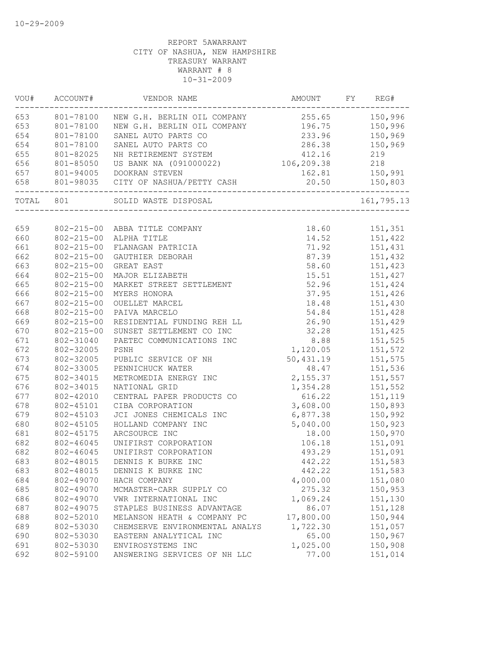| VOU# | ACCOUNT#               | VENDOR NAME                                          | AMOUNT           | FY | REG#           |
|------|------------------------|------------------------------------------------------|------------------|----|----------------|
| 653  |                        | 801-78100 NEW G.H. BERLIN OIL COMPANY 255.65 150,996 |                  |    |                |
| 653  | 801-78100              | NEW G.H. BERLIN OIL COMPANY 196.75 150,996           |                  |    |                |
| 654  | 801-78100              | SANEL AUTO PARTS CO                                  | 233.96 150,969   |    |                |
| 654  | 801-78100              | SANEL AUTO PARTS CO                                  | 286.38           |    | 150,969        |
| 655  | 801-82025              | NH RETIREMENT SYSTEM                                 | 412.16           |    | 219            |
| 656  | 801-85050<br>801-94005 | US BANK NA (091000022)                               | 106,209.38       |    | 218<br>150,991 |
| 657  |                        | DOOKRAN STEVEN                                       | 162.81           |    |                |
| 658  |                        | 801-98035 CITY OF NASHUA/PETTY CASH                  | 20.50            |    | 150,803        |
|      | TOTAL 801              | SOLID WASTE DISPOSAL                                 | ________________ |    | 161,795.13     |
|      |                        |                                                      |                  |    |                |
| 659  |                        | 802-215-00 ABBA TITLE COMPANY                        | 18.60            |    | 151,351        |
| 660  | $802 - 215 - 00$       | ALPHA TITLE                                          | 14.52            |    | 151,422        |
| 661  | $802 - 215 - 00$       | FLANAGAN PATRICIA                                    | 71.92            |    | 151,431        |
| 662  | $802 - 215 - 00$       | GAUTHIER DEBORAH                                     | 87.39            |    | 151,432        |
| 663  | $802 - 215 - 00$       | GREAT EAST                                           | 58.60            |    | 151,423        |
| 664  | $802 - 215 - 00$       | MAJOR ELIZABETH                                      | 15.51            |    | 151,427        |
| 665  | $802 - 215 - 00$       | MARKET STREET SETTLEMENT                             | 52.96            |    | 151,424        |
| 666  | $802 - 215 - 00$       | MYERS HONORA                                         | 37.95            |    | 151,426        |
| 667  | $802 - 215 - 00$       | OUELLET MARCEL                                       | 18.48            |    | 151,430        |
| 668  | $802 - 215 - 00$       | PAIVA MARCELO                                        | 54.84            |    | 151,428        |
| 669  | $802 - 215 - 00$       | RESIDENTIAL FUNDING REH LL                           | 26.90            |    | 151,429        |
| 670  | $802 - 215 - 00$       | SUNSET SETTLEMENT CO INC                             | 32.28            |    | 151,425        |
| 671  | 802-31040              | PAETEC COMMUNICATIONS INC                            | 8.88             |    | 151,525        |
| 672  | 802-32005              | PSNH                                                 | 1,120.05         |    | 151,572        |
| 673  | 802-32005              | PUBLIC SERVICE OF NH                                 | 50,431.19        |    | 151,575        |
| 674  | 802-33005              | PENNICHUCK WATER                                     | 48.47            |    | 151,536        |
| 675  | 802-34015              | METROMEDIA ENERGY INC                                | 2,155.37         |    | 151,557        |
| 676  | 802-34015              | NATIONAL GRID                                        | 1,354.28         |    | 151,552        |
| 677  | 802-42010              | CENTRAL PAPER PRODUCTS CO                            | 616.22           |    | 151,119        |
| 678  | 802-45101              | CIBA CORPORATION                                     | 3,608.00         |    | 150,893        |
| 679  | 802-45103              | JCI JONES CHEMICALS INC                              | 6,877.38         |    | 150,992        |
| 680  | $802 - 45105$          | HOLLAND COMPANY INC                                  | 5,040.00         |    | 150,923        |
| 681  | 802-45175              | ARCSOURCE INC                                        | 18.00            |    | 150,970        |
| 682  | 802-46045              | UNIFIRST CORPORATION                                 | 106.18           |    | 151,091        |
| 682  | 802-46045              | UNIFIRST CORPORATION                                 | 493.29           |    | 151,091        |
| 683  | 802-48015              | DENNIS K BURKE INC                                   | 442.22           |    | 151,583        |
| 683  | 802-48015              | DENNIS K BURKE INC                                   | 442.22           |    | 151,583        |
| 684  | 802-49070              | HACH COMPANY                                         | 4,000.00         |    | 151,080        |
| 685  | 802-49070              | MCMASTER-CARR SUPPLY CO                              | 275.32           |    | 150,953        |
| 686  | 802-49070              | VWR INTERNATIONAL INC                                | 1,069.24         |    | 151,130        |
| 687  | 802-49075              | STAPLES BUSINESS ADVANTAGE                           | 86.07            |    | 151,128        |
| 688  | 802-52010              | MELANSON HEATH & COMPANY PC                          | 17,800.00        |    | 150,944        |
| 689  | 802-53030              | CHEMSERVE ENVIRONMENTAL ANALYS                       | 1,722.30         |    | 151,057        |
| 690  | 802-53030              | EASTERN ANALYTICAL INC                               | 65.00            |    | 150,967        |
| 691  | 802-53030              | ENVIROSYSTEMS INC                                    | 1,025.00         |    | 150,908        |
| 692  | 802-59100              | ANSWERING SERVICES OF NH LLC                         | 77.00            |    | 151,014        |
|      |                        |                                                      |                  |    |                |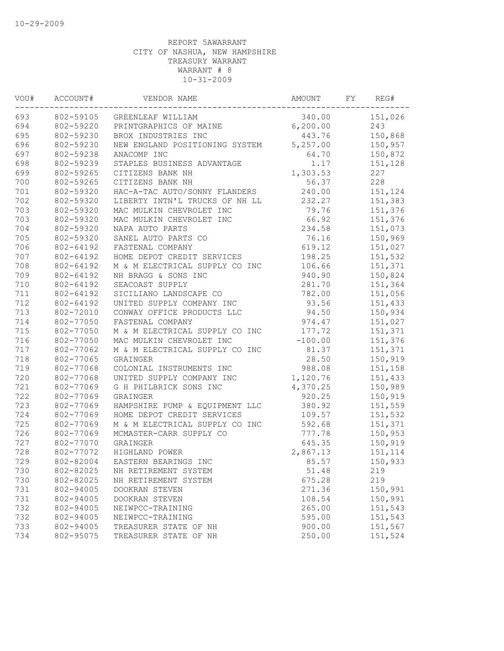| VOU#  | ACCOUNT#  | VENDOR NAME                    | AMOUNT    | FY | REG#    |
|-------|-----------|--------------------------------|-----------|----|---------|
| 693   | 802-59105 | GREENLEAF WILLIAM              | 340.00    |    | 151,026 |
| 694   | 802-59220 | PRINTGRAPHICS OF MAINE         | 6, 200.00 |    | 243     |
| 695   | 802-59230 | BROX INDUSTRIES INC            | 443.76    |    | 150,868 |
| 696   | 802-59230 | NEW ENGLAND POSITIONING SYSTEM | 5,257.00  |    | 150,957 |
| 697   | 802-59238 | ANACOMP INC                    | 64.70     |    | 150,872 |
| 698   | 802-59239 | STAPLES BUSINESS ADVANTAGE     | 1.17      |    | 151,128 |
| 699   | 802-59265 | CITIZENS BANK NH               | 1,303.53  |    | 227     |
| 700   | 802-59265 | CITIZENS BANK NH               | 56.37     |    | 228     |
| $701$ | 802-59320 | HAC-A-TAC AUTO/SONNY FLANDERS  | 240.00    |    | 151,124 |
| 702   | 802-59320 | LIBERTY INTN'L TRUCKS OF NH LL | 232.27    |    | 151,383 |
| 703   | 802-59320 | MAC MULKIN CHEVROLET INC       | 79.76     |    | 151,376 |
| 703   | 802-59320 | MAC MULKIN CHEVROLET INC       | 66.92     |    | 151,376 |
| 704   | 802-59320 | NAPA AUTO PARTS                | 234.58    |    | 151,073 |
| 705   | 802-59320 | SANEL AUTO PARTS CO            | 76.16     |    | 150,969 |
| 706   | 802-64192 | FASTENAL COMPANY               | 619.12    |    | 151,027 |
| 707   | 802-64192 | HOME DEPOT CREDIT SERVICES     | 198.25    |    | 151,532 |
| 708   | 802-64192 | M & M ELECTRICAL SUPPLY CO INC | 106.66    |    | 151,371 |
| 709   | 802-64192 | NH BRAGG & SONS INC            | 940.90    |    | 150,824 |
| 710   | 802-64192 | SEACOAST SUPPLY                | 281.70    |    | 151,364 |
| 711   | 802-64192 | SICILIANO LANDSCAPE CO         | 782.00    |    | 151,056 |
| 712   | 802-64192 | UNITED SUPPLY COMPANY INC      | 93.56     |    | 151,433 |
| 713   | 802-72010 | CONWAY OFFICE PRODUCTS LLC     | 94.50     |    | 150,934 |
| 714   | 802-77050 | FASTENAL COMPANY               | 974.47    |    | 151,027 |
| 715   | 802-77050 | M & M ELECTRICAL SUPPLY CO INC | 177.72    |    | 151,371 |
| 716   | 802-77050 | MAC MULKIN CHEVROLET INC       | $-100.00$ |    | 151,376 |
| 717   | 802-77062 | M & M ELECTRICAL SUPPLY CO INC | 81.37     |    | 151,371 |
| 718   | 802-77065 | GRAINGER                       | 28.50     |    | 150,919 |
| 719   | 802-77068 | COLONIAL INSTRUMENTS INC       | 988.08    |    | 151,158 |
| 720   | 802-77068 | UNITED SUPPLY COMPANY INC      | 1,120.76  |    | 151,433 |
| 721   | 802-77069 | G H PHILBRICK SONS INC         | 4,370.25  |    | 150,989 |
| 722   | 802-77069 | GRAINGER                       | 920.25    |    | 150,919 |
| 723   | 802-77069 | HAMPSHIRE PUMP & EQUIPMENT LLC | 380.92    |    | 151,559 |
| 724   | 802-77069 | HOME DEPOT CREDIT SERVICES     | 109.57    |    | 151,532 |
| 725   | 802-77069 | M & M ELECTRICAL SUPPLY CO INC | 592.68    |    | 151,371 |
| 726   | 802-77069 | MCMASTER-CARR SUPPLY CO        | 777.78    |    | 150,953 |
| 727   | 802-77070 | GRAINGER                       | 645.35    |    | 150,919 |
| 728   | 802-77072 | HIGHLAND POWER                 | 2,867.13  |    | 151,114 |
| 729   | 802-82004 | EASTERN BEARINGS INC           | 85.57     |    | 150,933 |
| 730   | 802-82025 | NH RETIREMENT SYSTEM           | 51.48     |    | 219     |
| 730   | 802-82025 | NH RETIREMENT SYSTEM           | 675.28    |    | 219     |
| 731   | 802-94005 | DOOKRAN STEVEN                 | 271.36    |    | 150,991 |
| 731   | 802-94005 | DOOKRAN STEVEN                 | 108.54    |    | 150,991 |
| 732   | 802-94005 | NEIWPCC-TRAINING               | 265.00    |    | 151,543 |
| 732   | 802-94005 | NEIWPCC-TRAINING               | 595.00    |    | 151,543 |
| 733   | 802-94005 | TREASURER STATE OF NH          | 900.00    |    | 151,567 |
| 734   | 802-95075 | TREASURER STATE OF NH          | 250.00    |    | 151,524 |
|       |           |                                |           |    |         |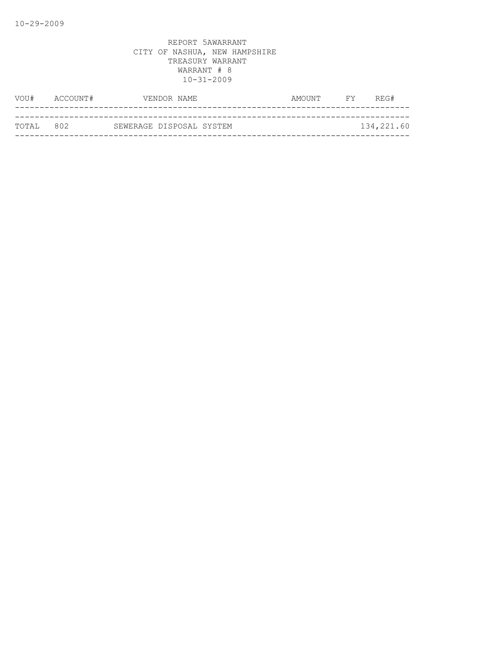| VOU#      | ACCOUNT# |                          | VENDOR NAME | AMOUNT | <b>FY</b> | REG#       |
|-----------|----------|--------------------------|-------------|--------|-----------|------------|
|           |          |                          |             |        |           |            |
| TOTAL 802 |          | SEWERAGE DISPOSAL SYSTEM |             |        |           | 134,221.60 |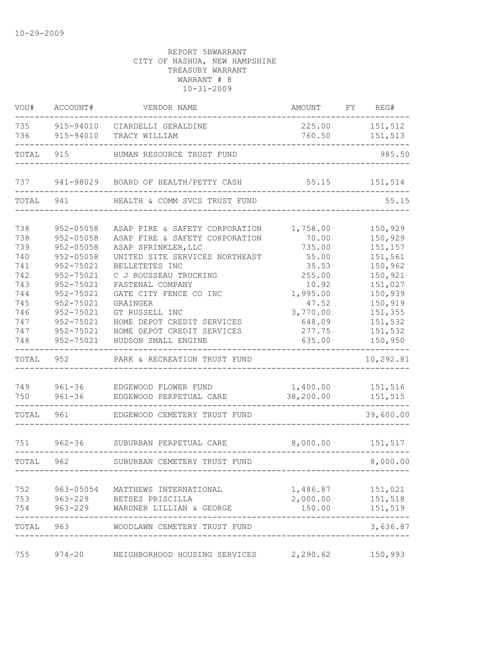| VOU#       | ACCOUNT#               | VENDOR NAME                                              | AMOUNT          | FY REG#            |
|------------|------------------------|----------------------------------------------------------|-----------------|--------------------|
| 735<br>736 | 915-94010<br>915-94010 | 225.00<br>CIARDELLI GERALDINE<br>760.50<br>TRACY WILLIAM |                 | 151,512<br>151,513 |
| TOTAL      | 915                    | HUMAN RESOURCE TRUST FUND                                |                 | 985.50             |
| 737        |                        | 941-98029 BOARD OF HEALTH/PETTY CASH                     | 55.15           | 151,514            |
| TOTAL      | 941                    | HEALTH & COMM SVCS TRUST FUND                            |                 | 55.15              |
| 738        | $952 - 05058$          | ASAP FIRE & SAFETY CORPORATION                           | 1,758.00        | 150,929            |
| 738        | 952-05058              | ASAP FIRE & SAFETY CORPORATION                           | 70.00           | 150,929            |
| 739        | $952 - 05058$          | ASAP SPRINKLER, LLC                                      | 735.00          | 151,157            |
| 740        | $952 - 05058$          | UNITED SITE SERVICES NORTHEAST                           | 55.00           | 151,561            |
| 741<br>742 | 952-75021<br>952-75021 | BELLETETES INC                                           | 35.53           | 150,962<br>150,921 |
| 743        | 952-75021              | C J ROUSSEAU TRUCKING<br>FASTENAL COMPANY                | 255.00<br>10.92 | 151,027            |
| 744        | 952-75021              | GATE CITY FENCE CO INC                                   | 1,995.00        | 150,939            |
| 745        | 952-75021              | GRAINGER                                                 | 47.52           | 150,919            |
| 746        | 952-75021              | GT RUSSELL INC                                           | 3,770.00        | 151,355            |
| 747        | 952-75021              | HOME DEPOT CREDIT SERVICES                               | 648.09          | 151,532            |
| 747        | 952-75021              | HOME DEPOT CREDIT SERVICES                               | 277.75          | 151,532            |
| 748        | 952-75021              | HUDSON SMALL ENGINE                                      | 635.00          | 150,950            |
| TOTAL      | 952                    | PARK & RECREATION TRUST FUND                             |                 | 10,292.81          |
| 749        |                        | 961-36 EDGEWOOD FLOWER FUND                              | 1,400.00        | 151,516            |
| 750        | $961 - 36$             | EDGEWOOD PERPETUAL CARE                                  | 38,200.00       | 151,515            |
| TOTAL      | 961                    | EDGEWOOD CEMETERY TRUST FUND                             |                 | 39,600.00          |
| 751        | $962 - 36$             | SUBURBAN PERPETUAL CARE                                  | 8,000.00        | 151,517            |
| TOTAL      | 962                    | SUBURBAN CEMETERY TRUST FUND                             |                 | 8,000.00           |
|            |                        |                                                          |                 |                    |
| 752        | 963-05054              | MATTHEWS INTERNATIONAL                                   | 1,486.87        | 151,021            |
| 753        | $963 - 229$            | BETSES PRISCILLA                                         | 2,000.00        | 151,518            |
| 754        | $963 - 229$            | WARDNER LILLIAN & GEORGE                                 | 150.00          | 151,519            |
| TOTAL      | 963                    | WOODLAWN CEMETERY TRUST FUND                             |                 | 3,636.87           |
| 755        | $974 - 20$             | NEIGHBORHOOD HOUSING SERVICES                            | 2,290.62        | 150,993            |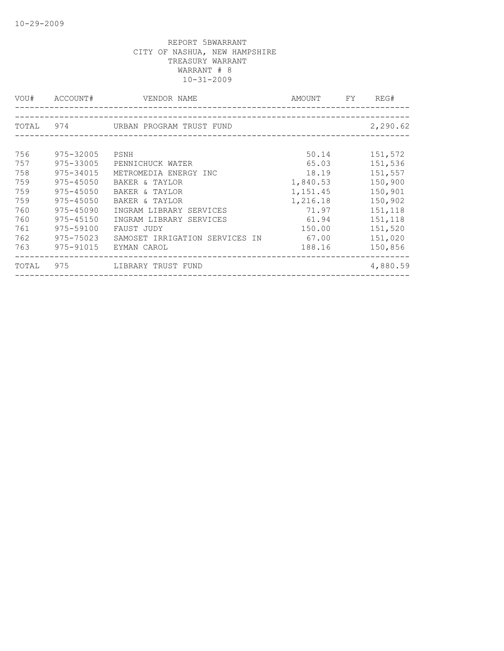| VOU#  | ACCOUNT#      | VENDOR NAME                          | AMOUNT FY REG# |          |
|-------|---------------|--------------------------------------|----------------|----------|
|       |               | TOTAL 974 URBAN PROGRAM TRUST FUND   |                | 2,290.62 |
|       |               |                                      |                |          |
| 756   | 975-32005     | PSNH                                 | 50.14          | 151,572  |
| 757   | 975-33005     | PENNICHUCK WATER                     | 65.03          | 151,536  |
| 758   | 975-34015     | METROMEDIA ENERGY INC                | 18.19          | 151,557  |
| 759   | 975-45050     | BAKER & TAYLOR                       | 1,840.53       | 150,900  |
| 759   | 975-45050     | BAKER & TAYLOR                       | 1, 151. 45     | 150,901  |
| 759   | $975 - 45050$ | BAKER & TAYLOR                       | 1,216.18       | 150,902  |
| 760   | 975-45090     | INGRAM LIBRARY SERVICES              | 71.97          | 151,118  |
| 760   | 975-45150     | INGRAM LIBRARY SERVICES              | 61.94          | 151,118  |
| 761   | 975-59100     | FAUST JUDY                           | 150.00         | 151,520  |
| 762   | 975-75023     | SAMOSET IRRIGATION SERVICES IN 67.00 |                | 151,020  |
| 763   | 975-91015     | EYMAN CAROL                          | 188.16         | 150,856  |
| TOTAL |               | 975     LIBRARY TRUST FUND           |                | 4,880.59 |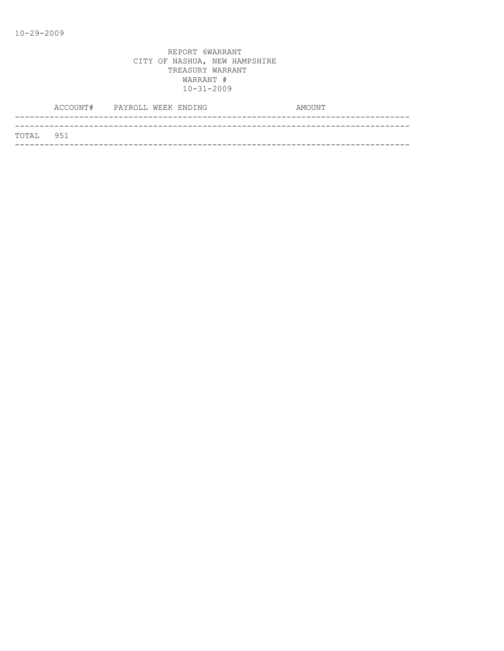|           | ACCOUNT# PAYROLL WEEK ENDING |  |  | AMOUNT |  |
|-----------|------------------------------|--|--|--------|--|
|           |                              |  |  |        |  |
| TOTAL 951 |                              |  |  |        |  |
|           |                              |  |  |        |  |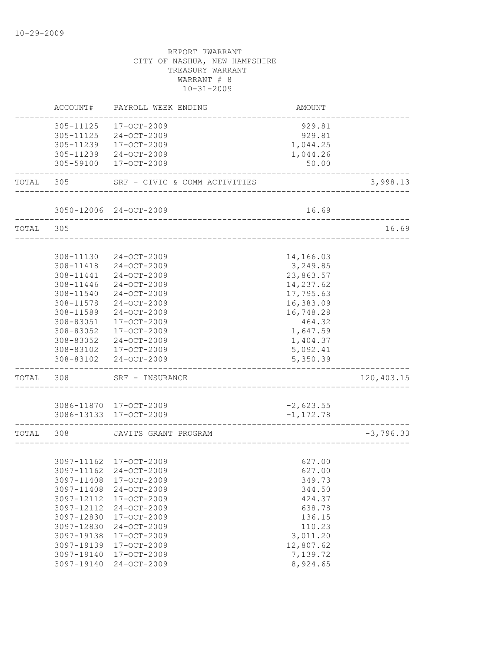|           | ACCOUNT#                                                                                                                                                 | PAYROLL WEEK ENDING                                                                                                                                                                                                        | <b>AMOUNT</b>                                                                                                                                    |             |
|-----------|----------------------------------------------------------------------------------------------------------------------------------------------------------|----------------------------------------------------------------------------------------------------------------------------------------------------------------------------------------------------------------------------|--------------------------------------------------------------------------------------------------------------------------------------------------|-------------|
|           | 305-11125<br>305-59100                                                                                                                                   | 17-OCT-2009<br>305-11125 24-OCT-2009<br>305-11239 17-OCT-2009<br>305-11239 24-OCT-2009<br>17-OCT-2009                                                                                                                      | 929.81<br>929.81<br>1,044.25<br>1,044.26<br>50.00                                                                                                |             |
| TOTAL     | 305                                                                                                                                                      | SRF - CIVIC & COMM ACTIVITIES                                                                                                                                                                                              |                                                                                                                                                  | 3,998.13    |
|           |                                                                                                                                                          |                                                                                                                                                                                                                            |                                                                                                                                                  |             |
|           |                                                                                                                                                          | 3050-12006 24-OCT-2009<br>________________________________                                                                                                                                                                 | 16.69                                                                                                                                            |             |
| TOTAL     | 305                                                                                                                                                      |                                                                                                                                                                                                                            |                                                                                                                                                  | 16.69       |
|           | 308-11130<br>308-11418<br>308-11441<br>308-11446<br>308-11540<br>308-11578<br>308-11589<br>308-83051<br>308-83052<br>308-83052<br>308-83102<br>308-83102 | 24-OCT-2009<br>24-OCT-2009<br>24-OCT-2009<br>24-OCT-2009<br>24-OCT-2009<br>24-OCT-2009<br>24-OCT-2009<br>17-OCT-2009<br>17-OCT-2009<br>24-OCT-2009<br>17-OCT-2009<br>24-OCT-2009                                           | 14,166.03<br>3,249.85<br>23,863.57<br>14,237.62<br>17,795.63<br>16,383.09<br>16,748.28<br>464.32<br>1,647.59<br>1,404.37<br>5,092.41<br>5,350.39 |             |
| TOTAL     | 308                                                                                                                                                      | SRF - INSURANCE                                                                                                                                                                                                            |                                                                                                                                                  | 120,403.15  |
|           |                                                                                                                                                          | 3086-11870 17-OCT-2009<br>3086-13133 17-OCT-2009                                                                                                                                                                           | $-2,623.55$<br>$-1, 172.78$                                                                                                                      |             |
| TOTAL 308 |                                                                                                                                                          | JAVITS GRANT PROGRAM                                                                                                                                                                                                       |                                                                                                                                                  | $-3,796.33$ |
|           | 3097-11408<br>3097-11408<br>3097-12112<br>3097-12112<br>3097-12830<br>3097-12830<br>3097-19138<br>3097-19139<br>3097-19140<br>3097-19140                 | 3097-11162 17-OCT-2009<br>3097-11162 24-OCT-2009<br>17-OCT-2009<br>$24-OCT-2009$<br>17-OCT-2009<br>24-OCT-2009<br>17-OCT-2009<br>$24 - OCT - 2009$<br>17-OCT-2009<br>$17 - OCT - 2009$<br>17-OCT-2009<br>$24 - OCT - 2009$ | 627.00<br>627.00<br>349.73<br>344.50<br>424.37<br>638.78<br>136.15<br>110.23<br>3,011.20<br>12,807.62<br>7,139.72<br>8,924.65                    |             |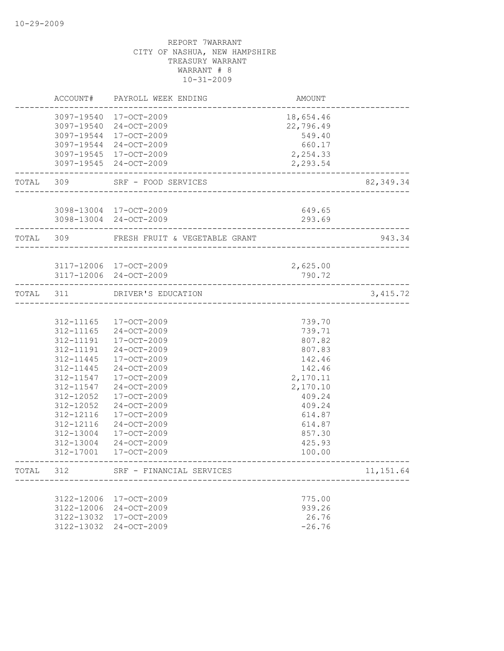|           |                                                                                                                                                                       | ACCOUNT# PAYROLL WEEK ENDING                                                                                                                                                                                                                      | AMOUNT                                                                                                                                                 |            |
|-----------|-----------------------------------------------------------------------------------------------------------------------------------------------------------------------|---------------------------------------------------------------------------------------------------------------------------------------------------------------------------------------------------------------------------------------------------|--------------------------------------------------------------------------------------------------------------------------------------------------------|------------|
|           |                                                                                                                                                                       | 3097-19540 17-OCT-2009<br>3097-19540 24-OCT-2009<br>3097-19544 17-OCT-2009<br>3097-19544 24-OCT-2009<br>3097-19545 17-OCT-2009<br>3097-19545 24-OCT-2009                                                                                          | 18,654.46<br>22,796.49<br>549.40<br>660.17<br>2,254.33<br>2,293.54                                                                                     |            |
| TOTAL 309 |                                                                                                                                                                       | SRF - FOOD SERVICES                                                                                                                                                                                                                               |                                                                                                                                                        | 82, 349.34 |
|           |                                                                                                                                                                       |                                                                                                                                                                                                                                                   |                                                                                                                                                        |            |
|           |                                                                                                                                                                       | 3098-13004 17-OCT-2009<br>3098-13004 24-OCT-2009                                                                                                                                                                                                  | 649.65<br>293.69<br>-------------                                                                                                                      |            |
|           | TOTAL 309                                                                                                                                                             | FRESH FRUIT & VEGETABLE GRANT                                                                                                                                                                                                                     |                                                                                                                                                        | 943.34     |
|           |                                                                                                                                                                       | 3117-12006 17-OCT-2009<br>3117-12006 24-OCT-2009                                                                                                                                                                                                  | 2,625.00<br>790.72                                                                                                                                     |            |
|           |                                                                                                                                                                       | TOTAL 311 DRIVER'S EDUCATION                                                                                                                                                                                                                      |                                                                                                                                                        | 3,415.72   |
|           |                                                                                                                                                                       |                                                                                                                                                                                                                                                   |                                                                                                                                                        |            |
|           | 312-11191<br>312-11191<br>312-11445<br>312-11445<br>312-11547<br>312-11547<br>312-12052<br>312-12052<br>312-12116<br>312-12116<br>312-13004<br>312-13004<br>312-17001 | 312-11165 17-OCT-2009<br>312-11165 24-OCT-2009<br>17-OCT-2009<br>24-OCT-2009<br>17-OCT-2009<br>24-OCT-2009<br>17-OCT-2009<br>24-OCT-2009<br>17-OCT-2009<br>24-OCT-2009<br>17-OCT-2009<br>24-OCT-2009<br>17-OCT-2009<br>24-OCT-2009<br>17-OCT-2009 | 739.70<br>739.71<br>807.82<br>807.83<br>142.46<br>142.46<br>2,170.11<br>2,170.10<br>409.24<br>409.24<br>614.87<br>614.87<br>857.30<br>425.93<br>100.00 |            |
| TOTAL     | 312                                                                                                                                                                   | SRF - FINANCIAL SERVICES                                                                                                                                                                                                                          |                                                                                                                                                        | 11, 151.64 |
|           | 3122-12006                                                                                                                                                            | 3122-12006 17-OCT-2009<br>24-OCT-2009<br>3122-13032 17-OCT-2009<br>3122-13032 24-OCT-2009                                                                                                                                                         | 775.00<br>939.26<br>26.76<br>$-26.76$                                                                                                                  |            |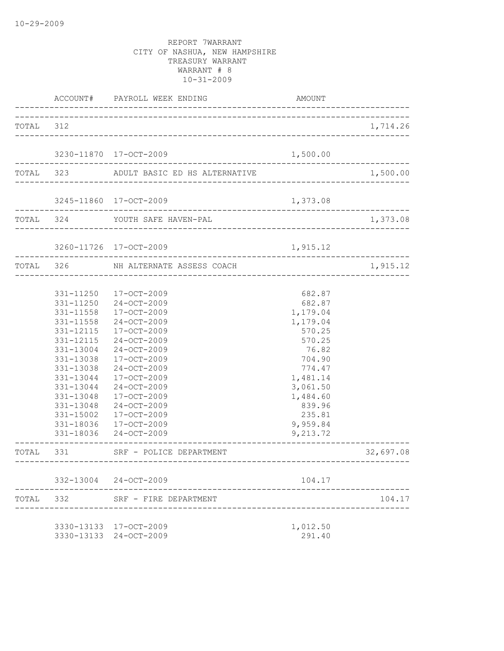|           |           | ACCOUNT# PAYROLL WEEK ENDING            | AMOUNT   |           |
|-----------|-----------|-----------------------------------------|----------|-----------|
| TOTAL 312 |           |                                         |          | 1,714.26  |
|           |           |                                         |          |           |
|           |           | 3230-11870 17-OCT-2009                  | 1,500.00 |           |
|           |           | TOTAL 323 ADULT BASIC ED HS ALTERNATIVE |          | 1,500.00  |
|           |           | 3245-11860 17-OCT-2009                  | 1,373.08 |           |
|           |           | TOTAL 324 YOUTH SAFE HAVEN-PAL          |          | 1,373.08  |
|           |           | 3260-11726 17-OCT-2009                  | 1,915.12 |           |
|           |           | TOTAL 326 NH ALTERNATE ASSESS COACH     |          | 1,915.12  |
|           |           |                                         |          |           |
|           |           | 331-11250 17-OCT-2009                   | 682.87   |           |
|           |           | 331-11250 24-OCT-2009                   | 682.87   |           |
|           |           | 331-11558 17-OCT-2009                   | 1,179.04 |           |
|           |           | 331-11558 24-OCT-2009                   | 1,179.04 |           |
|           | 331-12115 | 17-OCT-2009                             | 570.25   |           |
|           |           | 331-12115 24-OCT-2009                   | 570.25   |           |
|           |           | 331-13004 24-OCT-2009                   | 76.82    |           |
|           | 331-13038 | 17-OCT-2009                             | 704.90   |           |
|           | 331-13038 | 24-OCT-2009                             | 774.47   |           |
|           |           | 331-13044 17-OCT-2009                   | 1,481.14 |           |
|           | 331-13044 | $24 - OCT - 2009$                       | 3,061.50 |           |
|           | 331-13048 | 17-OCT-2009                             | 1,484.60 |           |
|           | 331-13048 | 24-OCT-2009                             | 839.96   |           |
|           | 331-15002 | 17-OCT-2009                             | 235.81   |           |
|           | 331-18036 | 17-OCT-2009                             | 9,959.84 |           |
|           |           | 331-18036 24-OCT-2009                   | 9,213.72 |           |
|           |           | TOTAL 331 SRF - POLICE DEPARTMENT       |          | 32,697.08 |
|           |           | 332-13004 24-OCT-2009                   | 104.17   |           |
| TOTAL     | 332       | SRF - FIRE DEPARTMENT                   |          | 104.17    |
|           |           |                                         |          |           |
|           |           | 3330-13133 17-OCT-2009                  | 1,012.50 |           |
|           |           | 3330-13133 24-OCT-2009                  | 291.40   |           |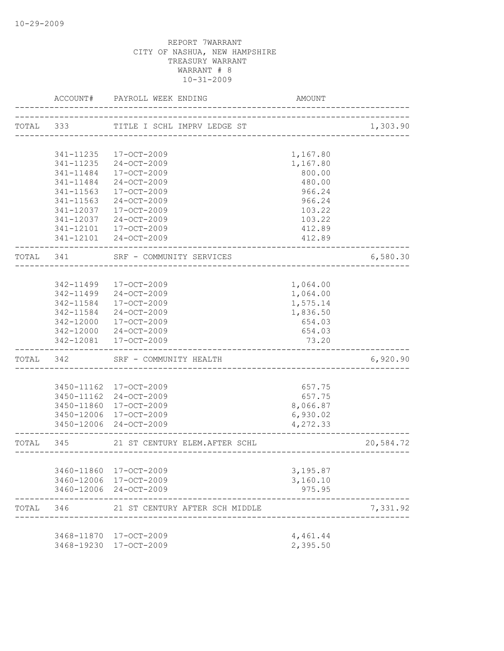|           | ACCOUNT#   | PAYROLL WEEK ENDING            | AMOUNT                               |           |
|-----------|------------|--------------------------------|--------------------------------------|-----------|
| TOTAL 333 |            | TITLE I SCHL IMPRV LEDGE ST    | ___________________________          | 1,303.90  |
|           |            |                                |                                      |           |
|           | 341-11235  | 17-OCT-2009                    | 1,167.80                             |           |
|           |            | 341-11235 24-OCT-2009          | 1,167.80                             |           |
|           | 341-11484  | 17-OCT-2009                    | 800.00                               |           |
|           | 341-11484  | 24-OCT-2009                    | 480.00                               |           |
|           | 341-11563  | 17-OCT-2009                    | 966.24                               |           |
|           | 341-11563  | 24-OCT-2009                    | 966.24                               |           |
|           | 341-12037  | 17-OCT-2009                    | 103.22                               |           |
|           | 341-12037  | 24-OCT-2009                    | 103.22                               |           |
|           |            | 341-12101 17-OCT-2009          | 412.89                               |           |
|           |            | 341-12101 24-OCT-2009          | 412.89                               |           |
| TOTAL 341 |            | SRF - COMMUNITY SERVICES       |                                      | 6,580.30  |
|           |            |                                |                                      |           |
|           |            | 342-11499 17-OCT-2009          | 1,064.00                             |           |
|           |            | 342-11499 24-OCT-2009          | 1,064.00                             |           |
|           | 342-11584  | 17-OCT-2009                    | 1,575.14                             |           |
|           | 342-11584  | 24-OCT-2009                    | 1,836.50                             |           |
|           |            | 342-12000 17-OCT-2009          | 654.03                               |           |
|           |            | 342-12000 24-OCT-2009          | 654.03                               |           |
|           |            | 342-12081 17-OCT-2009          | 73.20                                |           |
|           | TOTAL 342  | SRF - COMMUNITY HEALTH         |                                      | 6,920.90  |
|           |            |                                |                                      |           |
|           |            | 3450-11162 17-OCT-2009         | 657.75                               |           |
|           |            | 3450-11162 24-OCT-2009         | 657.75                               |           |
|           |            | 3450-11860 17-OCT-2009         | 8,066.87                             |           |
|           |            | 3450-12006 17-OCT-2009         | 6,930.02                             |           |
|           |            | 3450-12006 24-OCT-2009         | 4,272.33                             |           |
| TOTAL 345 |            | 21 ST CENTURY ELEM. AFTER SCHL | ____________________________________ | 20,584.72 |
|           |            |                                |                                      |           |
|           | 3460-11860 | 17-OCT-2009                    | 3,195.87                             |           |
|           |            | 3460-12006 17-OCT-2009         | 3,160.10                             |           |
|           |            | 3460-12006 24-OCT-2009         | 975.95                               |           |
| TOTAL 346 |            | 21 ST CENTURY AFTER SCH MIDDLE |                                      | 7,331.92  |
|           |            |                                |                                      |           |
|           |            | 3468-11870 17-OCT-2009         | 4,461.44                             |           |
|           | 3468-19230 | 17-OCT-2009                    | 2,395.50                             |           |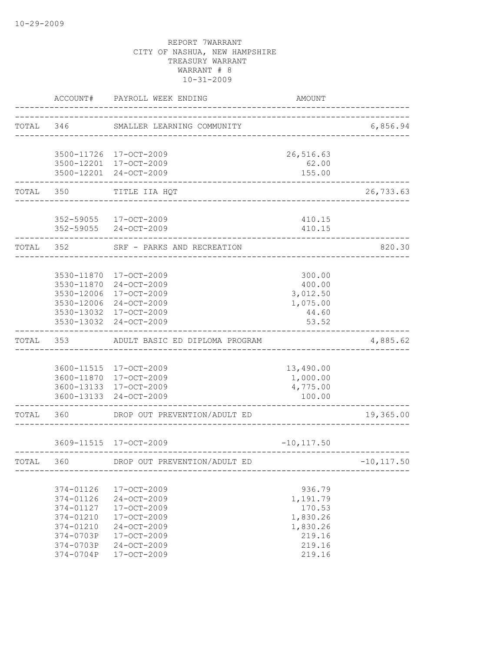|           | ACCOUNT#   | PAYROLL WEEK ENDING                              | AMOUNT                      |               |
|-----------|------------|--------------------------------------------------|-----------------------------|---------------|
| TOTAL 346 |            | SMALLER LEARNING COMMUNITY                       | ___________________________ | 6,856.94      |
|           |            | 3500-11726 17-OCT-2009                           | 26,516.63                   |               |
|           |            | 3500-12201 17-OCT-2009                           | 62.00                       |               |
|           |            | 3500-12201 24-OCT-2009                           | 155.00                      |               |
| TOTAL     | 350        | TITLE IIA HOT<br><u> De Bergerse de Bergerse</u> |                             | 26,733.63     |
|           |            |                                                  |                             |               |
|           |            | 352-59055 17-OCT-2009                            | 410.15                      |               |
|           |            | 352-59055 24-OCT-2009                            | 410.15                      |               |
| TOTAL 352 |            | SRF - PARKS AND RECREATION                       |                             | 820.30        |
|           |            |                                                  |                             |               |
|           |            | 3530-11870 17-OCT-2009                           | 300.00                      |               |
|           |            | 3530-11870 24-OCT-2009                           | 400.00                      |               |
|           | 3530-12006 | 17-OCT-2009                                      | 3,012.50                    |               |
|           | 3530-12006 | 24-OCT-2009                                      | 1,075.00                    |               |
|           | 3530-13032 | 3530-13032 17-OCT-2009<br>24-OCT-2009            | 44.60<br>53.52              |               |
| TOTAL     | 353        | ADULT BASIC ED DIPLOMA PROGRAM                   |                             | 4,885.62      |
|           |            |                                                  |                             |               |
|           |            | 3600-11515 17-OCT-2009                           | 13,490.00                   |               |
|           |            | 3600-11870 17-OCT-2009                           | 1,000.00                    |               |
|           |            | 3600-13133 17-OCT-2009                           | 4,775.00                    |               |
|           |            | 3600-13133 24-OCT-2009                           | 100.00                      |               |
| TOTAL     | 360        | DROP OUT PREVENTION/ADULT ED                     |                             | 19,365.00     |
|           |            | 3609-11515 17-OCT-2009                           | $-10, 117.50$               |               |
| TOTAL     | 360        | DROP OUT PREVENTION/ADULT ED                     |                             | $-10, 117.50$ |
|           |            |                                                  |                             |               |
|           | 374-01126  | $17 - OCT - 2009$                                | 936.79                      |               |
|           | 374-01126  | 24-OCT-2009                                      | 1,191.79                    |               |
|           | 374-01127  | 17-OCT-2009                                      | 170.53                      |               |
|           | 374-01210  | 17-OCT-2009                                      | 1,830.26                    |               |
|           | 374-01210  | $24 - OCT - 2009$                                | 1,830.26                    |               |
|           | 374-0703P  | 17-OCT-2009                                      | 219.16                      |               |
|           | 374-0703P  | $24 - OCT - 2009$                                | 219.16                      |               |
|           | 374-0704P  | 17-OCT-2009                                      | 219.16                      |               |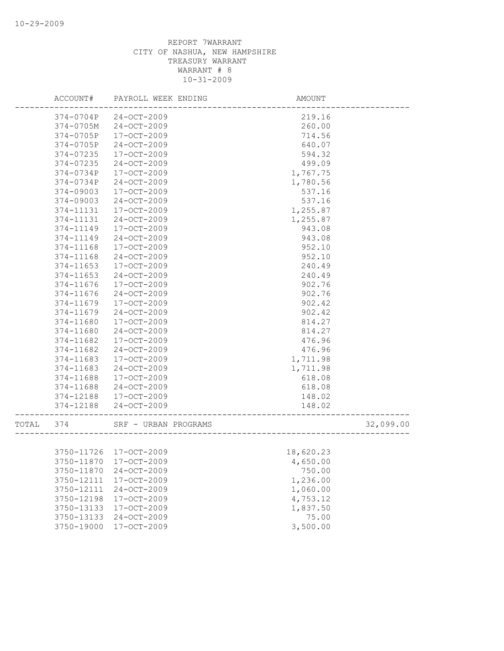|       | ACCOUNT#   | PAYROLL WEEK ENDING    | AMOUNT             |           |
|-------|------------|------------------------|--------------------|-----------|
|       | 374-0704P  | $24 - OCT - 2009$      | 219.16             |           |
|       | 374-0705M  | 24-OCT-2009            | 260.00             |           |
|       | 374-0705P  | $17-OCT-2009$          | 714.56             |           |
|       | 374-0705P  | $24 - OCT - 2009$      | 640.07             |           |
|       | 374-07235  | 17-OCT-2009            | 594.32             |           |
|       | 374-07235  | 24-OCT-2009            | 499.09             |           |
|       | 374-0734P  | 17-OCT-2009            | 1,767.75           |           |
|       | 374-0734P  | $24 - OCT - 2009$      | 1,780.56           |           |
|       | 374-09003  | 17-OCT-2009            | 537.16             |           |
|       | 374-09003  | 24-OCT-2009            | 537.16             |           |
|       | 374-11131  | 17-OCT-2009            | 1,255.87           |           |
|       | 374-11131  | $24 - OCT - 2009$      | 1,255.87           |           |
|       | 374-11149  | $17 - OCT - 2009$      | 943.08             |           |
|       | 374-11149  | 24-OCT-2009            | 943.08             |           |
|       | 374-11168  | 17-OCT-2009            | 952.10             |           |
|       | 374-11168  | 24-OCT-2009            | 952.10             |           |
|       | 374-11653  | $17 - OCT - 2009$      | 240.49             |           |
|       | 374-11653  | 24-OCT-2009            | 240.49             |           |
|       | 374-11676  | 17-OCT-2009            | 902.76             |           |
|       | 374-11676  | 24-OCT-2009            | 902.76             |           |
|       | 374-11679  | $17 - OCT - 2009$      | 902.42             |           |
|       | 374-11679  | $24 - OCT - 2009$      | 902.42             |           |
|       | 374-11680  | 17-OCT-2009            | 814.27             |           |
|       | 374-11680  | 24-OCT-2009            | 814.27             |           |
|       | 374-11682  | 17-OCT-2009            | 476.96             |           |
|       | 374-11682  | $24 - OCT - 2009$      | 476.96             |           |
|       | 374-11683  | 17-OCT-2009            | 1,711.98           |           |
|       | 374-11683  | $24 - OCT - 2009$      | 1,711.98           |           |
|       | 374-11688  | 17-OCT-2009            | 618.08             |           |
|       | 374-11688  | $24 - OCT - 2009$      | 618.08             |           |
|       | 374-12188  | $17 - OCT - 2009$      | 148.02             |           |
|       | 374-12188  | $24 - OCT - 2009$      | 148.02             |           |
| TOTAL | 374        | SRF - URBAN PROGRAMS   | __________________ | 32,099.00 |
|       |            |                        |                    |           |
|       |            | 3750-11726 17-OCT-2009 | 18,620.23          |           |
|       |            | 3750-11870 17-OCT-2009 | 4,650.00           |           |
|       | 3750-11870 | $24 - OCT - 2009$      | 750.00             |           |
|       | 3750-12111 | 17-OCT-2009            | 1,236.00           |           |
|       | 3750-12111 | 24-OCT-2009            | 1,060.00           |           |
|       | 3750-12198 | 17-OCT-2009            | 4,753.12           |           |
|       | 3750-13133 | 17-OCT-2009            | 1,837.50           |           |
|       | 3750-13133 | 24-OCT-2009            | 75.00              |           |
|       | 3750-19000 | 17-OCT-2009            | 3,500.00           |           |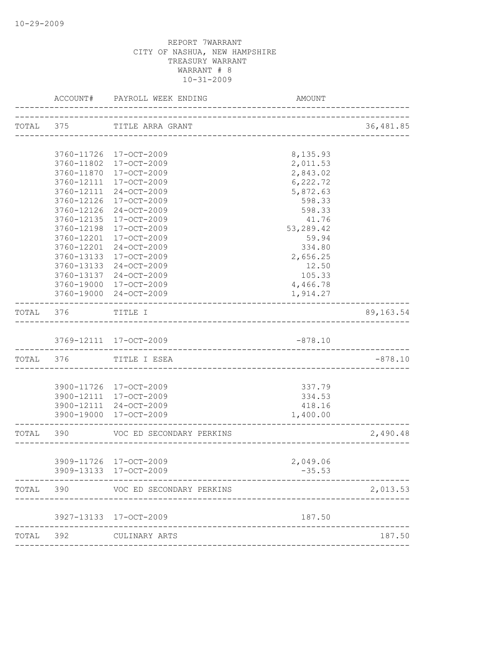|           | ACCOUNT#          | PAYROLL WEEK ENDING        | AMOUNT    |           |
|-----------|-------------------|----------------------------|-----------|-----------|
|           |                   | TOTAL 375 TITLE ARRA GRANT |           | 36,481.85 |
|           |                   |                            |           |           |
|           |                   | 3760-11726 17-OCT-2009     | 8,135.93  |           |
|           | 3760-11802        | 17-OCT-2009                | 2,011.53  |           |
|           | 3760-11870        | 17-OCT-2009                | 2,843.02  |           |
|           | 3760-12111        | 17-OCT-2009                | 6,222.72  |           |
|           | 3760-12111        | 24-OCT-2009                | 5,872.63  |           |
|           | 3760-12126        | 17-OCT-2009                | 598.33    |           |
|           | 3760-12126        | 24-OCT-2009                | 598.33    |           |
|           | 3760-12135        | 17-OCT-2009                | 41.76     |           |
|           | 3760-12198        | 17-OCT-2009                | 53,289.42 |           |
|           | 3760-12201        | 17-OCT-2009                | 59.94     |           |
|           | 3760-12201        | 24-OCT-2009                | 334.80    |           |
|           | 3760-13133        | 17-OCT-2009                | 2,656.25  |           |
|           | 3760-13133        | 24-OCT-2009                | 12.50     |           |
|           | 3760-13137        | 24-OCT-2009                | 105.33    |           |
|           | 3760-19000        | 17-OCT-2009                | 4,466.78  |           |
|           |                   | 3760-19000 24-OCT-2009     | 1,914.27  |           |
|           | TOTAL 376 TITLE I |                            |           | 89,163.54 |
|           |                   | 3769-12111 17-OCT-2009     | $-878.10$ |           |
|           |                   |                            |           |           |
|           | TOTAL 376         | TITLE I ESEA               |           | $-878.10$ |
|           |                   |                            |           |           |
|           |                   | 3900-11726 17-OCT-2009     | 337.79    |           |
|           |                   | 3900-12111 17-OCT-2009     | 334.53    |           |
|           |                   | 3900-12111 24-OCT-2009     | 418.16    |           |
|           |                   | 3900-19000 17-OCT-2009     | 1,400.00  |           |
| TOTAL 390 |                   | VOC ED SECONDARY PERKINS   |           | 2,490.48  |
|           |                   |                            |           |           |
|           |                   | 3909-11726 17-OCT-2009     | 2,049.06  |           |
|           |                   | 3909-13133 17-OCT-2009     | $-35.53$  |           |
| TOTAL     | 390               | VOC ED SECONDARY PERKINS   |           | 2,013.53  |
|           |                   | 3927-13133 17-OCT-2009     | 187.50    |           |
| TOTAL     | 392               | CULINARY ARTS              |           | 187.50    |
|           |                   |                            |           |           |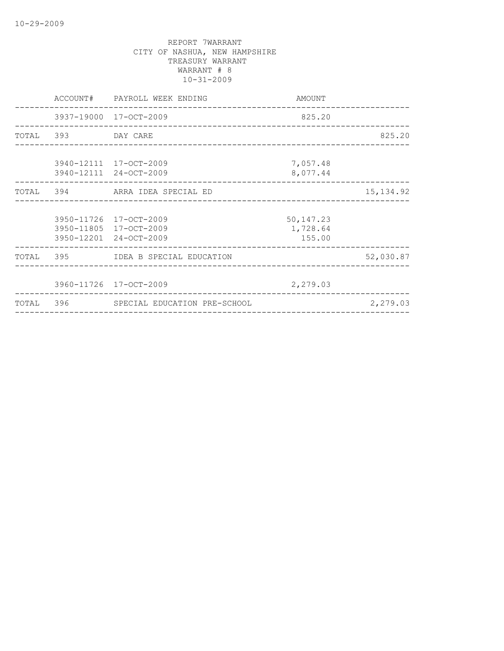|       |                    | ACCOUNT# PAYROLL WEEK ENDING                                               | AMOUNT                           |            |
|-------|--------------------|----------------------------------------------------------------------------|----------------------------------|------------|
|       |                    | 3937-19000 17-OCT-2009                                                     | 825.20                           |            |
|       | TOTAL 393 DAY CARE |                                                                            |                                  | 825.20     |
|       |                    | 3940-12111 17-OCT-2009<br>3940-12111 24-OCT-2009                           | 7,057.48<br>8,077.44             |            |
|       |                    | TOTAL 394 ARRA IDEA SPECIAL ED                                             |                                  | 15, 134.92 |
|       |                    | 3950-11726 17-OCT-2009<br>3950-11805 17-OCT-2009<br>3950-12201 24-OCT-2009 | 50, 147.23<br>1,728.64<br>155.00 |            |
|       |                    | TOTAL 395 IDEA B SPECIAL EDUCATION                                         |                                  | 52,030.87  |
|       |                    | 3960-11726 17-OCT-2009                                                     | 2,279.03                         |            |
| TOTAL |                    | 396 SPECIAL EDUCATION PRE-SCHOOL                                           |                                  | 2,279.03   |
|       |                    |                                                                            |                                  |            |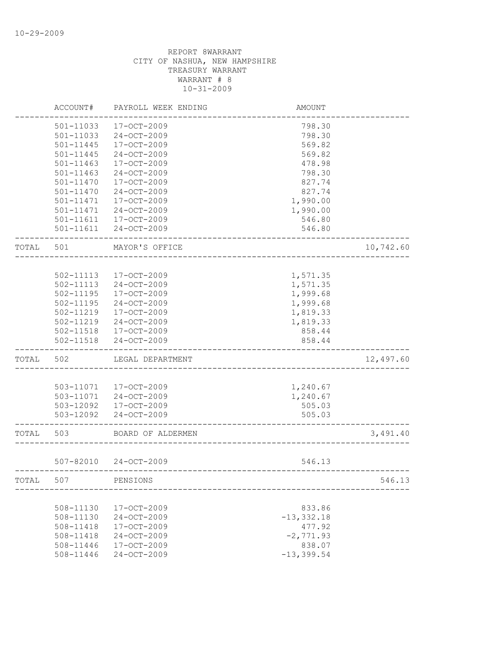|       | ACCOUNT#      | PAYROLL WEEK ENDING | AMOUNT        |           |
|-------|---------------|---------------------|---------------|-----------|
|       | 501-11033     | $17 - OCT - 2009$   | 798.30        |           |
|       | 501-11033     | 24-OCT-2009         | 798.30        |           |
|       | 501-11445     | 17-OCT-2009         | 569.82        |           |
|       | $501 - 11445$ | 24-OCT-2009         | 569.82        |           |
|       | $501 - 11463$ | 17-OCT-2009         | 478.98        |           |
|       | $501 - 11463$ | 24-OCT-2009         | 798.30        |           |
|       | 501-11470     | 17-OCT-2009         | 827.74        |           |
|       | 501-11470     | 24-OCT-2009         | 827.74        |           |
|       | 501-11471     | 17-OCT-2009         | 1,990.00      |           |
|       | 501-11471     | 24-OCT-2009         | 1,990.00      |           |
|       | $501 - 11611$ | 17-OCT-2009         | 546.80        |           |
|       | $501 - 11611$ | 24-OCT-2009         | 546.80        |           |
| TOTAL | 501           | MAYOR'S OFFICE      |               | 10,742.60 |
|       |               |                     |               |           |
|       | 502-11113     | $17 - OCT - 2009$   | 1,571.35      |           |
|       | 502-11113     | 24-OCT-2009         | 1,571.35      |           |
|       | $502 - 11195$ | 17-OCT-2009         | 1,999.68      |           |
|       | 502-11195     | 24-OCT-2009         | 1,999.68      |           |
|       | 502-11219     | 17-OCT-2009         | 1,819.33      |           |
|       | 502-11219     | 24-OCT-2009         | 1,819.33      |           |
|       | 502-11518     | 17-OCT-2009         | 858.44        |           |
|       | 502-11518     | 24-OCT-2009         | 858.44        |           |
| TOTAL | 502           | LEGAL DEPARTMENT    |               | 12,497.60 |
|       |               |                     |               |           |
|       | 503-11071     | 17-OCT-2009         | 1,240.67      |           |
|       | 503-11071     | 24-OCT-2009         | 1,240.67      |           |
|       | 503-12092     | 17-OCT-2009         | 505.03        |           |
|       | 503-12092     | 24-OCT-2009         | 505.03        |           |
| TOTAL | 503           | BOARD OF ALDERMEN   |               | 3,491.40  |
|       | 507-82010     | 24-OCT-2009         | 546.13        |           |
| TOTAL | 507           | PENSIONS            |               | 546.13    |
|       |               |                     |               |           |
|       | 508-11130     | $17-OCT-2009$       | 833.86        |           |
|       | 508-11130     | 24-OCT-2009         | $-13, 332.18$ |           |
|       | 508-11418     | 17-OCT-2009         | 477.92        |           |
|       | 508-11418     | $24 - OCT - 2009$   | $-2, 771.93$  |           |
|       | 508-11446     | 17-OCT-2009         | 838.07        |           |
|       | 508-11446     | $24-OCT-2009$       | $-13, 399.54$ |           |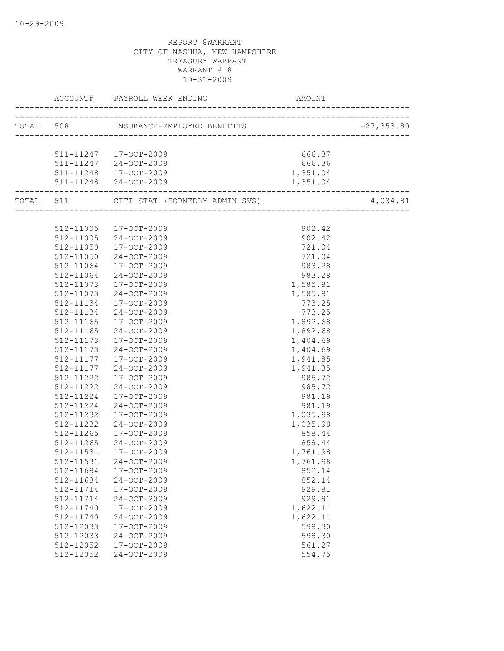| -------------                 |                                                   |          |          |
|-------------------------------|---------------------------------------------------|----------|----------|
|                               |                                                   |          |          |
|                               |                                                   |          |          |
|                               | 511-11247 17-OCT-2009                             | 666.37   |          |
|                               | 511-11247 24-OCT-2009                             | 666.36   |          |
|                               | 511-11248 17-OCT-2009                             | 1,351.04 |          |
|                               | 511-11248 24-OCT-2009                             | 1,351.04 |          |
| ----------------------------- | TOTAL 511 CITI-STAT (FORMERLY ADMIN SVS) 4,034.81 |          | 4,034.81 |
|                               |                                                   |          |          |
|                               | 512-11005 17-OCT-2009                             | 902.42   |          |
|                               | 512-11005 24-OCT-2009                             | 902.42   |          |
|                               | 512-11050 17-OCT-2009                             | 721.04   |          |
| 512-11050                     | 24-OCT-2009                                       | 721.04   |          |
| 512-11064                     | 17-OCT-2009                                       | 983.28   |          |
| 512-11064                     | 24-OCT-2009                                       | 983.28   |          |
| 512-11073                     | 17-OCT-2009                                       | 1,585.81 |          |
| 512-11073                     | 24-OCT-2009                                       | 1,585.81 |          |
| 512-11134                     | 17-OCT-2009                                       | 773.25   |          |
| 512-11134                     | 24-OCT-2009                                       | 773.25   |          |
| 512-11165                     | 17-OCT-2009                                       | 1,892.68 |          |
| 512-11165                     | 24-OCT-2009                                       | 1,892.68 |          |
| 512-11173                     | 17-OCT-2009                                       | 1,404.69 |          |
| 512-11173                     | 24-OCT-2009                                       | 1,404.69 |          |
| 512-11177                     | 17-OCT-2009                                       | 1,941.85 |          |
|                               | 512-11177 24-OCT-2009                             | 1,941.85 |          |
| 512-11222                     | 17-OCT-2009                                       | 985.72   |          |
|                               | 512-11222 24-OCT-2009                             | 985.72   |          |
| 512-11224                     | 17-OCT-2009                                       | 981.19   |          |
| 512-11224                     | 24-OCT-2009                                       | 981.19   |          |
| 512-11232                     | 17-OCT-2009                                       | 1,035.98 |          |
| 512-11232                     | 24-OCT-2009                                       | 1,035.98 |          |
| 512-11265                     | 17-OCT-2009                                       | 858.44   |          |
| 512-11265                     | 24-OCT-2009                                       | 858.44   |          |
| 512-11531                     | 17-OCT-2009                                       | 1,761.98 |          |
|                               | 512-11531 24-OCT-2009                             | 1,761.98 |          |
| 512-11684                     | 17-OCT-2009                                       | 852.14   |          |
| 512-11684                     | 24-OCT-2009                                       | 852.14   |          |
| 512-11714                     | 17-OCT-2009                                       | 929.81   |          |
| 512-11714                     | $24-OCT-2009$                                     | 929.81   |          |
| 512-11740                     | 17-OCT-2009                                       | 1,622.11 |          |
| 512-11740                     | $24-0CT-2009$                                     | 1,622.11 |          |
| 512-12033                     | 17-OCT-2009                                       | 598.30   |          |
| 512-12033                     | 24-OCT-2009                                       | 598.30   |          |
| 512-12052                     | 17-OCT-2009                                       | 561.27   |          |
| 512-12052                     | $24-OCT-2009$                                     | 554.75   |          |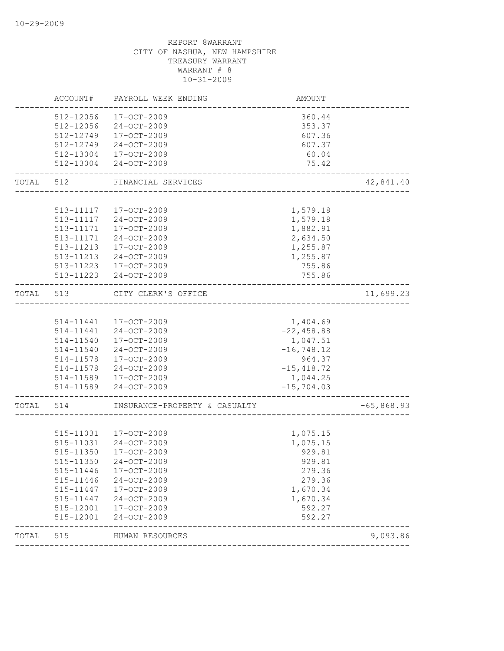|           | ACCOUNT#  | PAYROLL WEEK ENDING           | AMOUNT                              |              |
|-----------|-----------|-------------------------------|-------------------------------------|--------------|
|           |           | 512-12056 17-OCT-2009         | 360.44                              |              |
|           |           | 512-12056 24-OCT-2009         | 353.37                              |              |
|           |           | 512-12749 17-OCT-2009         | 607.36                              |              |
|           |           | 512-12749 24-OCT-2009         | 607.37                              |              |
|           |           | 512-13004 17-OCT-2009         | 60.04                               |              |
|           |           | 512-13004 24-OCT-2009         | 75.42                               |              |
| TOTAL 512 |           | FINANCIAL SERVICES            |                                     | 42,841.40    |
|           |           |                               |                                     |              |
|           |           | 513-11117 17-OCT-2009         | 1,579.18                            |              |
|           |           | 513-11117 24-OCT-2009         | 1,579.18                            |              |
|           |           | 513-11171 17-OCT-2009         | 1,882.91                            |              |
|           | 513-11171 | 24-OCT-2009                   | 2,634.50                            |              |
|           | 513-11213 | 17-OCT-2009                   | 1,255.87                            |              |
|           | 513-11213 | 24-OCT-2009                   | 1,255.87                            |              |
|           |           | 513-11223 17-OCT-2009         | 755.86                              |              |
|           |           | 513-11223 24-OCT-2009         | 755.86                              |              |
| TOTAL     | 513       | CITY CLERK'S OFFICE           | ----------------------------------- | 11,699.23    |
|           |           |                               |                                     |              |
|           |           | 514-11441 17-OCT-2009         | 1,404.69                            |              |
|           |           | 514-11441 24-OCT-2009         | $-22, 458.88$                       |              |
|           | 514-11540 | 17-OCT-2009                   | 1,047.51                            |              |
|           | 514-11540 | 24-OCT-2009                   | $-16, 748.12$                       |              |
|           |           | 514-11578 17-OCT-2009         | 964.37                              |              |
|           |           | 514-11578 24-OCT-2009         | $-15,418.72$                        |              |
|           |           | 514-11589 17-OCT-2009         | 1,044.25                            |              |
|           |           | 514-11589 24-OCT-2009         | $-15,704.03$                        |              |
| TOTAL 514 |           | INSURANCE-PROPERTY & CASUALTY |                                     | $-65,868.93$ |
|           |           |                               |                                     |              |
|           |           | 515-11031 17-OCT-2009         | 1,075.15                            |              |
|           |           | 515-11031 24-OCT-2009         | 1,075.15                            |              |
|           | 515-11350 | 17-OCT-2009                   | 929.81                              |              |
|           |           | 515-11350 24-OCT-2009         | 929.81                              |              |
|           | 515-11446 | 17-OCT-2009                   | 279.36                              |              |
|           | 515-11446 | $24-OCT-2009$                 | 279.36                              |              |
|           | 515-11447 | 17-OCT-2009                   | 1,670.34                            |              |
|           | 515-11447 | $24-OCT-2009$                 | 1,670.34                            |              |
|           | 515-12001 | 17-OCT-2009                   | 592.27                              |              |
|           | 515-12001 | 24-OCT-2009                   | 592.27                              |              |
| TOTAL     | 515       | HUMAN RESOURCES               |                                     | 9,093.86     |
|           |           |                               |                                     |              |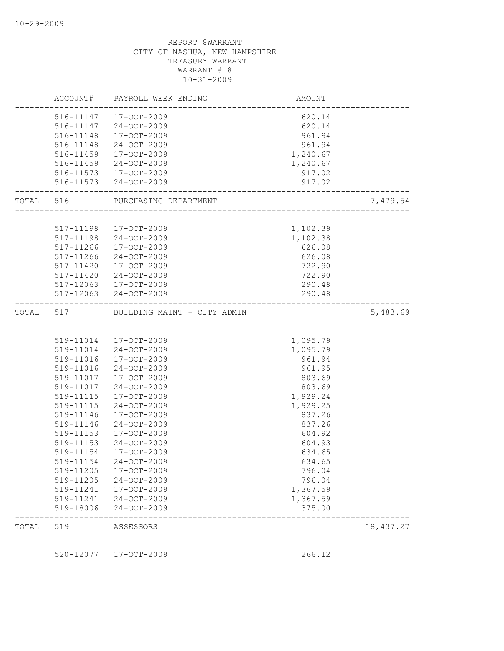|           |                         | 516-11147 17-OCT-2009           | AMOUNT<br>-------------------------<br>620.14 |           |
|-----------|-------------------------|---------------------------------|-----------------------------------------------|-----------|
|           |                         |                                 |                                               |           |
|           |                         | 516-11147 24-OCT-2009           | 620.14                                        |           |
|           |                         | 516-11148 17-OCT-2009           | 961.94                                        |           |
|           |                         | 516-11148 24-OCT-2009           | 961.94                                        |           |
|           |                         | 516-11459 17-OCT-2009           | 1,240.67                                      |           |
|           |                         | 516-11459 24-OCT-2009           | 1,240.67                                      |           |
|           |                         | 516-11573 17-OCT-2009           | 917.02                                        |           |
|           | ----------------------- | 516-11573 24-OCT-2009           | 917.02<br>---------------------------------   |           |
|           |                         | TOTAL 516 PURCHASING DEPARTMENT |                                               | 7,479.54  |
|           |                         |                                 |                                               |           |
|           |                         | 517-11198 17-OCT-2009           | 1,102.39                                      |           |
|           |                         | 517-11198 24-OCT-2009           | 1,102.38                                      |           |
|           | $517 - 11266$           | 17-OCT-2009                     | 626.08                                        |           |
|           | 517-11266               | 24-OCT-2009                     | 626.08                                        |           |
|           | 517-11420               | 17-OCT-2009                     | 722.90                                        |           |
|           |                         | 517-11420 24-OCT-2009           | 722.90                                        |           |
|           |                         | 517-12063 17-OCT-2009           | 290.48                                        |           |
|           |                         | 517-12063 24-OCT-2009           | 290.48<br>_____________________________       |           |
| TOTAL 517 |                         | BUILDING MAINT - CITY ADMIN     |                                               | 5,483.69  |
|           |                         |                                 |                                               |           |
|           |                         | 519-11014 17-OCT-2009           | 1,095.79                                      |           |
|           |                         | 519-11014 24-OCT-2009           | 1,095.79                                      |           |
|           | 519-11016               | 17-OCT-2009                     | 961.94                                        |           |
|           |                         | 519-11016 24-OCT-2009           | 961.95                                        |           |
|           |                         | 519-11017 17-OCT-2009           | 803.69                                        |           |
|           | 519-11017               | 24-OCT-2009                     | 803.69                                        |           |
|           | 519-11115               | 17-OCT-2009                     | 1,929.24                                      |           |
|           | 519-11115               | $24 - OCT - 2009$               | 1,929.25                                      |           |
|           | 519-11146               | $17 - OCT - 2009$               | 837.26                                        |           |
|           | 519-11146               | 24-OCT-2009                     | 837.26                                        |           |
|           | 519-11153               | 17-OCT-2009                     | 604.92                                        |           |
|           | 519-11153               | 24-OCT-2009                     | 604.93                                        |           |
|           |                         | 519-11154 17-OCT-2009           | 634.65                                        |           |
|           | 519-11154               | 24-OCT-2009                     | 634.65                                        |           |
|           | 519-11205               | 17-OCT-2009                     | 796.04                                        |           |
|           | 519-11205               | 24-OCT-2009                     | 796.04                                        |           |
|           | 519-11241               | 17-OCT-2009                     | 1,367.59                                      |           |
|           | 519-11241<br>519-18006  | 24-OCT-2009<br>24-OCT-2009      | 1,367.59<br>375.00                            |           |
| TOTAL     | 519                     | ASSESSORS                       |                                               | 18,437.27 |
|           |                         |                                 |                                               |           |
|           |                         | 520-12077 17-OCT-2009           | 266.12                                        |           |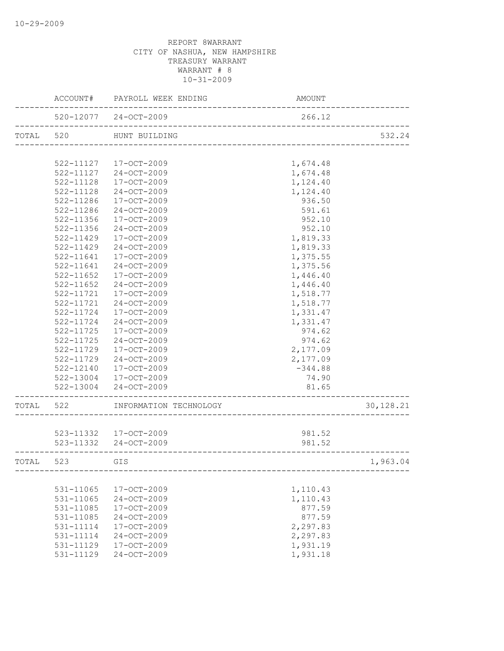|           |                        | ACCOUNT# PAYROLL WEEK ENDING                            | AMOUNT                        |           |
|-----------|------------------------|---------------------------------------------------------|-------------------------------|-----------|
|           |                        | 520-12077 24-OCT-2009                                   | 266.12                        |           |
| TOTAL 520 |                        | HUNT BUILDING                                           |                               | 532.24    |
|           |                        |                                                         |                               |           |
|           |                        | 522-11127 17-OCT-2009                                   | 1,674.48                      |           |
|           |                        | 522-11127 24-OCT-2009                                   | 1,674.48                      |           |
|           | 522-11128              | 17-OCT-2009                                             | 1,124.40                      |           |
|           | 522-11128              | 24-OCT-2009                                             | 1,124.40                      |           |
|           | 522-11286              | 17-OCT-2009                                             | 936.50                        |           |
|           | 522-11286              | 24-OCT-2009                                             | 591.61                        |           |
|           | 522-11356              | 17-OCT-2009                                             | 952.10                        |           |
|           | 522-11356              | 24-OCT-2009                                             | 952.10                        |           |
|           | 522-11429              | 17-OCT-2009                                             | 1,819.33                      |           |
|           | 522-11429              | 24-OCT-2009                                             | 1,819.33                      |           |
|           | 522-11641              | 17-OCT-2009                                             | 1,375.55                      |           |
|           | 522-11641              | 24-OCT-2009                                             | 1,375.56                      |           |
|           | $522 - 11652$          | 17-OCT-2009                                             | 1,446.40                      |           |
|           | $522 - 11652$          | 24-OCT-2009                                             | 1,446.40                      |           |
|           | 522-11721              | 17-OCT-2009                                             | 1,518.77                      |           |
|           | 522-11721<br>522-11724 | 24-OCT-2009<br>17-OCT-2009                              | 1,518.77<br>1,331.47          |           |
|           | 522-11724              | 24-OCT-2009                                             | 1,331.47                      |           |
|           | 522-11725              | 17-OCT-2009                                             | 974.62                        |           |
|           | 522-11725              | 24-OCT-2009                                             | 974.62                        |           |
|           | 522-11729              | 17-OCT-2009                                             | 2,177.09                      |           |
|           | 522-11729              | 24-OCT-2009                                             | 2,177.09                      |           |
|           | 522-12140              | 17-OCT-2009                                             | $-344.88$                     |           |
|           |                        | 522-13004 17-OCT-2009                                   | 74.90                         |           |
|           |                        | 522-13004 24-OCT-2009                                   | 81.65                         |           |
| TOTAL 522 |                        | INFORMATION TECHNOLOGY                                  | _____________________________ | 30,128.21 |
|           |                        |                                                         |                               |           |
|           |                        | 523-11332 17-OCT-2009                                   | 981.52                        |           |
|           | ---------------------  | 523-11332 24-OCT-2009<br>------------------------------ | 981.52                        |           |
| TOTAL 523 |                        | GIS                                                     |                               | 1,963.04  |
|           |                        |                                                         |                               |           |
|           | $531 - 11065$          | 17-OCT-2009                                             | 1,110.43                      |           |
|           | 531-11065              | 24-OCT-2009                                             | 1,110.43                      |           |
|           | 531-11085              | 17-OCT-2009                                             | 877.59                        |           |
|           | 531-11085              | 24-OCT-2009                                             | 877.59                        |           |
|           | 531-11114              | 17-OCT-2009                                             | 2,297.83                      |           |
|           | 531-11114              | 24-OCT-2009                                             | 2,297.83                      |           |
|           | 531-11129              | 17-OCT-2009                                             | 1,931.19                      |           |
|           | 531-11129              | 24-OCT-2009                                             | 1,931.18                      |           |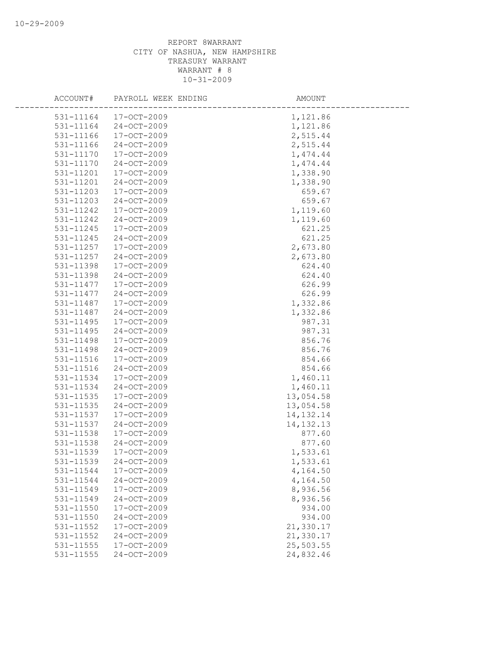| ACCOUNT#  | PAYROLL WEEK ENDING | AMOUNT      |
|-----------|---------------------|-------------|
| 531-11164 | $17-OCT-2009$       | 1,121.86    |
| 531-11164 | $24 - OCT - 2009$   | 1,121.86    |
| 531-11166 | $17-OCT-2009$       | 2,515.44    |
| 531-11166 | 24-OCT-2009         | 2,515.44    |
| 531-11170 | 17-OCT-2009         | 1,474.44    |
| 531-11170 | 24-OCT-2009         | 1,474.44    |
| 531-11201 | $17 - OCT - 2009$   | 1,338.90    |
| 531-11201 | 24-OCT-2009         | 1,338.90    |
| 531-11203 | 17-OCT-2009         | 659.67      |
| 531-11203 | $24 - OCT - 2009$   | 659.67      |
| 531-11242 | 17-OCT-2009         | 1,119.60    |
| 531-11242 | $24 - OCT - 2009$   | 1,119.60    |
| 531-11245 | 17-OCT-2009         | 621.25      |
| 531-11245 | 24-OCT-2009         | 621.25      |
| 531-11257 | 17-OCT-2009         | 2,673.80    |
| 531-11257 | $24 - OCT - 2009$   | 2,673.80    |
| 531-11398 | $17-OCT-2009$       | 624.40      |
| 531-11398 | 24-OCT-2009         | 624.40      |
| 531-11477 | $17-OCT-2009$       | 626.99      |
| 531-11477 | 24-OCT-2009         | 626.99      |
| 531-11487 | $17 - OCT - 2009$   | 1,332.86    |
| 531-11487 | 24-OCT-2009         | 1,332.86    |
| 531-11495 | 17-OCT-2009         | 987.31      |
| 531-11495 | 24-OCT-2009         | 987.31      |
| 531-11498 | $17 - OCT - 2009$   | 856.76      |
| 531-11498 | $24 - OCT - 2009$   | 856.76      |
| 531-11516 | 17-OCT-2009         | 854.66      |
| 531-11516 | 24-OCT-2009         | 854.66      |
| 531-11534 | 17-OCT-2009         | 1,460.11    |
| 531-11534 | 24-OCT-2009         | 1,460.11    |
| 531-11535 | 17-OCT-2009         | 13,054.58   |
| 531-11535 | 24-OCT-2009         | 13,054.58   |
| 531-11537 | 17-OCT-2009         | 14, 132. 14 |
| 531-11537 | 24-OCT-2009         | 14, 132. 13 |
| 531-11538 | $17 - OCT - 2009$   | 877.60      |
| 531-11538 | 24-OCT-2009         | 877.60      |
| 531-11539 | $17 - OCT - 2009$   | 1,533.61    |
| 531-11539 | 24-OCT-2009         | 1,533.61    |
| 531-11544 | 17-OCT-2009         | 4,164.50    |
| 531-11544 | 24-OCT-2009         | 4,164.50    |
| 531-11549 | 17-OCT-2009         | 8,936.56    |
| 531-11549 | 24-OCT-2009         | 8,936.56    |
| 531-11550 | 17-OCT-2009         | 934.00      |
| 531-11550 | 24-OCT-2009         | 934.00      |
| 531-11552 | 17-OCT-2009         | 21,330.17   |
| 531-11552 | $24 - OCT - 2009$   | 21,330.17   |
| 531-11555 | 17-OCT-2009         | 25,503.55   |
| 531-11555 | 24-OCT-2009         | 24,832.46   |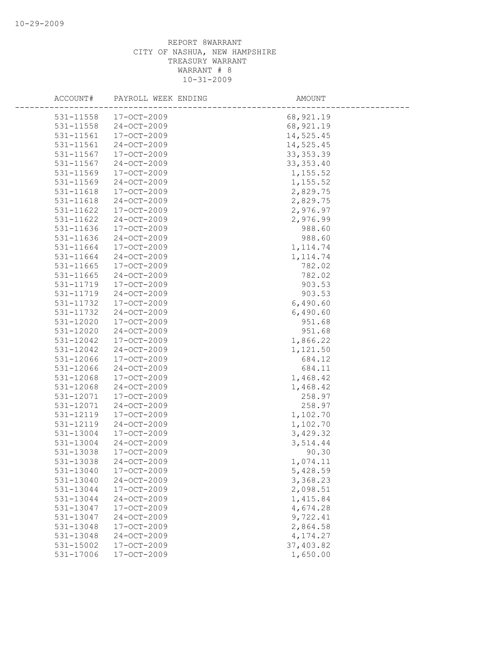| ACCOUNT#               | PAYROLL WEEK ENDING        | AMOUNT               |
|------------------------|----------------------------|----------------------|
| 531-11558              | $17-OCT-2009$              | 68, 921.19           |
| 531-11558              | $24 - OCT - 2009$          | 68,921.19            |
| 531-11561              | $17 - OCT - 2009$          | 14,525.45            |
| 531-11561              | 24-OCT-2009                | 14,525.45            |
| 531-11567              | 17-OCT-2009                | 33, 353.39           |
| 531-11567              | $24 - OCT - 2009$          | 33, 353.40           |
|                        |                            | 1,155.52             |
| 531-11569              | 17-OCT-2009<br>24-OCT-2009 | 1,155.52             |
| 531-11569<br>531-11618 | 17-OCT-2009                | 2,829.75             |
| 531-11618              | $24 - OCT - 2009$          | 2,829.75             |
| 531-11622              | 17-OCT-2009                | 2,976.97             |
| 531-11622              | 24-OCT-2009                | 2,976.99             |
| 531-11636              | 17-OCT-2009                | 988.60               |
| 531-11636              | 24-OCT-2009                | 988.60               |
| 531-11664              | $17 - OCT - 2009$          | 1, 114.74            |
| 531-11664              | $24 - OCT - 2009$          | 1, 114.74            |
| 531-11665              | 17-OCT-2009                | 782.02               |
| 531-11665              | 24-OCT-2009                | 782.02               |
| 531-11719              | $17-OCT-2009$              | 903.53               |
| 531-11719              | 24-OCT-2009                | 903.53               |
|                        | $17 - OCT - 2009$          |                      |
| 531-11732              | 24-OCT-2009                | 6,490.60             |
| 531-11732<br>531-12020 | 17-OCT-2009                | 6,490.60<br>951.68   |
| 531-12020              | $24 - OCT - 2009$          | 951.68               |
| 531-12042              | $17 - OCT - 2009$          |                      |
| 531-12042              |                            | 1,866.22             |
|                        | 24-OCT-2009<br>17-OCT-2009 | 1,121.50             |
| 531-12066<br>531-12066 | 24-OCT-2009                | 684.12<br>684.11     |
| 531-12068              | 17-OCT-2009                |                      |
| 531-12068              | 24-OCT-2009                | 1,468.42<br>1,468.42 |
| 531-12071              | 17-OCT-2009                | 258.97               |
| 531-12071              | 24-OCT-2009                | 258.97               |
| 531-12119              | 17-OCT-2009                | 1,102.70             |
| 531-12119              | 24-OCT-2009                | 1,102.70             |
| 531-13004              | $17 - OCT - 2009$          | 3,429.32             |
| 531-13004              | 24-OCT-2009                | 3,514.44             |
| 531-13038              | $17 - OCT - 2009$          | 90.30                |
| 531-13038              | 24-OCT-2009                | 1,074.11             |
| 531-13040              | 17-OCT-2009                |                      |
| 531-13040              | 24-OCT-2009                | 5,428.59<br>3,368.23 |
| 531-13044              | 17-OCT-2009                | 2,098.51             |
| 531-13044              | 24-OCT-2009                | 1,415.84             |
| 531-13047              | 17-OCT-2009                | 4,674.28             |
| 531-13047              | 24-OCT-2009                | 9,722.41             |
|                        | 17-OCT-2009                | 2,864.58             |
| 531-13048              |                            |                      |
| 531-13048              | $24 - OCT - 2009$          | 4,174.27             |
| 531-15002              | 17-OCT-2009                | 37,403.82            |
| 531-17006              | 17-OCT-2009                | 1,650.00             |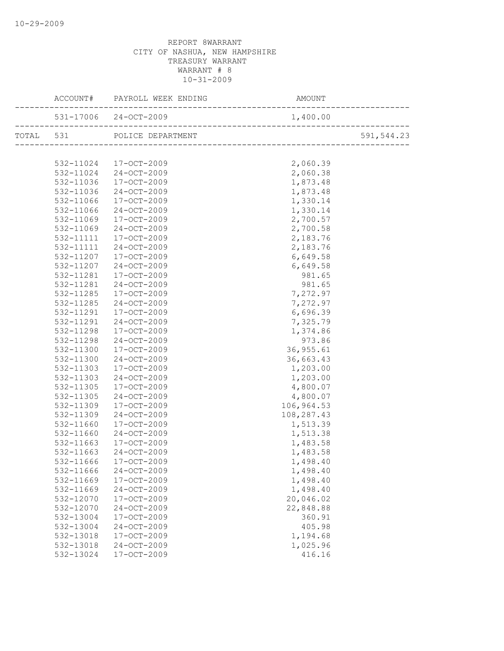|           | ACCOUNT# PAYROLL WEEK ENDING | AMOUNT     |            |
|-----------|------------------------------|------------|------------|
|           |                              |            |            |
|           | TOTAL 531 POLICE DEPARTMENT  |            | 591,544.23 |
|           |                              |            |            |
|           | 532-11024 17-OCT-2009        | 2,060.39   |            |
|           | $532-11024$ $24-0CT-2009$    | 2,060.38   |            |
| 532-11036 | $17 - OCT - 2009$            | 1,873.48   |            |
| 532-11036 | $24 - OCT - 2009$            | 1,873.48   |            |
| 532-11066 | 17-OCT-2009                  | 1,330.14   |            |
| 532-11066 | 24-OCT-2009                  | 1,330.14   |            |
| 532-11069 | 17-OCT-2009                  | 2,700.57   |            |
| 532-11069 | 24-OCT-2009                  | 2,700.58   |            |
| 532-11111 | 17-OCT-2009                  | 2,183.76   |            |
| 532-11111 | 24-OCT-2009                  | 2,183.76   |            |
| 532-11207 | 17-OCT-2009                  | 6,649.58   |            |
| 532-11207 | 24-OCT-2009                  | 6,649.58   |            |
| 532-11281 | 17-OCT-2009                  | 981.65     |            |
| 532-11281 | 24-OCT-2009                  | 981.65     |            |
| 532-11285 | 17-OCT-2009                  | 7,272.97   |            |
| 532-11285 | 24-OCT-2009                  | 7,272.97   |            |
| 532-11291 | 17-OCT-2009                  | 6,696.39   |            |
| 532-11291 | 24-OCT-2009                  | 7,325.79   |            |
| 532-11298 | 17-OCT-2009                  | 1,374.86   |            |
| 532-11298 | 24-OCT-2009                  | 973.86     |            |
| 532-11300 | 17-OCT-2009                  | 36, 955.61 |            |
| 532-11300 | 24-OCT-2009                  | 36,663.43  |            |
| 532-11303 | 17-OCT-2009                  | 1,203.00   |            |
| 532-11303 | 24-OCT-2009                  | 1,203.00   |            |
| 532-11305 | 17-OCT-2009                  | 4,800.07   |            |
| 532-11305 | 24-OCT-2009                  | 4,800.07   |            |
| 532-11309 | 17-OCT-2009                  | 106,964.53 |            |
| 532-11309 | 24-OCT-2009                  | 108,287.43 |            |
| 532-11660 | 17-OCT-2009                  | 1,513.39   |            |
| 532-11660 | 24-OCT-2009                  | 1,513.38   |            |
| 532-11663 | 17-OCT-2009                  | 1,483.58   |            |
| 532-11663 | 24-OCT-2009                  | 1,483.58   |            |
| 532-11666 | 17-OCT-2009                  | 1,498.40   |            |
| 532-11666 | 24-OCT-2009                  | 1,498.40   |            |
| 532-11669 | 17-OCT-2009                  | 1,498.40   |            |
| 532-11669 | 24-OCT-2009                  | 1,498.40   |            |
| 532-12070 | 17-OCT-2009                  | 20,046.02  |            |
| 532-12070 | 24-OCT-2009                  | 22,848.88  |            |
| 532-13004 | 17-OCT-2009                  | 360.91     |            |
| 532-13004 | $24 - OCT - 2009$            | 405.98     |            |
| 532-13018 | 17-OCT-2009                  | 1,194.68   |            |
| 532-13018 | 24-OCT-2009                  | 1,025.96   |            |
| 532-13024 | 17-OCT-2009                  | 416.16     |            |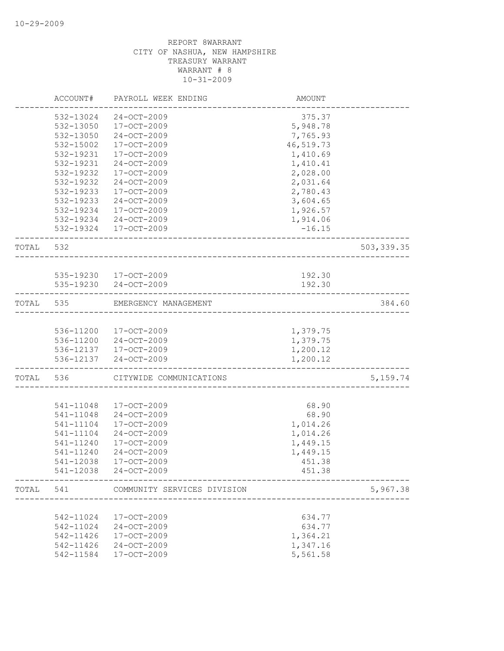|       | ACCOUNT#               | PAYROLL WEEK ENDING         | AMOUNT               |            |
|-------|------------------------|-----------------------------|----------------------|------------|
|       | 532-13024              | $24 - OCT - 2009$           | 375.37               |            |
|       | 532-13050              | 17-OCT-2009                 | 5,948.78             |            |
|       | 532-13050              | 24-OCT-2009                 | 7,765.93             |            |
|       | 532-15002              | $17 - OCT - 2009$           | 46,519.73            |            |
|       | 532-19231              | $17 - OCT - 2009$           | 1,410.69             |            |
|       | 532-19231              | 24-OCT-2009                 | 1,410.41             |            |
|       | 532-19232              | 17-OCT-2009                 | 2,028.00             |            |
|       | 532-19232              | 24-OCT-2009                 | 2,031.64             |            |
|       | 532-19233              | $17 - OCT - 2009$           | 2,780.43             |            |
|       | 532-19233              | 24-OCT-2009                 | 3,604.65             |            |
|       | 532-19234              | 17-OCT-2009                 | 1,926.57             |            |
|       |                        | 532-19234 24-OCT-2009       | 1,914.06             |            |
|       |                        | 532-19324 17-OCT-2009       | $-16.15$             |            |
| TOTAL | 532                    |                             |                      | 503,339.35 |
|       |                        |                             |                      |            |
|       |                        | 535-19230 17-OCT-2009       | 192.30               |            |
|       |                        | 535-19230 24-OCT-2009       | 192.30               |            |
| TOTAL | 535                    | EMERGENCY MANAGEMENT        |                      | 384.60     |
|       |                        |                             |                      |            |
|       |                        | 536-11200 17-OCT-2009       | 1,379.75             |            |
|       | 536-11200              | 24-OCT-2009                 | 1,379.75             |            |
|       |                        | 536-12137 17-OCT-2009       | 1,200.12             |            |
|       |                        | 536-12137 24-OCT-2009       | 1,200.12             |            |
| TOTAL | 536                    | CITYWIDE COMMUNICATIONS     |                      | 5, 159.74  |
|       |                        |                             |                      |            |
|       | 541-11048              | $17 - OCT - 2009$           | 68.90                |            |
|       | 541-11048              | 24-OCT-2009                 | 68.90                |            |
|       | 541-11104<br>541-11104 | 17-OCT-2009<br>24-OCT-2009  | 1,014.26             |            |
|       | 541-11240              | $17 - OCT - 2009$           | 1,014.26<br>1,449.15 |            |
|       | 541-11240              | $24 - OCT - 2009$           | 1,449.15             |            |
|       | 541-12038              | 17-OCT-2009                 | 451.38               |            |
|       | 541-12038              | 24-OCT-2009                 | 451.38               |            |
| TOTAL | 541                    | COMMUNITY SERVICES DIVISION |                      | 5,967.38   |
|       |                        |                             |                      |            |
|       | 542-11024              | 17-OCT-2009                 | 634.77               |            |
|       | 542-11024              | $24 - OCT - 2009$           | 634.77               |            |
|       | 542-11426              | $17 - OCT - 2009$           | 1,364.21             |            |
|       | 542-11426              | 24-OCT-2009                 | 1,347.16             |            |
|       | 542-11584              | $17 - OCT - 2009$           | 5,561.58             |            |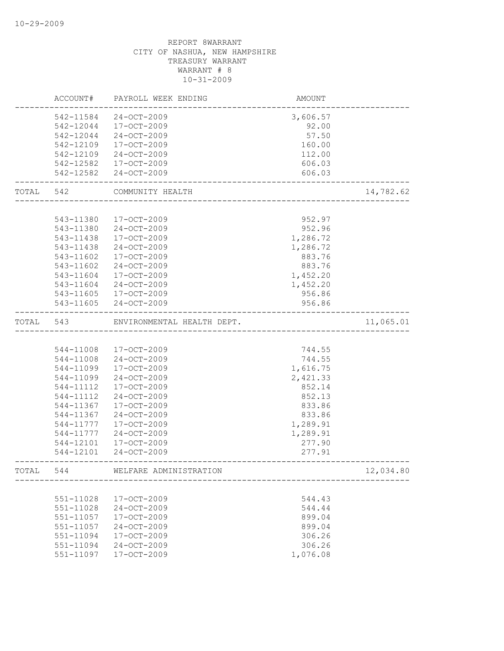|       | ACCOUNT#  | PAYROLL WEEK ENDING        | AMOUNT   |           |
|-------|-----------|----------------------------|----------|-----------|
|       | 542-11584 | $24 - OCT - 2009$          | 3,606.57 |           |
|       | 542-12044 | 17-OCT-2009                | 92.00    |           |
|       | 542-12044 | 24-OCT-2009                | 57.50    |           |
|       | 542-12109 | 17-OCT-2009                | 160.00   |           |
|       | 542-12109 | $24 - OCT - 2009$          | 112.00   |           |
|       | 542-12582 | 17-OCT-2009                | 606.03   |           |
|       | 542-12582 | 24-OCT-2009                | 606.03   |           |
| TOTAL | 542       | COMMUNITY HEALTH           |          | 14,782.62 |
|       |           |                            |          |           |
|       | 543-11380 | 17-OCT-2009                | 952.97   |           |
|       | 543-11380 | 24-OCT-2009                | 952.96   |           |
|       | 543-11438 | $17 - OCT - 2009$          | 1,286.72 |           |
|       | 543-11438 | $24 - OCT - 2009$          | 1,286.72 |           |
|       | 543-11602 | 17-OCT-2009                | 883.76   |           |
|       | 543-11602 | 24-OCT-2009                | 883.76   |           |
|       | 543-11604 | 17-OCT-2009                | 1,452.20 |           |
|       | 543-11604 | 24-OCT-2009                | 1,452.20 |           |
|       | 543-11605 | 17-OCT-2009                | 956.86   |           |
|       | 543-11605 | 24-OCT-2009                | 956.86   |           |
| TOTAL | 543       | ENVIRONMENTAL HEALTH DEPT. |          | 11,065.01 |
|       |           |                            |          |           |
|       | 544-11008 | 17-OCT-2009                | 744.55   |           |
|       | 544-11008 | 24-OCT-2009                | 744.55   |           |
|       | 544-11099 | 17-OCT-2009                | 1,616.75 |           |
|       | 544-11099 | $24 - OCT - 2009$          | 2,421.33 |           |
|       | 544-11112 | 17-OCT-2009                | 852.14   |           |
|       | 544-11112 | 24-OCT-2009                | 852.13   |           |
|       | 544-11367 | $17 - OCT - 2009$          | 833.86   |           |
|       | 544-11367 | 24-OCT-2009                | 833.86   |           |
|       | 544-11777 | 17-OCT-2009                | 1,289.91 |           |
|       | 544-11777 | 24-OCT-2009                | 1,289.91 |           |
|       | 544-12101 | 17-OCT-2009                | 277.90   |           |
|       | 544-12101 | $24 - OCT - 2009$          | 277.91   |           |
| TOTAL | 544       | WELFARE ADMINISTRATION     |          | 12,034.80 |
|       |           |                            |          |           |
|       | 551-11028 | 17-OCT-2009                | 544.43   |           |
|       | 551-11028 | 24-OCT-2009                | 544.44   |           |
|       | 551-11057 | 17-OCT-2009                | 899.04   |           |
|       | 551-11057 | 24-OCT-2009                | 899.04   |           |
|       | 551-11094 | $17 - OCT - 2009$          | 306.26   |           |
|       | 551-11094 | 24-OCT-2009                | 306.26   |           |
|       | 551-11097 | 17-OCT-2009                | 1,076.08 |           |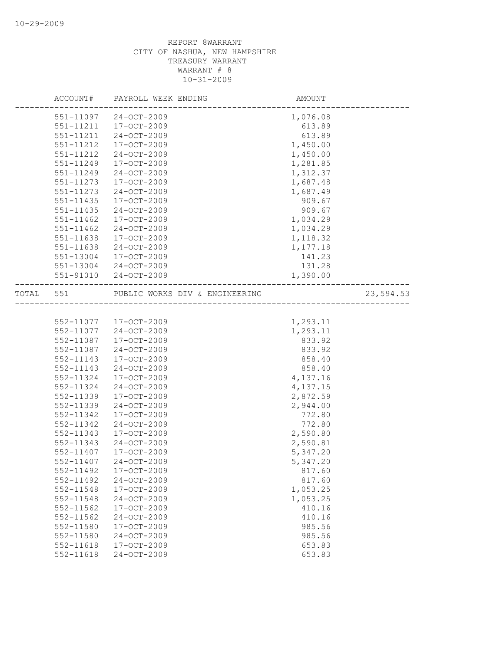|           | ACCOUNT#      | PAYROLL WEEK ENDING                                                                                   | AMOUNT   |           |
|-----------|---------------|-------------------------------------------------------------------------------------------------------|----------|-----------|
|           |               | 551-11097 24-OCT-2009                                                                                 | 1,076.08 |           |
|           | 551-11211     | 17-OCT-2009                                                                                           | 613.89   |           |
|           | 551-11211     | 24-OCT-2009                                                                                           | 613.89   |           |
|           | 551-11212     | 17-OCT-2009                                                                                           | 1,450.00 |           |
|           | 551-11212     | 24-OCT-2009                                                                                           | 1,450.00 |           |
|           | 551-11249     | 17-OCT-2009                                                                                           | 1,281.85 |           |
|           | 551-11249     | 24-OCT-2009                                                                                           | 1,312.37 |           |
|           | 551-11273     | $17 - OCT - 2009$                                                                                     | 1,687.48 |           |
|           | 551-11273     | 24-OCT-2009                                                                                           | 1,687.49 |           |
|           | 551-11435     | $17 - OCT - 2009$                                                                                     | 909.67   |           |
|           | 551-11435     | 24-OCT-2009                                                                                           | 909.67   |           |
|           | 551-11462     | $17 - OCT - 2009$                                                                                     | 1,034.29 |           |
|           | 551-11462     | 24-OCT-2009                                                                                           | 1,034.29 |           |
|           | 551-11638     | 17-OCT-2009                                                                                           | 1,118.32 |           |
|           | 551-11638     | 24-OCT-2009                                                                                           | 1,177.18 |           |
|           | 551-13004     | 17-OCT-2009                                                                                           | 141.23   |           |
|           |               | 551-13004 24-OCT-2009                                                                                 | 131.28   |           |
|           |               | 551-91010 24-OCT-2009                                                                                 | 1,390.00 |           |
| TOTAL 551 |               | --------------------------<br>PUBLIC WORKS DIV & ENGINEERING<br>------------------------------------- |          | 23,594.53 |
|           |               |                                                                                                       |          |           |
|           |               | 552-11077 17-OCT-2009                                                                                 | 1,293.11 |           |
|           | 552-11077     | 24-OCT-2009                                                                                           | 1,293.11 |           |
|           | 552-11087     | 17-OCT-2009                                                                                           | 833.92   |           |
|           | 552-11087     | 24-OCT-2009                                                                                           | 833.92   |           |
|           | 552-11143     | $17 - OCT - 2009$                                                                                     | 858.40   |           |
|           | 552-11143     | $24 - OCT - 2009$                                                                                     | 858.40   |           |
|           | 552-11324     | 17-OCT-2009                                                                                           | 4,137.16 |           |
|           | 552-11324     | 24-OCT-2009                                                                                           | 4,137.15 |           |
|           | 552-11339     | 17-OCT-2009                                                                                           | 2,872.59 |           |
|           | 552-11339     | $24 - OCT - 2009$                                                                                     | 2,944.00 |           |
|           | 552-11342     | 17-OCT-2009                                                                                           | 772.80   |           |
|           | 552-11342     | 24-OCT-2009                                                                                           | 772.80   |           |
|           | 552-11343     | 17-OCT-2009                                                                                           | 2,590.80 |           |
|           | 552-11343     | $24 - OCT - 2009$                                                                                     | 2,590.81 |           |
|           | 552-11407     | $17 - OCT - 2009$                                                                                     | 5,347.20 |           |
|           | 552-11407     | 24-OCT-2009                                                                                           | 5,347.20 |           |
|           | 552-11492     | 17-OCT-2009                                                                                           | 817.60   |           |
|           | 552-11492     | $24-0CT-2009$                                                                                         | 817.60   |           |
|           | 552-11548     | 17-OCT-2009                                                                                           | 1,053.25 |           |
|           | 552-11548     | 24-OCT-2009                                                                                           | 1,053.25 |           |
|           | 552-11562     | 17-OCT-2009                                                                                           | 410.16   |           |
|           | 552-11562     | 24-OCT-2009                                                                                           | 410.16   |           |
|           | 552-11580     | $17 - OCT - 2009$                                                                                     | 985.56   |           |
|           | 552-11580     | 24-OCT-2009                                                                                           | 985.56   |           |
|           | 552-11618     | 17-OCT-2009                                                                                           | 653.83   |           |
|           | $552 - 11618$ | $24-OCT-2009$                                                                                         | 653.83   |           |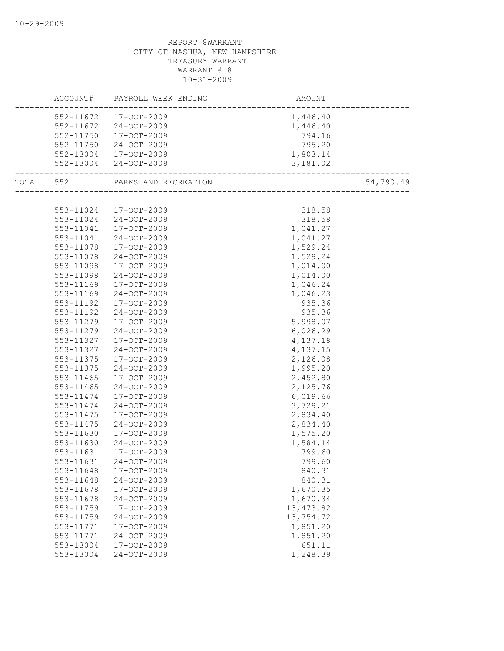|           | ACCOUNT# PAYROLL WEEK ENDING                                      | AMOUNT<br>----------------------- |           |
|-----------|-------------------------------------------------------------------|-----------------------------------|-----------|
|           | 552-11672 17-OCT-2009                                             | 1,446.40                          |           |
|           | 552-11672 24-OCT-2009                                             | 1,446.40                          |           |
|           | 552-11750 17-OCT-2009                                             | 794.16                            |           |
|           | 552-11750 24-OCT-2009                                             | 795.20                            |           |
|           | 552-13004 17-OCT-2009                                             | 1,803.14                          |           |
|           | 552-13004 24-OCT-2009                                             | 3,181.02                          |           |
|           | -------------------------------<br>TOTAL 552 PARKS AND RECREATION |                                   | 54,790.49 |
|           |                                                                   |                                   |           |
|           |                                                                   |                                   |           |
|           | 553-11024 17-OCT-2009                                             | 318.58                            |           |
|           | 553-11024 24-OCT-2009                                             | 318.58                            |           |
| 553-11041 | 17-OCT-2009                                                       | 1,041.27                          |           |
| 553-11041 | 24-OCT-2009                                                       | 1,041.27                          |           |
| 553-11078 | 17-OCT-2009                                                       | 1,529.24                          |           |
| 553-11078 | 24-OCT-2009                                                       | 1,529.24                          |           |
| 553-11098 | 17-OCT-2009                                                       | 1,014.00                          |           |
| 553-11098 | 24-OCT-2009                                                       | 1,014.00                          |           |
| 553-11169 | 17-OCT-2009                                                       | 1,046.24                          |           |
| 553-11169 | 24-OCT-2009                                                       | 1,046.23                          |           |
| 553-11192 | 17-OCT-2009                                                       | 935.36                            |           |
| 553-11192 | 24-OCT-2009                                                       | 935.36                            |           |
| 553-11279 | 17-OCT-2009                                                       | 5,998.07                          |           |
| 553-11279 | 24-OCT-2009                                                       | 6,026.29                          |           |
| 553-11327 | 17-OCT-2009                                                       | 4,137.18                          |           |
| 553-11327 | 24-OCT-2009                                                       | 4,137.15                          |           |
| 553-11375 | 17-OCT-2009                                                       | 2,126.08                          |           |
| 553-11375 | 24-OCT-2009                                                       | 1,995.20                          |           |
| 553-11465 | 17-OCT-2009                                                       | 2,452.80                          |           |
| 553-11465 | 24-OCT-2009                                                       | 2,125.76                          |           |
| 553-11474 | 17-OCT-2009                                                       | 6,019.66                          |           |
| 553-11474 | 24-OCT-2009                                                       | 3,729.21                          |           |
| 553-11475 | 17-OCT-2009                                                       | 2,834.40                          |           |
| 553-11475 | 24-OCT-2009                                                       | 2,834.40                          |           |
| 553-11630 | 17-OCT-2009                                                       | 1,575.20                          |           |
| 553-11630 | 24-OCT-2009                                                       | 1,584.14                          |           |
| 553-11631 | 17-OCT-2009                                                       | 799.60                            |           |
| 553-11631 | 24-OCT-2009                                                       | 799.60                            |           |
| 553-11648 | 17-OCT-2009                                                       | 840.31                            |           |
| 553-11648 | $24 - OCT - 2009$                                                 | 840.31                            |           |
| 553-11678 | 17-OCT-2009                                                       | 1,670.35                          |           |
| 553-11678 | 24-OCT-2009                                                       | 1,670.34                          |           |
| 553-11759 | 17-OCT-2009                                                       | 13, 473.82                        |           |
| 553-11759 | 24-OCT-2009                                                       | 13,754.72                         |           |
| 553-11771 | 17-OCT-2009                                                       | 1,851.20                          |           |
| 553-11771 | 24-OCT-2009                                                       | 1,851.20                          |           |
| 553-13004 | 17-OCT-2009                                                       | 651.11                            |           |
| 553-13004 | $24-OCT-2009$                                                     | 1,248.39                          |           |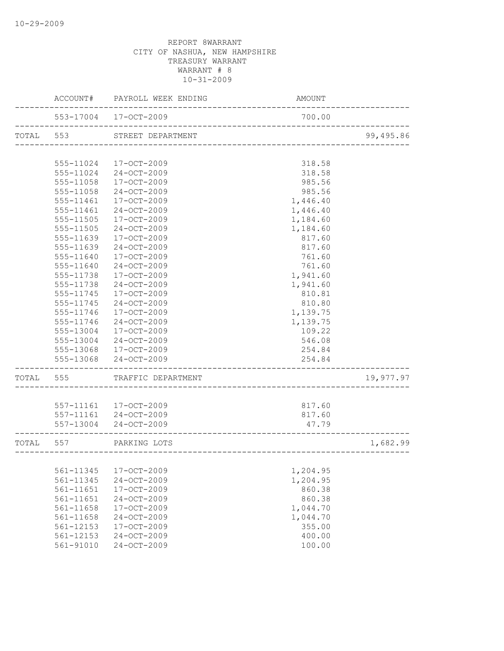|           |               | ACCOUNT# PAYROLL WEEK ENDING                              | AMOUNT                              |           |
|-----------|---------------|-----------------------------------------------------------|-------------------------------------|-----------|
|           |               | 553-17004 17-OCT-2009<br>________________________________ | 700.00                              |           |
| TOTAL 553 |               | STREET DEPARTMENT                                         | ___________________________________ | 99,495.86 |
|           |               |                                                           |                                     |           |
|           | 555-11024     | 17-OCT-2009                                               | 318.58                              |           |
|           | 555-11024     | 24-OCT-2009                                               | 318.58                              |           |
|           | 555-11058     | 17-OCT-2009                                               | 985.56                              |           |
|           | 555-11058     | 24-OCT-2009                                               | 985.56                              |           |
|           | 555-11461     | 17-OCT-2009                                               | 1,446.40                            |           |
|           | 555-11461     | 24-OCT-2009                                               | 1,446.40                            |           |
|           | 555-11505     | 17-OCT-2009                                               | 1,184.60                            |           |
|           | 555-11505     | 24-OCT-2009                                               | 1,184.60                            |           |
|           | 555-11639     | 17-OCT-2009                                               | 817.60                              |           |
|           | 555-11639     | 24-OCT-2009                                               | 817.60                              |           |
|           | 555-11640     | 17-OCT-2009                                               | 761.60                              |           |
|           | 555-11640     | 24-OCT-2009                                               | 761.60                              |           |
|           | 555-11738     | 17-OCT-2009                                               | 1,941.60                            |           |
|           | 555-11738     | 24-OCT-2009                                               | 1,941.60                            |           |
|           | 555-11745     | $17 - OCT - 2009$                                         | 810.81                              |           |
|           | 555-11745     | 24-OCT-2009                                               | 810.80                              |           |
|           | 555-11746     | 17-OCT-2009                                               | 1,139.75                            |           |
|           | 555-11746     | 24-OCT-2009                                               | 1,139.75                            |           |
|           | 555-13004     | 17-OCT-2009                                               | 109.22                              |           |
|           | 555-13004     | 24-OCT-2009                                               | 546.08                              |           |
|           |               | 555-13068 17-OCT-2009                                     | 254.84                              |           |
|           |               | 555-13068 24-OCT-2009                                     | 254.84<br>_______________________   |           |
|           |               | TOTAL 555 TRAFFIC DEPARTMENT                              |                                     | 19,977.97 |
|           |               |                                                           |                                     |           |
|           |               | 557-11161 17-OCT-2009                                     | 817.60                              |           |
|           |               | 557-11161 24-OCT-2009                                     | 817.60                              |           |
|           |               | 557-13004 24-OCT-2009                                     | 47.79                               |           |
|           |               | TOTAL 557 PARKING LOTS                                    |                                     | 1,682.99  |
|           |               |                                                           |                                     |           |
|           | 561-11345     | 17-OCT-2009                                               | 1,204.95                            |           |
|           | 561-11345     | $24 - OCT - 2009$                                         | 1,204.95                            |           |
|           | 561-11651     | 17-OCT-2009                                               | 860.38                              |           |
|           | 561-11651     | 24-OCT-2009                                               | 860.38                              |           |
|           | $561 - 11658$ | 17-OCT-2009                                               | 1,044.70                            |           |
|           | 561-11658     | 24-OCT-2009                                               | 1,044.70                            |           |
|           | 561-12153     | 17-OCT-2009                                               | 355.00                              |           |
|           | 561-12153     | $24 - OCT - 2009$                                         | 400.00                              |           |
|           | 561-91010     | $24-OCT-2009$                                             | 100.00                              |           |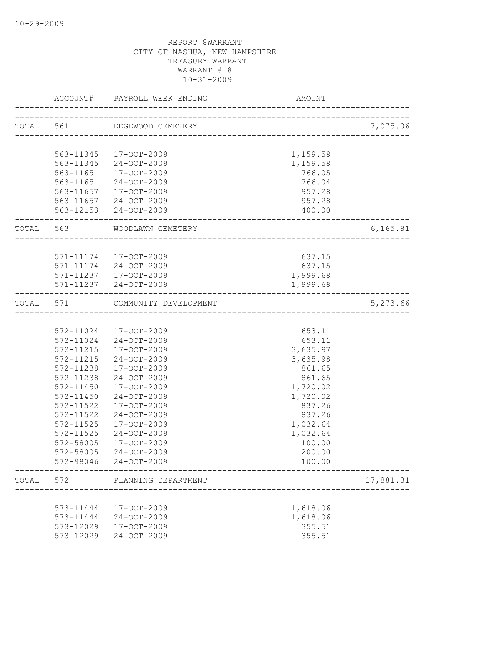|       | ACCOUNT#  | PAYROLL WEEK ENDING             | AMOUNT                                         |           |
|-------|-----------|---------------------------------|------------------------------------------------|-----------|
|       |           | TOTAL 561 EDGEWOOD CEMETERY     |                                                |           |
|       |           |                                 |                                                | 7,075.06  |
|       |           |                                 |                                                |           |
|       |           | 563-11345 17-OCT-2009           | 1,159.58                                       |           |
|       |           | 563-11345 24-OCT-2009           | 1,159.58                                       |           |
|       |           | 563-11651 17-OCT-2009           | 766.05                                         |           |
|       |           | 563-11651 24-OCT-2009           | 766.04                                         |           |
|       |           | 563-11657 17-OCT-2009           | 957.28                                         |           |
|       |           | 563-11657 24-OCT-2009           | 957.28                                         |           |
|       |           | 563-12153 24-OCT-2009           | 400.00<br>____________________________________ |           |
|       |           | TOTAL 563 WOODLAWN CEMETERY     |                                                | 6, 165.81 |
|       |           |                                 |                                                |           |
|       |           | 571-11174 17-OCT-2009           | 637.15                                         |           |
|       |           | 571-11174 24-OCT-2009           | 637.15                                         |           |
|       |           | 571-11237 17-OCT-2009           | 1,999.68                                       |           |
|       |           | 571-11237 24-OCT-2009           | 1,999.68                                       |           |
|       |           | TOTAL 571 COMMUNITY DEVELOPMENT |                                                | 5,273.66  |
|       |           |                                 |                                                |           |
|       |           | 572-11024 17-OCT-2009           | 653.11                                         |           |
|       |           | 572-11024 24-OCT-2009           | 653.11                                         |           |
|       | 572-11215 | 17-OCT-2009                     | 3,635.97                                       |           |
|       | 572-11215 | 24-OCT-2009                     | 3,635.98                                       |           |
|       | 572-11238 | 17-OCT-2009                     | 861.65                                         |           |
|       |           | 572-11238 24-OCT-2009           | 861.65                                         |           |
|       | 572-11450 | 17-OCT-2009                     | 1,720.02                                       |           |
|       | 572-11450 | 24-OCT-2009                     | 1,720.02                                       |           |
|       | 572-11522 | 17-OCT-2009                     | 837.26                                         |           |
|       | 572-11522 | 24-OCT-2009                     | 837.26                                         |           |
|       | 572-11525 | 17-OCT-2009                     | 1,032.64                                       |           |
|       | 572-11525 | 24-OCT-2009                     | 1,032.64                                       |           |
|       | 572-58005 | 17-OCT-2009                     | 100.00                                         |           |
|       | 572-58005 | 24-OCT-2009                     | 200.00                                         |           |
|       |           | 572-98046 24-OCT-2009           | 100.00                                         |           |
| TOTAL | 572       | PLANNING DEPARTMENT             |                                                | 17,881.31 |
|       |           |                                 | ---------------------                          |           |
|       | 573-11444 | 17-OCT-2009                     | 1,618.06                                       |           |
|       | 573-11444 | 24-OCT-2009                     | 1,618.06                                       |           |
|       | 573-12029 | 17-OCT-2009                     | 355.51                                         |           |
|       | 573-12029 | $24 - OCT - 2009$               | 355.51                                         |           |
|       |           |                                 |                                                |           |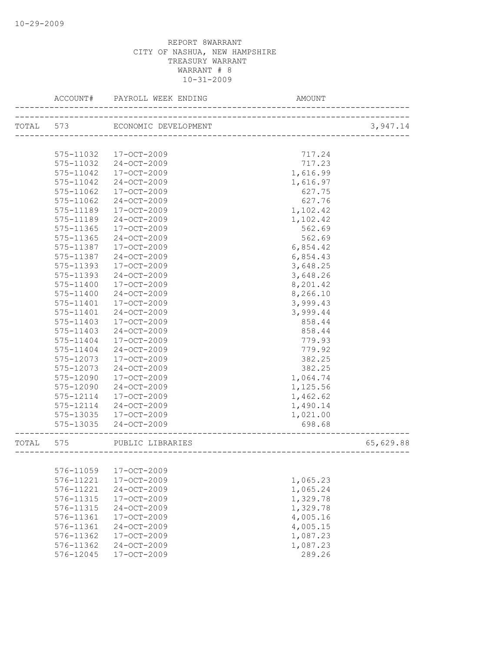| TOTAL 573<br>3,947.14<br>ECONOMIC DEVELOPMENT<br>________________________<br>575-11032<br>17-OCT-2009<br>717.24<br>24-OCT-2009<br>717.23<br>575-11032<br>575-11042<br>17-OCT-2009<br>1,616.99<br>24-OCT-2009<br>575-11042<br>1,616.97<br>17-OCT-2009<br>627.75<br>575-11062<br>575-11062<br>$24 - OCT - 2009$<br>627.76<br>575-11189<br>17-OCT-2009<br>1,102.42<br>575-11189<br>$24 - OCT - 2009$<br>1,102.42<br>562.69<br>575-11365<br>$17 - OCT - 2009$<br>24-OCT-2009<br>562.69<br>575-11365<br>575-11387<br>$17 - OCT - 2009$<br>6,854.42<br>575-11387<br>24-OCT-2009<br>6,854.43<br>17-OCT-2009<br>575-11393<br>3,648.25<br>24-OCT-2009<br>575-11393<br>3,648.26<br>575-11400<br>$17 - OCT - 2009$<br>8,201.42<br>8,266.10<br>575-11400<br>24-OCT-2009<br>3,999.43<br>575-11401<br>$17 - OCT - 2009$<br>3,999.44<br>575-11401<br>$24 - OCT - 2009$<br>17-OCT-2009<br>858.44<br>575-11403<br>575-11403<br>$24 - OCT - 2009$<br>858.44<br>575-11404<br>$17 - OCT - 2009$<br>779.93<br>24-OCT-2009<br>779.92<br>575-11404<br>17-OCT-2009<br>382.25<br>575-12073<br>575-12073<br>24-OCT-2009<br>382.25<br>575-12090<br>17-OCT-2009<br>1,064.74<br>575-12090<br>$24 - OCT - 2009$<br>1,125.56<br>575-12114<br>$17 - OCT - 2009$<br>1,462.62<br>575-12114<br>24-OCT-2009<br>1,490.14<br>17-OCT-2009<br>1,021.00<br>575-13035<br>575-13035<br>24-OCT-2009<br>698.68<br>65,629.88<br>575<br>TOTAL<br>PUBLIC LIBRARIES<br>___________________<br>576-11059<br>17-OCT-2009<br>576-11221<br>17-OCT-2009<br>1,065.23<br>576-11221<br>24-OCT-2009<br>1,065.24<br>17-OCT-2009<br>1,329.78<br>576-11315<br>1,329.78<br>576-11315<br>24-OCT-2009<br>576-11361<br>17-OCT-2009<br>4,005.16<br>24-OCT-2009<br>4,005.15<br>576-11361<br>576-11362<br>17-OCT-2009<br>1,087.23<br>1,087.23<br>24-OCT-2009<br>576-11362 | ACCOUNT#  | PAYROLL WEEK ENDING | AMOUNT |  |
|-------------------------------------------------------------------------------------------------------------------------------------------------------------------------------------------------------------------------------------------------------------------------------------------------------------------------------------------------------------------------------------------------------------------------------------------------------------------------------------------------------------------------------------------------------------------------------------------------------------------------------------------------------------------------------------------------------------------------------------------------------------------------------------------------------------------------------------------------------------------------------------------------------------------------------------------------------------------------------------------------------------------------------------------------------------------------------------------------------------------------------------------------------------------------------------------------------------------------------------------------------------------------------------------------------------------------------------------------------------------------------------------------------------------------------------------------------------------------------------------------------------------------------------------------------------------------------------------------------------------------------------------------------------------------------------------------------------------------------------------------------------------------------------------------------|-----------|---------------------|--------|--|
|                                                                                                                                                                                                                                                                                                                                                                                                                                                                                                                                                                                                                                                                                                                                                                                                                                                                                                                                                                                                                                                                                                                                                                                                                                                                                                                                                                                                                                                                                                                                                                                                                                                                                                                                                                                                       |           |                     |        |  |
|                                                                                                                                                                                                                                                                                                                                                                                                                                                                                                                                                                                                                                                                                                                                                                                                                                                                                                                                                                                                                                                                                                                                                                                                                                                                                                                                                                                                                                                                                                                                                                                                                                                                                                                                                                                                       |           |                     |        |  |
|                                                                                                                                                                                                                                                                                                                                                                                                                                                                                                                                                                                                                                                                                                                                                                                                                                                                                                                                                                                                                                                                                                                                                                                                                                                                                                                                                                                                                                                                                                                                                                                                                                                                                                                                                                                                       |           |                     |        |  |
|                                                                                                                                                                                                                                                                                                                                                                                                                                                                                                                                                                                                                                                                                                                                                                                                                                                                                                                                                                                                                                                                                                                                                                                                                                                                                                                                                                                                                                                                                                                                                                                                                                                                                                                                                                                                       |           |                     |        |  |
|                                                                                                                                                                                                                                                                                                                                                                                                                                                                                                                                                                                                                                                                                                                                                                                                                                                                                                                                                                                                                                                                                                                                                                                                                                                                                                                                                                                                                                                                                                                                                                                                                                                                                                                                                                                                       |           |                     |        |  |
|                                                                                                                                                                                                                                                                                                                                                                                                                                                                                                                                                                                                                                                                                                                                                                                                                                                                                                                                                                                                                                                                                                                                                                                                                                                                                                                                                                                                                                                                                                                                                                                                                                                                                                                                                                                                       |           |                     |        |  |
|                                                                                                                                                                                                                                                                                                                                                                                                                                                                                                                                                                                                                                                                                                                                                                                                                                                                                                                                                                                                                                                                                                                                                                                                                                                                                                                                                                                                                                                                                                                                                                                                                                                                                                                                                                                                       |           |                     |        |  |
|                                                                                                                                                                                                                                                                                                                                                                                                                                                                                                                                                                                                                                                                                                                                                                                                                                                                                                                                                                                                                                                                                                                                                                                                                                                                                                                                                                                                                                                                                                                                                                                                                                                                                                                                                                                                       |           |                     |        |  |
|                                                                                                                                                                                                                                                                                                                                                                                                                                                                                                                                                                                                                                                                                                                                                                                                                                                                                                                                                                                                                                                                                                                                                                                                                                                                                                                                                                                                                                                                                                                                                                                                                                                                                                                                                                                                       |           |                     |        |  |
|                                                                                                                                                                                                                                                                                                                                                                                                                                                                                                                                                                                                                                                                                                                                                                                                                                                                                                                                                                                                                                                                                                                                                                                                                                                                                                                                                                                                                                                                                                                                                                                                                                                                                                                                                                                                       |           |                     |        |  |
|                                                                                                                                                                                                                                                                                                                                                                                                                                                                                                                                                                                                                                                                                                                                                                                                                                                                                                                                                                                                                                                                                                                                                                                                                                                                                                                                                                                                                                                                                                                                                                                                                                                                                                                                                                                                       |           |                     |        |  |
|                                                                                                                                                                                                                                                                                                                                                                                                                                                                                                                                                                                                                                                                                                                                                                                                                                                                                                                                                                                                                                                                                                                                                                                                                                                                                                                                                                                                                                                                                                                                                                                                                                                                                                                                                                                                       |           |                     |        |  |
|                                                                                                                                                                                                                                                                                                                                                                                                                                                                                                                                                                                                                                                                                                                                                                                                                                                                                                                                                                                                                                                                                                                                                                                                                                                                                                                                                                                                                                                                                                                                                                                                                                                                                                                                                                                                       |           |                     |        |  |
|                                                                                                                                                                                                                                                                                                                                                                                                                                                                                                                                                                                                                                                                                                                                                                                                                                                                                                                                                                                                                                                                                                                                                                                                                                                                                                                                                                                                                                                                                                                                                                                                                                                                                                                                                                                                       |           |                     |        |  |
|                                                                                                                                                                                                                                                                                                                                                                                                                                                                                                                                                                                                                                                                                                                                                                                                                                                                                                                                                                                                                                                                                                                                                                                                                                                                                                                                                                                                                                                                                                                                                                                                                                                                                                                                                                                                       |           |                     |        |  |
|                                                                                                                                                                                                                                                                                                                                                                                                                                                                                                                                                                                                                                                                                                                                                                                                                                                                                                                                                                                                                                                                                                                                                                                                                                                                                                                                                                                                                                                                                                                                                                                                                                                                                                                                                                                                       |           |                     |        |  |
|                                                                                                                                                                                                                                                                                                                                                                                                                                                                                                                                                                                                                                                                                                                                                                                                                                                                                                                                                                                                                                                                                                                                                                                                                                                                                                                                                                                                                                                                                                                                                                                                                                                                                                                                                                                                       |           |                     |        |  |
|                                                                                                                                                                                                                                                                                                                                                                                                                                                                                                                                                                                                                                                                                                                                                                                                                                                                                                                                                                                                                                                                                                                                                                                                                                                                                                                                                                                                                                                                                                                                                                                                                                                                                                                                                                                                       |           |                     |        |  |
|                                                                                                                                                                                                                                                                                                                                                                                                                                                                                                                                                                                                                                                                                                                                                                                                                                                                                                                                                                                                                                                                                                                                                                                                                                                                                                                                                                                                                                                                                                                                                                                                                                                                                                                                                                                                       |           |                     |        |  |
|                                                                                                                                                                                                                                                                                                                                                                                                                                                                                                                                                                                                                                                                                                                                                                                                                                                                                                                                                                                                                                                                                                                                                                                                                                                                                                                                                                                                                                                                                                                                                                                                                                                                                                                                                                                                       |           |                     |        |  |
|                                                                                                                                                                                                                                                                                                                                                                                                                                                                                                                                                                                                                                                                                                                                                                                                                                                                                                                                                                                                                                                                                                                                                                                                                                                                                                                                                                                                                                                                                                                                                                                                                                                                                                                                                                                                       |           |                     |        |  |
|                                                                                                                                                                                                                                                                                                                                                                                                                                                                                                                                                                                                                                                                                                                                                                                                                                                                                                                                                                                                                                                                                                                                                                                                                                                                                                                                                                                                                                                                                                                                                                                                                                                                                                                                                                                                       |           |                     |        |  |
|                                                                                                                                                                                                                                                                                                                                                                                                                                                                                                                                                                                                                                                                                                                                                                                                                                                                                                                                                                                                                                                                                                                                                                                                                                                                                                                                                                                                                                                                                                                                                                                                                                                                                                                                                                                                       |           |                     |        |  |
|                                                                                                                                                                                                                                                                                                                                                                                                                                                                                                                                                                                                                                                                                                                                                                                                                                                                                                                                                                                                                                                                                                                                                                                                                                                                                                                                                                                                                                                                                                                                                                                                                                                                                                                                                                                                       |           |                     |        |  |
|                                                                                                                                                                                                                                                                                                                                                                                                                                                                                                                                                                                                                                                                                                                                                                                                                                                                                                                                                                                                                                                                                                                                                                                                                                                                                                                                                                                                                                                                                                                                                                                                                                                                                                                                                                                                       |           |                     |        |  |
|                                                                                                                                                                                                                                                                                                                                                                                                                                                                                                                                                                                                                                                                                                                                                                                                                                                                                                                                                                                                                                                                                                                                                                                                                                                                                                                                                                                                                                                                                                                                                                                                                                                                                                                                                                                                       |           |                     |        |  |
|                                                                                                                                                                                                                                                                                                                                                                                                                                                                                                                                                                                                                                                                                                                                                                                                                                                                                                                                                                                                                                                                                                                                                                                                                                                                                                                                                                                                                                                                                                                                                                                                                                                                                                                                                                                                       |           |                     |        |  |
|                                                                                                                                                                                                                                                                                                                                                                                                                                                                                                                                                                                                                                                                                                                                                                                                                                                                                                                                                                                                                                                                                                                                                                                                                                                                                                                                                                                                                                                                                                                                                                                                                                                                                                                                                                                                       |           |                     |        |  |
|                                                                                                                                                                                                                                                                                                                                                                                                                                                                                                                                                                                                                                                                                                                                                                                                                                                                                                                                                                                                                                                                                                                                                                                                                                                                                                                                                                                                                                                                                                                                                                                                                                                                                                                                                                                                       |           |                     |        |  |
|                                                                                                                                                                                                                                                                                                                                                                                                                                                                                                                                                                                                                                                                                                                                                                                                                                                                                                                                                                                                                                                                                                                                                                                                                                                                                                                                                                                                                                                                                                                                                                                                                                                                                                                                                                                                       |           |                     |        |  |
|                                                                                                                                                                                                                                                                                                                                                                                                                                                                                                                                                                                                                                                                                                                                                                                                                                                                                                                                                                                                                                                                                                                                                                                                                                                                                                                                                                                                                                                                                                                                                                                                                                                                                                                                                                                                       |           |                     |        |  |
|                                                                                                                                                                                                                                                                                                                                                                                                                                                                                                                                                                                                                                                                                                                                                                                                                                                                                                                                                                                                                                                                                                                                                                                                                                                                                                                                                                                                                                                                                                                                                                                                                                                                                                                                                                                                       |           |                     |        |  |
|                                                                                                                                                                                                                                                                                                                                                                                                                                                                                                                                                                                                                                                                                                                                                                                                                                                                                                                                                                                                                                                                                                                                                                                                                                                                                                                                                                                                                                                                                                                                                                                                                                                                                                                                                                                                       |           |                     |        |  |
|                                                                                                                                                                                                                                                                                                                                                                                                                                                                                                                                                                                                                                                                                                                                                                                                                                                                                                                                                                                                                                                                                                                                                                                                                                                                                                                                                                                                                                                                                                                                                                                                                                                                                                                                                                                                       |           |                     |        |  |
|                                                                                                                                                                                                                                                                                                                                                                                                                                                                                                                                                                                                                                                                                                                                                                                                                                                                                                                                                                                                                                                                                                                                                                                                                                                                                                                                                                                                                                                                                                                                                                                                                                                                                                                                                                                                       |           |                     |        |  |
|                                                                                                                                                                                                                                                                                                                                                                                                                                                                                                                                                                                                                                                                                                                                                                                                                                                                                                                                                                                                                                                                                                                                                                                                                                                                                                                                                                                                                                                                                                                                                                                                                                                                                                                                                                                                       |           |                     |        |  |
|                                                                                                                                                                                                                                                                                                                                                                                                                                                                                                                                                                                                                                                                                                                                                                                                                                                                                                                                                                                                                                                                                                                                                                                                                                                                                                                                                                                                                                                                                                                                                                                                                                                                                                                                                                                                       |           |                     |        |  |
|                                                                                                                                                                                                                                                                                                                                                                                                                                                                                                                                                                                                                                                                                                                                                                                                                                                                                                                                                                                                                                                                                                                                                                                                                                                                                                                                                                                                                                                                                                                                                                                                                                                                                                                                                                                                       |           |                     |        |  |
|                                                                                                                                                                                                                                                                                                                                                                                                                                                                                                                                                                                                                                                                                                                                                                                                                                                                                                                                                                                                                                                                                                                                                                                                                                                                                                                                                                                                                                                                                                                                                                                                                                                                                                                                                                                                       |           |                     |        |  |
|                                                                                                                                                                                                                                                                                                                                                                                                                                                                                                                                                                                                                                                                                                                                                                                                                                                                                                                                                                                                                                                                                                                                                                                                                                                                                                                                                                                                                                                                                                                                                                                                                                                                                                                                                                                                       |           |                     |        |  |
|                                                                                                                                                                                                                                                                                                                                                                                                                                                                                                                                                                                                                                                                                                                                                                                                                                                                                                                                                                                                                                                                                                                                                                                                                                                                                                                                                                                                                                                                                                                                                                                                                                                                                                                                                                                                       |           |                     |        |  |
|                                                                                                                                                                                                                                                                                                                                                                                                                                                                                                                                                                                                                                                                                                                                                                                                                                                                                                                                                                                                                                                                                                                                                                                                                                                                                                                                                                                                                                                                                                                                                                                                                                                                                                                                                                                                       |           |                     |        |  |
|                                                                                                                                                                                                                                                                                                                                                                                                                                                                                                                                                                                                                                                                                                                                                                                                                                                                                                                                                                                                                                                                                                                                                                                                                                                                                                                                                                                                                                                                                                                                                                                                                                                                                                                                                                                                       |           |                     |        |  |
|                                                                                                                                                                                                                                                                                                                                                                                                                                                                                                                                                                                                                                                                                                                                                                                                                                                                                                                                                                                                                                                                                                                                                                                                                                                                                                                                                                                                                                                                                                                                                                                                                                                                                                                                                                                                       |           |                     |        |  |
|                                                                                                                                                                                                                                                                                                                                                                                                                                                                                                                                                                                                                                                                                                                                                                                                                                                                                                                                                                                                                                                                                                                                                                                                                                                                                                                                                                                                                                                                                                                                                                                                                                                                                                                                                                                                       | 576-12045 | 17-OCT-2009         | 289.26 |  |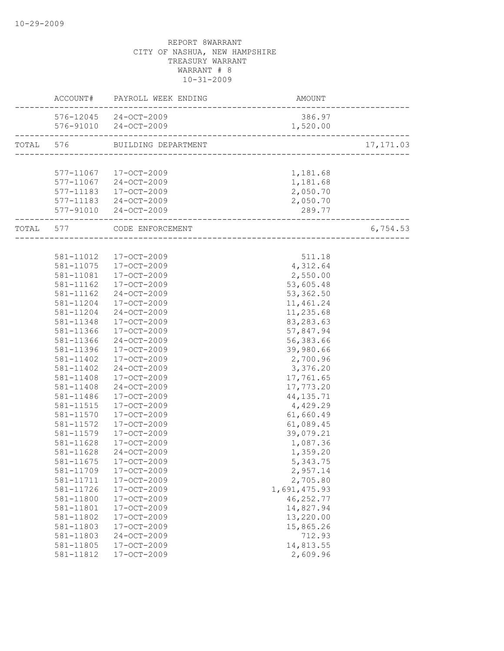|           | ACCOUNT# PAYROLL WEEK ENDING  | AMOUNT                          |            |
|-----------|-------------------------------|---------------------------------|------------|
|           | 576-12045 24-OCT-2009         | 386.97                          |            |
|           | 576-91010 24-OCT-2009         | 1,520.00<br>------------------- |            |
|           | TOTAL 576 BUILDING DEPARTMENT |                                 | 17, 171.03 |
|           |                               |                                 |            |
|           | 577-11067 17-OCT-2009         | 1,181.68                        |            |
|           | 577-11067 24-OCT-2009         | 1,181.68                        |            |
|           | 577-11183 17-OCT-2009         | 2,050.70                        |            |
|           | 577-11183 24-OCT-2009         | 2,050.70                        |            |
|           | 577-91010 24-OCT-2009         | 289.77                          |            |
|           | TOTAL 577 CODE ENFORCEMENT    | _________________________       | 6,754.53   |
|           |                               |                                 |            |
| 581-11012 | 17-OCT-2009                   | 511.18                          |            |
| 581-11075 | 17-OCT-2009                   | 4,312.64                        |            |
| 581-11081 | 17-OCT-2009                   | 2,550.00                        |            |
| 581-11162 | 17-OCT-2009                   | 53,605.48                       |            |
| 581-11162 | 24-OCT-2009                   | 53, 362.50                      |            |
| 581-11204 | 17-OCT-2009                   | 11,461.24                       |            |
| 581-11204 | $24 - OCT - 2009$             | 11,235.68                       |            |
| 581-11348 | 17-OCT-2009                   | 83, 283.63                      |            |
| 581-11366 | 17-OCT-2009                   | 57,847.94                       |            |
| 581-11366 | 24-OCT-2009                   | 56,383.66                       |            |
| 581-11396 | 17-OCT-2009                   | 39,980.66                       |            |
| 581-11402 | 17-OCT-2009                   | 2,700.96                        |            |
| 581-11402 | 24-OCT-2009                   | 3,376.20                        |            |
| 581-11408 | 17-OCT-2009                   | 17,761.65                       |            |
| 581-11408 | $24-OCT-2009$                 | 17,773.20                       |            |
| 581-11486 | 17-OCT-2009                   | 44, 135.71                      |            |
| 581-11515 | 17-OCT-2009                   | 4,429.29                        |            |
| 581-11570 | 17-OCT-2009                   | 61,660.49                       |            |
| 581-11572 | 17-OCT-2009                   | 61,089.45                       |            |
| 581-11579 | 17-OCT-2009                   | 39,079.21                       |            |
| 581-11628 | 17-OCT-2009                   | 1,087.36                        |            |
| 581-11628 | $24 - OCT - 2009$             | 1,359.20                        |            |
| 581-11675 | 17-OCT-2009                   | 5,343.75                        |            |
| 581-11709 | 17-OCT-2009                   | 2,957.14                        |            |
| 581-11711 | 17-OCT-2009                   | 2,705.80                        |            |
| 581-11726 | 17-OCT-2009                   | 1,691,475.93                    |            |
| 581-11800 | 17-OCT-2009                   | 46,252.77                       |            |
| 581-11801 | 17-OCT-2009                   | 14,827.94                       |            |
| 581-11802 | 17-OCT-2009                   | 13,220.00                       |            |
| 581-11803 | 17-OCT-2009                   | 15,865.26                       |            |
| 581-11803 | $24 - OCT - 2009$             | 712.93                          |            |
| 581-11805 | 17-OCT-2009                   | 14,813.55                       |            |
| 581-11812 | 17-OCT-2009                   | 2,609.96                        |            |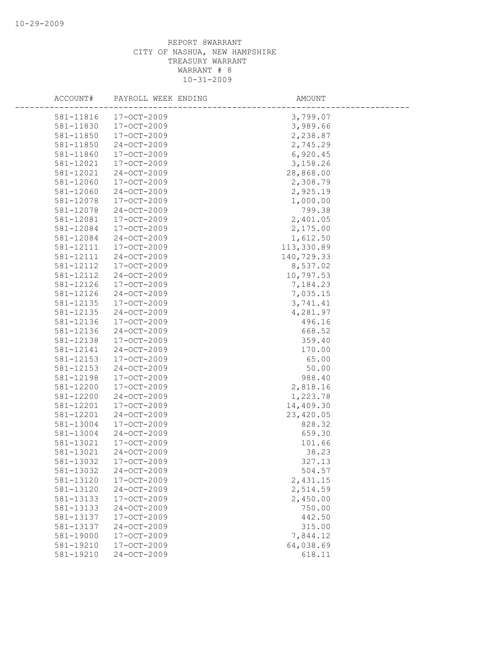| ACCOUNT#  | PAYROLL WEEK ENDING | AMOUNT     |
|-----------|---------------------|------------|
| 581-11816 | $17-OCT-2009$       | 3,799.07   |
| 581-11830 | $17-OCT-2009$       | 3,989.66   |
| 581-11850 | $17-OCT-2009$       | 2,238.87   |
| 581-11850 | 24-OCT-2009         | 2,745.29   |
| 581-11860 | 17-OCT-2009         | 6,920.45   |
| 581-12021 | 17-OCT-2009         | 3,158.26   |
| 581-12021 | 24-OCT-2009         | 28,868.00  |
| 581-12060 | $17 - OCT - 2009$   | 2,308.79   |
| 581-12060 | 24-OCT-2009         | 2,925.19   |
| 581-12078 | $17 - OCT - 2009$   | 1,000.00   |
| 581-12078 | 24-OCT-2009         | 799.38     |
| 581-12081 | $17 - OCT - 2009$   | 2,401.05   |
| 581-12084 | 17-OCT-2009         | 2,175.00   |
| 581-12084 | 24-OCT-2009         | 1,612.50   |
| 581-12111 | 17-OCT-2009         | 113,330.89 |
| 581-12111 | 24-OCT-2009         | 140,729.33 |
| 581-12112 | $17 - OCT - 2009$   | 8,537.02   |
| 581-12112 | 24-OCT-2009         | 10,797.53  |
| 581-12126 | $17 - OCT - 2009$   | 7,184.23   |
| 581-12126 | 24-OCT-2009         | 7,035.15   |
| 581-12135 | $17 - OCT - 2009$   | 3,741.41   |
| 581-12135 | 24-OCT-2009         | 4,281.97   |
| 581-12136 | 17-OCT-2009         | 496.16     |
| 581-12136 | 24-OCT-2009         | 668.52     |
| 581-12138 | $17 - OCT - 2009$   | 359.40     |
| 581-12141 | $24 - OCT - 2009$   | 170.00     |
| 581-12153 | 17-OCT-2009         | 65.00      |
| 581-12153 | 24-OCT-2009         | 50.00      |
| 581-12198 | 17-OCT-2009         | 988.40     |
| 581-12200 | 17-OCT-2009         | 2,818.16   |
| 581-12200 | 24-OCT-2009         | 1,223.78   |
| 581-12201 | 17-OCT-2009         | 14,409.30  |
| 581-12201 | 24-OCT-2009         | 23,420.05  |
| 581-13004 | 17-OCT-2009         | 828.32     |
| 581-13004 | 24-OCT-2009         | 659.30     |
| 581-13021 | 17-OCT-2009         | 101.66     |
| 581-13021 | $24 - OCT - 2009$   | 38.23      |
| 581-13032 | 17-OCT-2009         | 327.13     |
| 581-13032 | 24-OCT-2009         | 504.57     |
| 581-13120 | 17-OCT-2009         | 2,431.15   |
| 581-13120 | $24 - OCT - 2009$   | 2,514.59   |
| 581-13133 | $17 - OCT - 2009$   | 2,450.00   |
| 581-13133 | $24 - OCT - 2009$   | 750.00     |
| 581-13137 | 17-OCT-2009         | 442.50     |
| 581-13137 | $24 - OCT - 2009$   | 315.00     |
| 581-19000 | $17 - OCT - 2009$   | 7,844.12   |
| 581-19210 | $17 - OCT - 2009$   | 64,038.69  |
| 581-19210 | 24-OCT-2009         | 618.11     |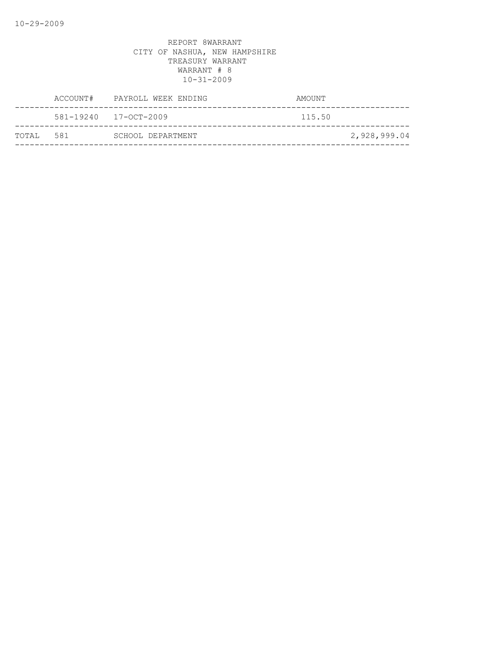|            | ACCOUNT# PAYROLL WEEK ENDING | AMOUNT |              |
|------------|------------------------------|--------|--------------|
|            | 581-19240 17-OCT-2009        | 115.50 |              |
| ТОТАІ. 581 | SCHOOL DEPARTMENT            |        | 2,928,999.04 |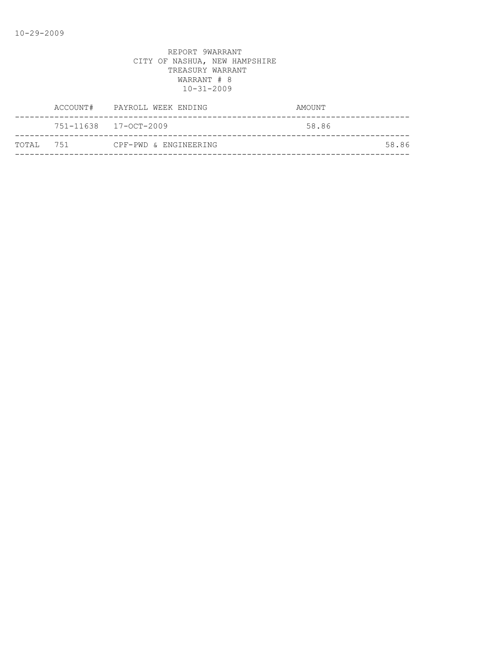|           |                       | ACCOUNT# PAYROLL WEEK ENDING | AMOUNT |
|-----------|-----------------------|------------------------------|--------|
|           | 751-11638 17-OCT-2009 |                              | 58.86  |
| TOTAL 751 |                       | CPF-PWD & ENGINEERING        | 58.86  |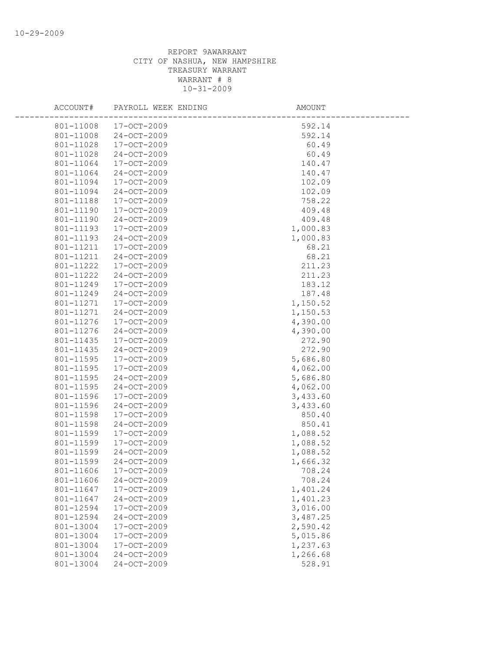| ACCOUNT#               | PAYROLL WEEK ENDING              | <b>AMOUNT</b>        |  |
|------------------------|----------------------------------|----------------------|--|
| 801-11008              | 17-OCT-2009                      | 592.14               |  |
| 801-11008              | 24-OCT-2009                      | 592.14               |  |
| 801-11028              | 17-OCT-2009                      | 60.49                |  |
| 801-11028              | $24 - OCT - 2009$                | 60.49                |  |
| 801-11064              | 17-OCT-2009                      | 140.47               |  |
| 801-11064              | 24-OCT-2009                      | 140.47               |  |
| 801-11094              | 17-OCT-2009                      | 102.09               |  |
| 801-11094              | 24-OCT-2009                      | 102.09               |  |
| 801-11188              | 17-OCT-2009                      | 758.22               |  |
| 801-11190              | 17-OCT-2009                      | 409.48               |  |
| 801-11190              | 24-OCT-2009                      | 409.48               |  |
| 801-11193              | 17-OCT-2009                      | 1,000.83             |  |
| 801-11193              | 24-OCT-2009                      | 1,000.83             |  |
| 801-11211              | 17-OCT-2009                      | 68.21                |  |
| 801-11211              | 24-OCT-2009                      | 68.21                |  |
| 801-11222              | 17-OCT-2009                      | 211.23               |  |
| 801-11222              | 24-OCT-2009                      | 211.23               |  |
| 801-11249              | 17-OCT-2009                      | 183.12               |  |
| 801-11249              | 24-OCT-2009                      | 187.48               |  |
| 801-11271              | 17-OCT-2009                      | 1,150.52             |  |
| 801-11271              | 24-OCT-2009                      | 1,150.53             |  |
| 801-11276              | 17-OCT-2009                      | 4,390.00             |  |
| 801-11276              | 24-OCT-2009                      | 4,390.00             |  |
| 801-11435              | 17-OCT-2009                      | 272.90               |  |
| 801-11435              | 24-OCT-2009                      | 272.90               |  |
| 801-11595              | 17-OCT-2009                      | 5,686.80             |  |
| 801-11595              | 17-OCT-2009                      | 4,062.00             |  |
| 801-11595              | 24-OCT-2009                      | 5,686.80             |  |
| 801-11595              | 24-OCT-2009                      | 4,062.00             |  |
| 801-11596              | 17-OCT-2009                      | 3,433.60             |  |
| 801-11596              | 24-OCT-2009                      | 3,433.60             |  |
| 801-11598              | 17-OCT-2009                      | 850.40               |  |
| 801-11598<br>801-11599 | $24 - OCT - 2009$<br>17-OCT-2009 | 850.41               |  |
| 801-11599              | 17-OCT-2009                      | 1,088.52<br>1,088.52 |  |
| 801-11599              | $24 - OCT - 2009$                | 1,088.52             |  |
| 801-11599              | 24-OCT-2009                      | 1,666.32             |  |
| 801-11606              | 17-OCT-2009                      | 708.24               |  |
| 801-11606              | 24-OCT-2009                      | 708.24               |  |
| 801-11647              | 17-OCT-2009                      | 1,401.24             |  |
| 801-11647              | 24-OCT-2009                      | 1,401.23             |  |
| 801-12594              | 17-OCT-2009                      | 3,016.00             |  |
| 801-12594              | 24-OCT-2009                      | 3,487.25             |  |
| 801-13004              | 17-OCT-2009                      | 2,590.42             |  |
| 801-13004              | $17 - OCT - 2009$                | 5,015.86             |  |
| 801-13004              | $17 - OCT - 2009$                | 1,237.63             |  |
| 801-13004              | $24 - OCT - 2009$                | 1,266.68             |  |
| 801-13004              | 24-OCT-2009                      | 528.91               |  |
|                        |                                  |                      |  |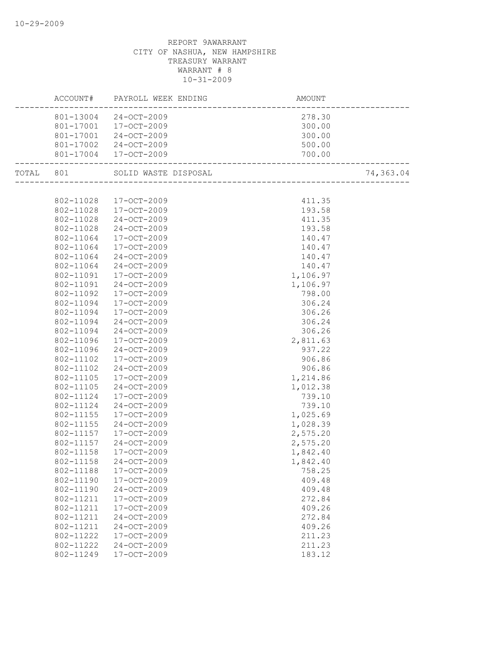|           |           | ACCOUNT# PAYROLL WEEK ENDING | AMOUNT<br>--------------------------- |           |
|-----------|-----------|------------------------------|---------------------------------------|-----------|
|           |           | 801-13004 24-OCT-2009        | 278.30                                |           |
|           |           | 801-17001 17-OCT-2009        | 300.00                                |           |
|           |           | 801-17001 24-OCT-2009        | 300.00                                |           |
|           |           | 801-17002 24-OCT-2009        | 500.00                                |           |
|           |           | 801-17004 17-OCT-2009        | 700.00<br>-------------------------   |           |
| TOTAL 801 |           | SOLID WASTE DISPOSAL         |                                       | 74,363.04 |
|           |           |                              |                                       |           |
|           |           | 802-11028 17-OCT-2009        | 411.35                                |           |
|           |           | 802-11028 17-OCT-2009        | 193.58                                |           |
|           |           | 802-11028 24-OCT-2009        | 411.35                                |           |
|           | 802-11028 | 24-OCT-2009                  | 193.58                                |           |
|           | 802-11064 | 17-OCT-2009                  | 140.47                                |           |
|           | 802-11064 | 17-OCT-2009                  | 140.47                                |           |
|           | 802-11064 | 24-OCT-2009                  | 140.47                                |           |
|           | 802-11064 | 24-OCT-2009                  | 140.47                                |           |
|           | 802-11091 | 17-OCT-2009                  | 1,106.97                              |           |
|           | 802-11091 | 24-OCT-2009                  | 1,106.97                              |           |
|           | 802-11092 | $17 - OCT - 2009$            | 798.00                                |           |
|           | 802-11094 | 17-OCT-2009                  | 306.24                                |           |
|           | 802-11094 | 17-OCT-2009                  | 306.26                                |           |
|           | 802-11094 | 24-OCT-2009                  | 306.24                                |           |
|           | 802-11094 | 24-OCT-2009                  | 306.26                                |           |
|           | 802-11096 | 17-OCT-2009                  | 2,811.63                              |           |
|           | 802-11096 | 24-OCT-2009                  | 937.22                                |           |
|           | 802-11102 | 17-OCT-2009                  | 906.86                                |           |
|           | 802-11102 | 24-OCT-2009                  | 906.86                                |           |
|           | 802-11105 | 17-OCT-2009                  | 1,214.86                              |           |
|           | 802-11105 | 24-OCT-2009                  | 1,012.38                              |           |
|           | 802-11124 | 17-OCT-2009                  | 739.10                                |           |
|           | 802-11124 | 24-OCT-2009                  | 739.10                                |           |
|           | 802-11155 | 17-OCT-2009                  | 1,025.69                              |           |
|           | 802-11155 | 24-OCT-2009                  | 1,028.39                              |           |
|           | 802-11157 | 17-OCT-2009                  | 2,575.20                              |           |
|           | 802-11157 | $24 - OCT - 2009$            | 2,575.20                              |           |
|           | 802-11158 | 17-OCT-2009                  | 1,842.40                              |           |
|           |           | 802-11158 24-OCT-2009        | 1,842.40                              |           |
|           | 802-11188 | $17 - OCT - 2009$            | 758.25                                |           |
|           | 802-11190 | 17-OCT-2009                  | 409.48                                |           |
|           | 802-11190 | $24-OCT-2009$                | 409.48                                |           |
|           | 802-11211 | 17-OCT-2009                  | 272.84                                |           |
|           | 802-11211 | 17-OCT-2009                  | 409.26                                |           |
|           | 802-11211 | 24-OCT-2009                  | 272.84                                |           |
|           | 802-11211 | 24-OCT-2009                  | 409.26                                |           |
|           | 802-11222 | $17 - OCT - 2009$            | 211.23                                |           |
|           | 802-11222 | 24-OCT-2009                  | 211.23                                |           |
|           | 802-11249 | 17-OCT-2009                  | 183.12                                |           |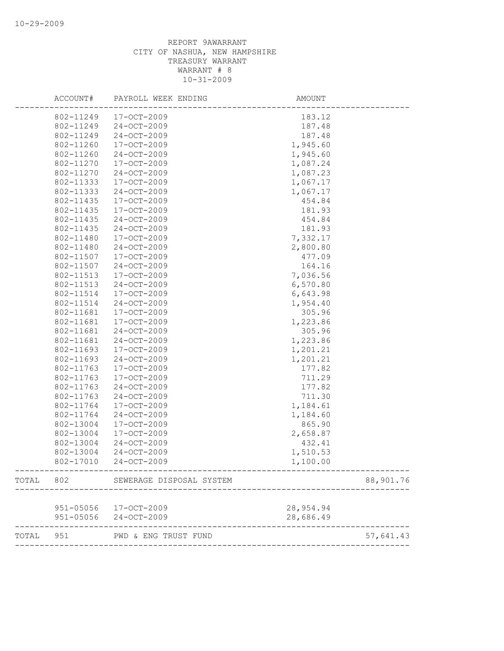|           | ACCOUNT#  | PAYROLL WEEK ENDING      | AMOUNT    |           |
|-----------|-----------|--------------------------|-----------|-----------|
|           | 802-11249 | 17-OCT-2009              | 183.12    |           |
|           | 802-11249 | 24-OCT-2009              | 187.48    |           |
|           | 802-11249 | $24 - OCT - 2009$        | 187.48    |           |
|           | 802-11260 | 17-OCT-2009              | 1,945.60  |           |
|           | 802-11260 | 24-OCT-2009              | 1,945.60  |           |
|           | 802-11270 | 17-OCT-2009              | 1,087.24  |           |
|           | 802-11270 | $24 - OCT - 2009$        | 1,087.23  |           |
|           | 802-11333 | $17 - OCT - 2009$        | 1,067.17  |           |
|           | 802-11333 | 24-OCT-2009              | 1,067.17  |           |
|           | 802-11435 | 17-OCT-2009              | 454.84    |           |
|           | 802-11435 | $17 - OCT - 2009$        | 181.93    |           |
|           | 802-11435 | $24 - OCT - 2009$        | 454.84    |           |
|           | 802-11435 | $24 - OCT - 2009$        | 181.93    |           |
|           | 802-11480 | 17-OCT-2009              | 7,332.17  |           |
|           | 802-11480 | 24-OCT-2009              | 2,800.80  |           |
|           | 802-11507 | 17-OCT-2009              | 477.09    |           |
|           | 802-11507 | $24 - OCT - 2009$        | 164.16    |           |
|           | 802-11513 | 17-OCT-2009              | 7,036.56  |           |
|           | 802-11513 | 24-OCT-2009              | 6,570.80  |           |
|           | 802-11514 | 17-OCT-2009              | 6,643.98  |           |
|           | 802-11514 | $24 - OCT - 2009$        | 1,954.40  |           |
|           | 802-11681 | 17-OCT-2009              | 305.96    |           |
|           | 802-11681 | 17-OCT-2009              | 1,223.86  |           |
|           | 802-11681 | 24-OCT-2009              | 305.96    |           |
|           | 802-11681 | $24 - OCT - 2009$        | 1,223.86  |           |
|           | 802-11693 | $17 - OCT - 2009$        | 1,201.21  |           |
|           | 802-11693 | 24-OCT-2009              | 1,201.21  |           |
|           | 802-11763 | 17-OCT-2009              | 177.82    |           |
|           | 802-11763 | 17-OCT-2009              | 711.29    |           |
|           | 802-11763 | $24 - OCT - 2009$        | 177.82    |           |
|           | 802-11763 | 24-OCT-2009              | 711.30    |           |
|           | 802-11764 | 17-OCT-2009              | 1,184.61  |           |
|           | 802-11764 | 24-OCT-2009              | 1,184.60  |           |
|           | 802-13004 | 17-OCT-2009              | 865.90    |           |
|           | 802-13004 | 17-OCT-2009              | 2,658.87  |           |
|           | 802-13004 | 24-OCT-2009              | 432.41    |           |
|           | 802-13004 | $24 - OCT - 2009$        | 1,510.53  |           |
|           | 802-17010 | 24-OCT-2009              | 1,100.00  |           |
| TOTAL 802 |           | SEWERAGE DISPOSAL SYSTEM |           | 88,901.76 |
|           |           |                          |           |           |
|           |           | 951-05056 17-OCT-2009    | 28,954.94 |           |
|           |           | 951-05056 24-OCT-2009    | 28,686.49 |           |
| TOTAL 951 |           | PWD & ENG TRUST FUND     |           | 57,641.43 |
|           |           |                          |           |           |